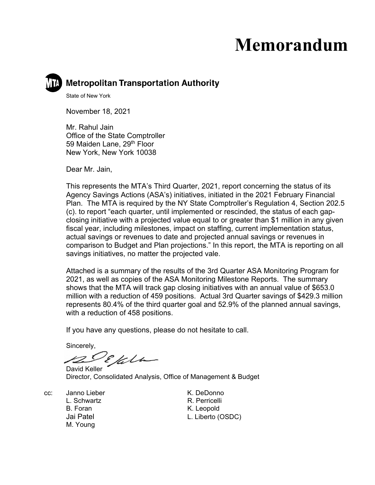# **Memorandum**

# **Metropolitan Transportation Authority**

State of New York

November 18, 2021

 Mr. Rahul Jain Office of the State Comptroller 59 Maiden Lane, 29<sup>th</sup> Floor New York, New York 10038

Dear Mr. Jain,

 This represents the MTA's Third Quarter, 2021, report concerning the status of its Agency Savings Actions (ASA's) initiatives, initiated in the 2021 February Financial Plan. The MTA is required by the NY State Comptroller's Regulation 4, Section 202.5 (c). to report "each quarter, until implemented or rescinded, the status of each gapclosing initiative with a projected value equal to or greater than \$1 million in any given fiscal year, including milestones, impact on staffing, current implementation status, actual savings or revenues to date and projected annual savings or revenues in comparison to Budget and Plan projections." In this report, the MTA is reporting on all savings initiatives, no matter the projected vale.

 Attached is a summary of the results of the 3rd Quarter ASA Monitoring Program for 2021, as well as copies of the ASA Monitoring Milestone Reports. The summary shows that the MTA will track gap closing initiatives with an annual value of \$653.0 million with a reduction of 459 positions. Actual 3rd Quarter savings of \$429.3 million represents 80.4% of the third quarter goal and 52.9% of the planned annual savings, with a reduction of 458 positions.

If you have any questions, please do not hesitate to call.

Sincerely,

DEfall

 David Keller Director, Consolidated Analysis, Office of Management & Budget

cc: Janno Lieber **K. DeDonno** L. Schwartz **R. Perricelli** B. Foran K. Leopold M. Young

Jai Patel L. Liberto (OSDC)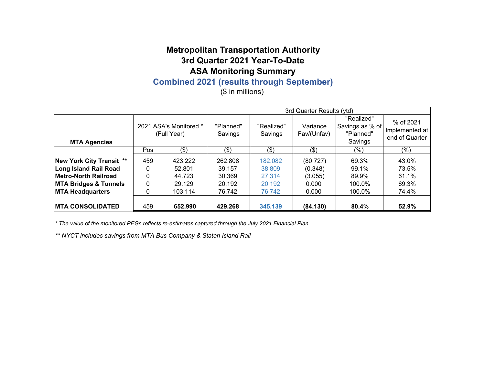# **Combined 2021 (results through September)**

(\$ in millions)

|                                            |                               |                                       |                      |                       | 3rd Quarter Results (ytd) |                                                       |                                               |
|--------------------------------------------|-------------------------------|---------------------------------------|----------------------|-----------------------|---------------------------|-------------------------------------------------------|-----------------------------------------------|
| <b>MTA Agencies</b>                        |                               | 2021 ASA's Monitored *<br>(Full Year) | "Planned"<br>Savings | "Realized"<br>Savings | Variance<br>Fav/(Unfav)   | "Realized"<br>Savings as % of<br>"Planned"<br>Savings | % of 2021<br>Implemented at<br>end of Quarter |
|                                            | (3)<br>Pos                    |                                       | (3)                  | $($ \$)               | (3)                       | (%)                                                   | (%)                                           |
| New York City Transit **                   | 459<br>423.222<br>52.801<br>0 |                                       | 262.808              | 182.082               | (80.727)                  | 69.3%                                                 | 43.0%                                         |
| <b>Long Island Rail Road</b>               |                               |                                       | 39.157               | 38.809                | (0.348)                   | 99.1%                                                 | 73.5%                                         |
| Metro-North Railroad                       | 0                             | 44.723                                | 30.369               | 27.314                | (3.055)                   | 89.9%                                                 | 61.1%                                         |
| <b>MTA Bridges &amp; Tunnels</b>           | 0                             | 29.129                                | 20.192               | 20.192                | 0.000                     | 100.0%                                                | 69.3%                                         |
| <b>MTA Headquarters</b>                    | 0                             | 103.114                               | 76.742               | 76.742                | 0.000                     | 100.0%                                                | 74.4%                                         |
| <b>IMTA CONSOLIDATED</b><br>459<br>652.990 |                               | 429.268                               | 345.139              | (84.130)              | 80.4%                     | 52.9%                                                 |                                               |

*\* The value of the monitored PEGs reflects re-estimates captured through the July 2021 Financial Plan*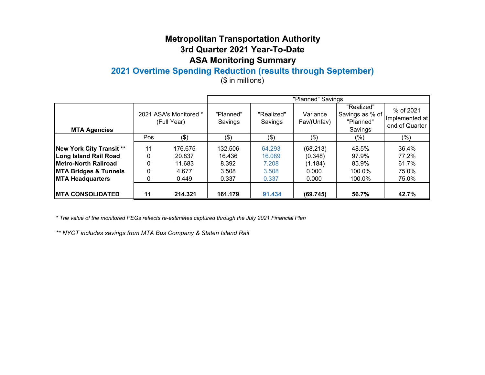# **2021 Overtime Spending Reduction (results through September)**

(\$ in millions)

|                                  |          |                                       |                      |                       | "Planned" Savings       |                                                       |                                               |
|----------------------------------|----------|---------------------------------------|----------------------|-----------------------|-------------------------|-------------------------------------------------------|-----------------------------------------------|
| <b>MTA Agencies</b>              |          | 2021 ASA's Monitored *<br>(Full Year) | "Planned"<br>Savings | "Realized"<br>Savings | Variance<br>Fav/(Unfav) | "Realized"<br>Savings as % of<br>"Planned"<br>Savings | % of 2021<br>Implemented at<br>end of Quarter |
|                                  | Pos      | $($ \$)                               | (3)                  | ( \$)                 | $($ \$)                 | (%)                                                   | $(\%)$                                        |
| <b>New York City Transit **</b>  | 11       | 176.675                               | 132.506              | 64.293                | (68.213)                | 48.5%                                                 | 36.4%                                         |
| <b>Long Island Rail Road</b>     | 0        | 20.837                                | 16.436               | 16.089                | (0.348)                 | 97.9%                                                 | 77.2%                                         |
| Metro-North Railroad             | $\Omega$ | 11.683                                | 8.392                | 7.208                 | (1.184)                 | 85.9%                                                 | 61.7%                                         |
| <b>MTA Bridges &amp; Tunnels</b> |          | 4.677                                 | 3.508                | 3.508                 | 0.000                   | 100.0%                                                | 75.0%                                         |
| <b>MTA Headquarters</b>          |          | 0.449                                 | 0.337                | 0.337                 | 0.000                   | 100.0%                                                | 75.0%                                         |
| <b>MTA CONSOLIDATED</b>          | 11       | 214.321                               | 161.179              | 91.434                | (69.745)                | 56.7%                                                 | 42.7%                                         |

*\* The value of the monitored PEGs reflects re-estimates captured through the July 2021 Financial Plan*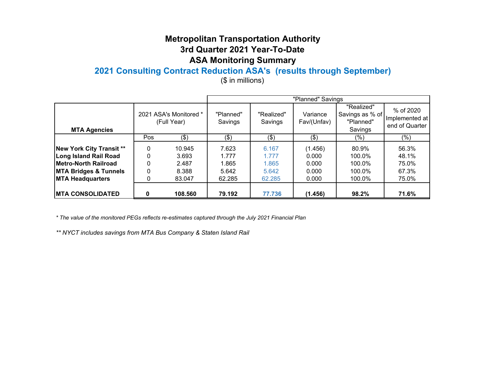# **2021 Consulting Contract Reduction ASA's (results through September)**

(\$ in millions)

|                                  |            |                                       |                      |                       | "Planned" Savings       |                                                       |                                               |
|----------------------------------|------------|---------------------------------------|----------------------|-----------------------|-------------------------|-------------------------------------------------------|-----------------------------------------------|
| <b>MTA Agencies</b>              |            | 2021 ASA's Monitored *<br>(Full Year) | "Planned"<br>Savings | "Realized"<br>Savings | Variance<br>Fav/(Unfav) | "Realized"<br>Savings as % of<br>"Planned"<br>Savings | % of 2020<br>Implemented at<br>end of Quarter |
|                                  | Pos<br>(3) |                                       | (3)                  | (3)                   | (3)                     | $(\%)$                                                | $(\%)$                                        |
| <b>New York City Transit **</b>  | $\Omega$   | 10.945                                | 7.623                | 6.167                 | (1.456)                 | 80.9%                                                 | 56.3%                                         |
| <b>Long Island Rail Road</b>     | $\Omega$   | 3.693                                 | 1.777                | 1.777                 | 0.000                   | 100.0%                                                | 48.1%                                         |
| Metro-North Railroad             | $\Omega$   | 2.487                                 | 1.865                | 1.865                 | 0.000                   | 100.0%                                                | 75.0%                                         |
| <b>MTA Bridges &amp; Tunnels</b> | $\Omega$   | 8.388                                 | 5.642                | 5.642                 | 0.000                   | 100.0%                                                | 67.3%                                         |
| <b>MTA Headquarters</b>          | 0          | 83.047                                | 62.285               | 62.285                | 0.000                   | 100.0%                                                | 75.0%                                         |
| IMTA CONSOLIDATED                |            | 108,560                               | 79.192               | 77.736                | (1.456)                 | 98.2%                                                 | 71.6%                                         |

*\* The value of the monitored PEGs reflects re-estimates captured through the July 2021 Financial Plan*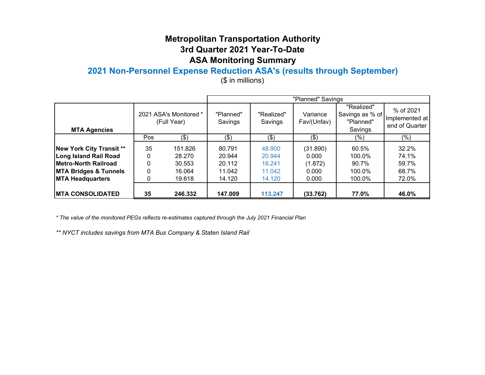# **2021 Non-Personnel Expense Reduction ASA's (results through September)**

(\$ in millions)

|                                  |                   |                                       |                      |                       | "Planned" Savings       |                                                       |                                               |
|----------------------------------|-------------------|---------------------------------------|----------------------|-----------------------|-------------------------|-------------------------------------------------------|-----------------------------------------------|
| <b>MTA Agencies</b>              |                   | 2021 ASA's Monitored *<br>(Full Year) | "Planned"<br>Savings | "Realized"<br>Savings | Variance<br>Fav/(Unfav) | "Realized"<br>Savings as % of<br>"Planned"<br>Savings | % of 2021<br>Implemented at<br>end of Quarter |
|                                  | (3)<br><b>Pos</b> |                                       | (3)                  | (3)                   | (3)                     | $(\%)$                                                | $(\%)$                                        |
| <b>New York City Transit **</b>  | 35                | 151.826                               | 80.791               | 48.900                | (31.890)                | 60.5%                                                 | 32.2%                                         |
| <b>Long Island Rail Road</b>     | 0                 | 28.270                                | 20.944               | 20.944                | 0.000                   | 100.0%                                                | 74.1%                                         |
| Metro-North Railroad             | $\Omega$          | 30.553                                | 20.112               | 18.241                | (1.872)                 | 90.7%                                                 | 59.7%                                         |
| <b>MTA Bridges &amp; Tunnels</b> | $\Omega$          | 16.064                                | 11.042               | 11.042                | 0.000                   | 100.0%                                                | 68.7%                                         |
| <b>MTA Headquarters</b>          |                   | 19.618                                | 14.120               | 14.120                | 0.000                   | 100.0%                                                | 72.0%                                         |
| <b>MTA CONSOLIDATED</b>          | 35                | 246.332                               | 147.009              | 113.247               | (33.762)                | 77.0%                                                 | 46.0%                                         |

*\* The value of the monitored PEGs reflects re-estimates captured through the July 2021 Financial Plan*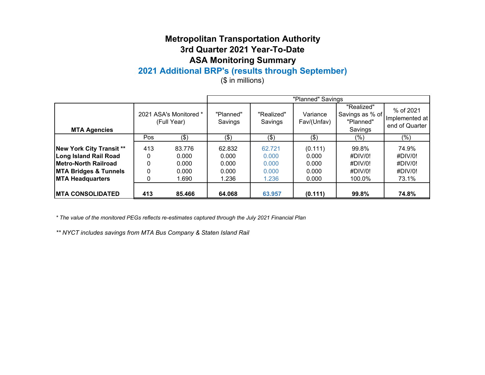# **2021 Additional BRP's (results through September)**

(\$ in millions)

|                                                  |     |                                       |                      |                       | "Planned" Savings       |                                                       |                                               |
|--------------------------------------------------|-----|---------------------------------------|----------------------|-----------------------|-------------------------|-------------------------------------------------------|-----------------------------------------------|
| <b>MTA Agencies</b>                              |     | 2021 ASA's Monitored *<br>(Full Year) | "Planned"<br>Savings | "Realized"<br>Savings | Variance<br>Fav/(Unfav) | "Realized"<br>Savings as % of<br>"Planned"<br>Savings | % of 2021<br>Implemented at<br>end of Quarter |
| $($ \$)<br>Pos                                   |     | (3)                                   | (3)                  | $($ \$)               | $(\%)$                  | $(\%)$                                                |                                               |
| <b>New York City Transit **</b><br>413<br>83.776 |     | 62.832                                | 62.721               | (0.111)               | 99.8%                   | 74.9%                                                 |                                               |
| <b>Long Island Rail Road</b>                     | 0   | 0.000                                 | 0.000                | 0.000                 | 0.000                   | #DIV/0!                                               | #DIV/0!                                       |
| <b>Metro-North Railroad</b>                      |     | 0.000                                 | 0.000                | 0.000                 | 0.000                   | #DIV/0!                                               | #DIV/0!                                       |
| <b>MTA Bridges &amp; Tunnels</b>                 |     | 0.000                                 | 0.000                | 0.000                 | 0.000                   | #DIV/0!                                               | #DIV/0!                                       |
| <b>MTA Headquarters</b>                          |     | 1.690                                 | 1.236                | 1.236                 | 0.000                   | 100.0%                                                | 73.1%                                         |
| <b>MTA CONSOLIDATED</b>                          | 413 | 85.466                                | 64.068               | 63,957                | (0.111)                 | 99.8%                                                 | 74.8%                                         |

*\* The value of the monitored PEGs reflects re-estimates captured through the July 2021 Financial Plan*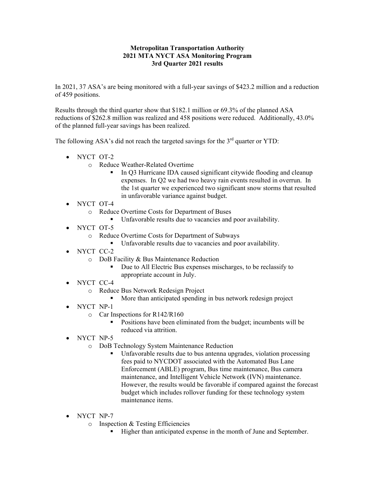## **Metropolitan Transportation Authority 2021 MTA NYCT ASA Monitoring Program 3rd Quarter 2021 results**

In 2021, 37 ASA's are being monitored with a full-year savings of \$423.2 million and a reduction of 459 positions.

Results through the third quarter show that \$182.1 million or 69.3% of the planned ASA reductions of \$262.8 million was realized and 458 positions were reduced. Additionally, 43.0% of the planned full-year savings has been realized.

The following ASA's did not reach the targeted savings for the  $3<sup>rd</sup>$  quarter or YTD:

- NYCT OT-2
	- o Reduce Weather-Related Overtime
		- In Q3 Hurricane IDA caused significant citywide flooding and cleanup expenses. In Q2 we had two heavy rain events resulted in overrun. In the 1st quarter we experienced two significant snow storms that resulted in unfavorable variance against budget.
- NYCT OT-4
	- o Reduce Overtime Costs for Department of Buses
		- Unfavorable results due to vacancies and poor availability.
- NYCT OT-5
	- o Reduce Overtime Costs for Department of Subways
		- Unfavorable results due to vacancies and poor availability.
- NYCT CC-2
	- o DoB Facility & Bus Maintenance Reduction
		- Due to All Electric Bus expenses mischarges, to be reclassify to appropriate account in July.
- NYCT CC-4
	- o Reduce Bus Network Redesign Project
		- **More than anticipated spending in bus network redesign project**
- NYCT NP-1
	- o Car Inspections for R142/R160
		- Positions have been eliminated from the budget; incumbents will be reduced via attrition.
- NYCT NP-5
	- o DoB Technology System Maintenance Reduction
		- Unfavorable results due to bus antenna upgrades, violation processing fees paid to NYCDOT associated with the Automated Bus Lane Enforcement (ABLE) program, Bus time maintenance, Bus camera maintenance, and Intelligent Vehicle Network (IVN) maintenance. However, the results would be favorable if compared against the forecast budget which includes rollover funding for these technology system maintenance items.
- NYCT NP-7
	- o Inspection & Testing Efficiencies
		- Higher than anticipated expense in the month of June and September.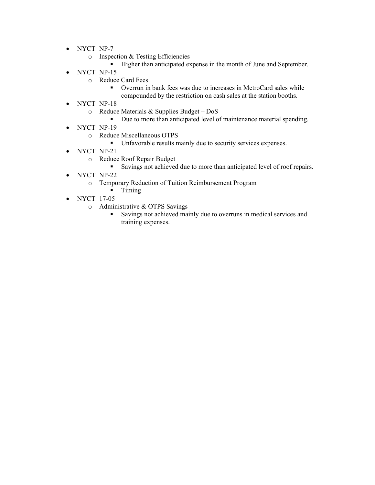- NYCT NP-7
	- o Inspection & Testing Efficiencies
		- Higher than anticipated expense in the month of June and September.
- NYCT NP-15
	- o Reduce Card Fees
		- Overrun in bank fees was due to increases in MetroCard sales while compounded by the restriction on cash sales at the station booths.
- NYCT NP-18
	- o Reduce Materials & Supplies Budget DoS
		- Due to more than anticipated level of maintenance material spending.
- NYCT NP-19
	- o Reduce Miscellaneous OTPS
		- **IDED** Unfavorable results mainly due to security services expenses.
- NYCT NP-21
	- o Reduce Roof Repair Budget
		- Savings not achieved due to more than anticipated level of roof repairs.
- NYCT NP-22
	- o Temporary Reduction of Tuition Reimbursement Program
		- Timing
- NYCT 17-05
	- o Administrative & OTPS Savings
		- Savings not achieved mainly due to overruns in medical services and training expenses.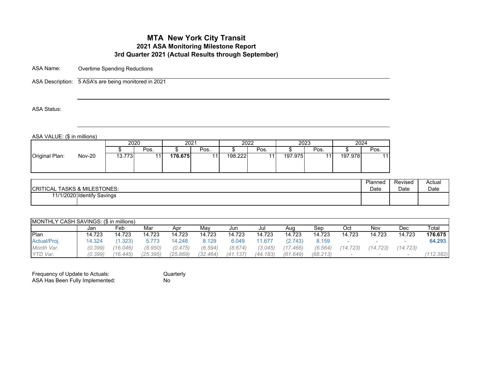ASA Name: Overtime Spending Reductions

ASA Description: 5 ASA's are being monitored in 2021

ASA Status:

ASA VALUE: (\$ in millions)

|                |               | 2020        |      | 2021    |      |         | 2022       | 2023    |      | 2024    |      |
|----------------|---------------|-------------|------|---------|------|---------|------------|---------|------|---------|------|
|                |               |             | Pos. |         | Pos. |         | Pos.       |         | Pos. |         | Pos. |
| Original Plan: | <b>Nov-20</b> | 3.773<br>10 |      | 176.675 |      | 198.222 | <b>111</b> | 197.975 |      | 197.978 |      |

| <b>CRITICAL TASKS &amp; MILESTONES:</b> | Planned | Revised | Actual |
|-----------------------------------------|---------|---------|--------|
|                                         | Date    | Date    | Date   |
| 11/1/2020 Identify Savings              |         |         |        |

|              | MONTHLY CASH SAVINGS: (\$ in millions) |          |          |          |          |          |          |          |          |          |          |          |          |
|--------------|----------------------------------------|----------|----------|----------|----------|----------|----------|----------|----------|----------|----------|----------|----------|
|              | Jan                                    | Feb      | Mar      | Apr      | Mav      | Jun      | Jul      | Aua      | Sep      | Oct      | Nov      | Dec      | Total    |
| Plan         | 14.723                                 | 14.723   | 14.723   | 14.723   | 14.723   | 14.723   | 14.723   | 14.723   | 14.723   | 14.723   | 14.723   | 14.723   | 176.675  |
| Actual/Proj. | 14.324                                 | 1.323    | 5.773    | 14.248   | 8.129    | 6.049    | 1.677    | (2.743)  | 8.159    |          |          |          | 64.293   |
| Month Var.   | (0.399)                                | (16.046) | (8.950)  | (0.475)  | (6.594)  | (8.674)  | (3.045)  | 7.466)   | (6.564)  | (14.723) | (14.723) | (14.723) |          |
| YTD Var.     | (0.399)                                | 16.445   | (25.395) | (25.869) | (32.464) | (41.137) | (44.183) | (61.649) | (68.213) |          |          |          | 112.382) |

| Frequency of Update to Actuals: | Οu |
|---------------------------------|----|
| ASA Has Been Fully Implemented: | No |

Quarterly<br>No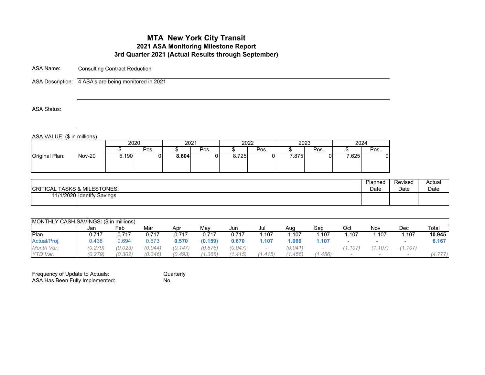ASA Name: Consulting Contract Reduction

ASA Description: 4 ASA's are being monitored in 2021

ASA Status:

ASA VALUE: (\$ in millions)

|                                 |       | 2020 |       | 2021 |       | 2022 |       | 2023 |       | 2024 |  |
|---------------------------------|-------|------|-------|------|-------|------|-------|------|-------|------|--|
|                                 |       | Pos. |       | Pos. |       | Pos. |       | Pos. |       | Pos. |  |
| <b>Nov-20</b><br>Original Plan: | 5.190 |      | 8.604 |      | 8.725 |      | 7.875 |      | 7.625 |      |  |

Quarterly<br>No

| <b>CRITICAL TASKS &amp; MILESTONES:</b> | Planned | Revised | Actual |
|-----------------------------------------|---------|---------|--------|
|                                         | Date    | Date    | Date   |
| 11/1/2020 Identify Savings              |         |         |        |

| <b>IMONTHLY CASH SAVINGS: (\$ in millions)</b> |         |         |         |        |         |         |       |          |       |        |         |         |                |
|------------------------------------------------|---------|---------|---------|--------|---------|---------|-------|----------|-------|--------|---------|---------|----------------|
|                                                | Jan     | Feb     | Mar     | Apr    | Mav     | Jun     | Jul   | Aua      | Sep   | Oct    | Nov     | Dec     | Total          |
| Plan                                           | Ა.717   | 0.717   | 0.717   | 0.717  | 0.717   | 0.717   | .107  | 107      | 107،، | .107.، | .107    | .107    | 10.945         |
| Actual/Proj.                                   | 0.438   | 0.694   | 0.673   | 0.570  | (0.159) | 0.670   | 107،، | .066     | 1.107 |        |         |         | 6.167          |
| Month Var.                                     | (0.279) | (0.023) | (0.044) | (0.147 | (0.876) | (0.047) |       | (0.041)  |       | .107)  | (1.107. | (1.107) |                |
| YTD Var.                                       | (0.279) | 0.302   | (0.346) | 0.493  | 1.368'  | (0.415) | .415) | . . 456) | .456) |        |         | $\sim$  | $\overline{a}$ |

| Frequency of Update to Actuals: | Οu |
|---------------------------------|----|
| ASA Has Been Fully Implemented: | No |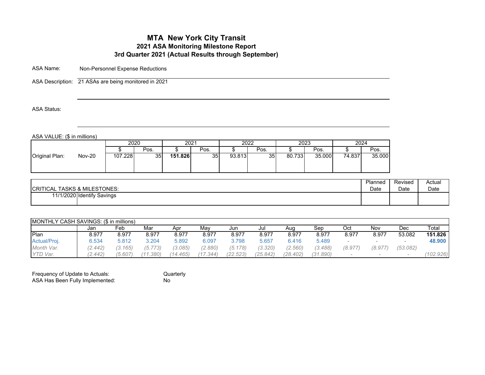ASA Name: Non-Personnel Expense Reductions

ASA Description: 21 ASAs are being monitored in 2021

ASA Status:

ASA VALUE: (\$ in millions)

|                                 |         | 2020            |         | 2021 |        | 2022            |        | 2023   |        | 2024   |
|---------------------------------|---------|-----------------|---------|------|--------|-----------------|--------|--------|--------|--------|
|                                 |         | Pos.            |         | Pos. |        | Pos.            |        | Pos.   |        | Pos.   |
| <b>Nov-20</b><br>Original Plan: | 107.228 | 35 <sub>l</sub> | 151.826 | 35   | 93.813 | 35 <sub>l</sub> | 80.733 | 35.000 | 74.837 | 35.000 |

| MILESTONES:<br><b>TASKS &amp;</b><br><b>ICRIT</b><br>TICAL | Planned<br>Date | Revised<br>Date | Actual<br>Date |
|------------------------------------------------------------|-----------------|-----------------|----------------|
|                                                            |                 |                 |                |
| 11/1/2020 Identify Savings                                 |                 |                 |                |
|                                                            |                 |                 |                |

| MONTHLY CASH SAVINGS: (\$ in millions) |         |         |         |          |          |          |          |          |          |                          |         |          |           |
|----------------------------------------|---------|---------|---------|----------|----------|----------|----------|----------|----------|--------------------------|---------|----------|-----------|
|                                        | Jan     | Feb     | Mar     | Apr      | Mav      | Jun      | Jul      | Aua      | Sep      | Oct                      | Nov     | Dec      | Total     |
| <b>I</b> Plan                          | 8.977   | 8.977   | 8.977   | 8.977    | 8.977    | 8.977    | 8.977    | 8.977    | 8.977    | 8.977                    | 8.977   | 53.082   | 151.826   |
| Actual/Proj.                           | 6.534   | 5.812   | 3.204   | 5.892    | 6.097    | 3.798    | 5.657    | 6.416    | 5.489    | $\sim$                   |         |          | 48,900    |
| Month Var.                             | 2.442   | (3.165) | (5.773) | 3.085)   | (2.880)  | (5.178)  | (3.320)  | (2.560)  | 3.488)   | (8.977                   | (8.977) | (53.082) |           |
| <b>YTD Var.</b>                        | (2.442) | (5.607  | 1.380)  | (14.465) | (17.344) | (22.523) | (25.842) | (28.402) | (31.890) | $\overline{\phantom{a}}$ |         |          | (102.926) |

| Frequency of Update to Actuals: | Ωu |
|---------------------------------|----|
| ASA Has Been Fully Implemented: | No |

Quarterly<br>No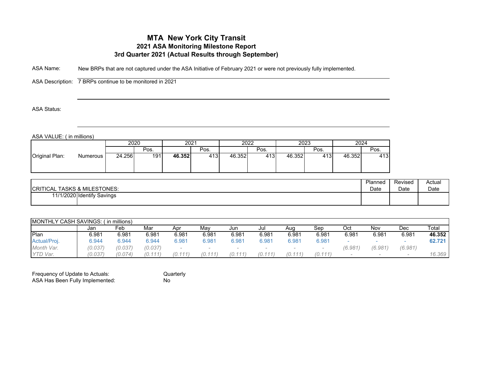ASA Name: New BRPs that are not captured under the ASA Initiative of February 2021 or were not previously fully implemented.

ASA Description: 7 BRPs continue to be monitored in 2021

ASA Status:

ASA VALUE: ( in millions)

|                |                 |        | 2020 | 2021   |      | 2022   |      |        | 2023 |        | 2024 |
|----------------|-----------------|--------|------|--------|------|--------|------|--------|------|--------|------|
|                |                 |        | Pos. |        | Pos. |        | Pos. |        | Pos. |        | Pos. |
| Original Plan: | <b>Numerous</b> | 24.256 | 191  | 46.352 | 413  | 46.352 | 413  | 46.352 | 413I | 46.352 | 413  |

| MILESTONES:<br><b>TASKS &amp;</b><br><b>ICRIT</b><br>TICAL | Planned<br>Date | Revised<br>Date | Actual<br>Date |
|------------------------------------------------------------|-----------------|-----------------|----------------|
|                                                            |                 |                 |                |
| 11/1/2020 Identify Savings                                 |                 |                 |                |
|                                                            |                 |                 |                |

| <b>IMONTHLY CASH SAVINGS:</b> |         | ( in millions) |              |                 |               |                 |         |        |         |        |         |         |        |
|-------------------------------|---------|----------------|--------------|-----------------|---------------|-----------------|---------|--------|---------|--------|---------|---------|--------|
|                               | Jan     | Feb            | Mar          | Apr             | Mav           | Jun             | Jul     | Aug    | Sep     | Oct    | Nov     | Dec     | Total  |
| Plan                          | 6.981   | 6.981          | 6.981        | 6.981           | 6.981         | 6.981           | 6.981   | 6.981  | 6.981   | 6.981  | 6.981   | 6.981   | 46.352 |
| Actual/Proj.                  | 6.944   | 6.944          | 6.944        | 6.981           | 6.981         | 6.981           | 6.981   | 6.981  | 6.981   |        |         |         | 62.721 |
| Month Var.                    | (0.037) | (0.037)        | (0.037)      |                 |               |                 |         | $\sim$ |         | (6.981 | (6.981) | (6.981) |        |
| YTD Var.                      | (0.037) | (0.074         | 111<br>0.111 | $\cup$ . $\top$ | 444<br>(U.TT. | $\cup$ . $\cup$ | (0.111) | 0.11   | (0.111) |        |         | $\sim$  | 6.369  |

| Frequency of Update to Actuals: | Quarterly |
|---------------------------------|-----------|
| ASA Has Been Fully Implemented: | Nο        |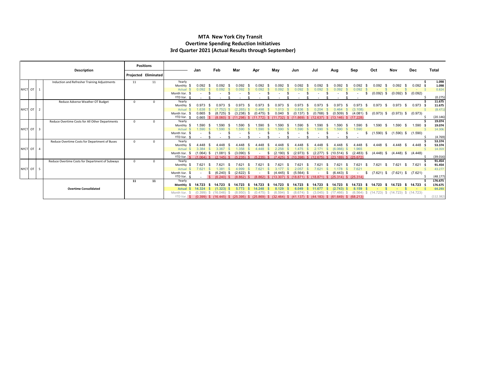#### **MTA New York City Transit Overtime Spending Reduction Initiatives 3rd Quarter 2021 (Actual Results through September)**

|           |  | <b>Description</b>                              |          | <b>Positions</b>     |                              | Jan            | Feb                     |     | Mar          | Apr          | May |                | Jun                                                                                                                 | Jul          | Aug                        | Sep     |               | Oct            | Nov                                 | <b>Dec</b>      | Total     |
|-----------|--|-------------------------------------------------|----------|----------------------|------------------------------|----------------|-------------------------|-----|--------------|--------------|-----|----------------|---------------------------------------------------------------------------------------------------------------------|--------------|----------------------------|---------|---------------|----------------|-------------------------------------|-----------------|-----------|
|           |  |                                                 |          | Projected Eliminated |                              |                |                         |     |              |              |     |                |                                                                                                                     |              |                            |         |               |                |                                     |                 |           |
|           |  | Induction and Refresher Training Adjustments    | 11       | 11                   | Yearly                       |                |                         |     |              |              |     |                |                                                                                                                     |              |                            |         |               |                |                                     |                 | 1.098     |
|           |  |                                                 |          |                      | Monthly \$                   | 0.092          | 0.092                   |     |              | 0.092        |     | 0.092          | 0.092                                                                                                               | 0.092        | 0.092                      |         | 0.092         |                | 0.092                               | 0.092           | 1.098     |
| NYCT OT 1 |  |                                                 |          |                      | Actual                       | 0.092          | 0.092                   |     | 0.092        | 0.092        |     | 0.092          | 0.092                                                                                                               | 0.092        | 0.092                      |         | 0.092         |                |                                     | <b>Service</b>  | 0.824     |
|           |  |                                                 |          |                      | Month Var. \$                |                |                         |     |              |              |     |                |                                                                                                                     |              |                            |         |               | $(0.092)$ \$   | $(0.092)$ \$                        | (0.092)         |           |
|           |  |                                                 |          |                      | YTD Var. \$                  |                |                         |     |              |              |     |                |                                                                                                                     |              |                            |         |               |                |                                     |                 | (0.275)   |
|           |  | Reduce Adverse Weather OT Budget                | $\Omega$ |                      | Yearly                       |                |                         |     |              |              |     |                |                                                                                                                     |              |                            |         |               |                |                                     |                 | 11.675    |
|           |  |                                                 |          |                      | Monthly \$                   | 0.973          | 0.973                   |     |              | 0.973        |     | 0.973          |                                                                                                                     |              | 0.973                      |         | 0.973         | 0.973          | 0.973                               | 0.973           | 11.675    |
| NYCT OT 2 |  |                                                 |          |                      | Actual                       | 1.638<br>0.665 | .752)                   |     | (2.265)      | 0.498        |     | 1.013<br>0.040 | 0.836                                                                                                               | 0.204        | 0.464                      | (3.108) |               |                |                                     |                 | (8.471)   |
|           |  |                                                 |          |                      | Month Var. \$<br>YTD Var. \$ | $0.665$ \$     | (8.725)                 | -SS | $(3.238)$ \$ | $(0.475)$ \$ |     |                | $(0.137)$ \$<br>(8.060) \$ (11.298) \$ (11.772) \$ (11.732) \$ (11.869) \$ (12.637) \$ (13.146) \$ (17.228)         | $(0.768)$ \$ | $(0.509)$ \$               |         | $(4.081)$ \$  | $(0.973)$ \$   | $(0.973)$ \$                        | (0.973)         | (20.146)  |
|           |  | Reduce Overtime Costs for All Other Departments | $\Omega$ | $\Omega$             | Yearly                       |                |                         |     |              |              |     |                |                                                                                                                     |              |                            |         |               |                |                                     |                 | 19.074    |
|           |  |                                                 |          |                      | Monthly \$                   | .590           | .590                    |     |              |              |     |                |                                                                                                                     | .590         | .590                       |         | 1.590<br>- S  | 1.590<br>- 35  | $1.590$ \$                          | 1.590           | 19.074    |
| NYCT OT 3 |  |                                                 |          |                      | Actual                       | 1.590          | .590                    |     |              | .590         |     | 1.590          | .590                                                                                                                | 1.590        | 1.590                      | 1.590   |               |                |                                     |                 | 14.306    |
|           |  |                                                 |          |                      | Month Var. \$                |                |                         |     |              |              |     |                |                                                                                                                     |              |                            |         | \$            |                | $(1.590)$ \$ $(1.590)$ \$           | (1.590)         |           |
|           |  |                                                 |          |                      | YTD Var. \$                  |                |                         |     |              |              |     |                |                                                                                                                     |              |                            |         |               |                |                                     |                 | (4.769)   |
|           |  | Reduce Overtime Costs for Department of Buses   | $\Omega$ | n                    | Yearly                       |                |                         |     |              |              |     |                |                                                                                                                     |              |                            |         |               |                |                                     |                 | 53.374    |
|           |  |                                                 |          |                      | Monthly \$                   | 4.448          | 4.448                   |     |              |              |     |                |                                                                                                                     |              | 4 4 4 8                    |         | 4.448<br>- \$ | 4.448<br>-S    | 4.448                               | 4.448           | 53.374    |
| NYCT OT 4 |  |                                                 |          |                      | Actual                       | 3.384          | 3.367                   |     | .358         | 4.448        |     | 2.258          | .475                                                                                                                |              | $(6.066)$ \$               | 1.965   |               |                |                                     |                 | 14.359    |
|           |  |                                                 |          |                      | Month Var. \$                | $(1.064)$ \$   | $(1.081)$ \$            |     | $(3.090)$ \$ | $\sim$       |     | $(2.190)$ \$   | $(2.973)$ \$                                                                                                        |              | $(2.277)$ \$ $(10.514)$ \$ |         | $(2.483)$ \$  |                | $(4.448)$ \$ $(4.448)$ \$           | (4.448)         |           |
|           |  |                                                 |          |                      | YTD Var.                     | $(1.064)$ \$   | $(2.145)$ \$            |     | $(5.235)$ \$ | $(5.235)$ \$ |     |                | (7.425) \$ (10.398) \$ (12.675) \$ (23.189) \$ (25.672)                                                             |              |                            |         |               |                |                                     |                 | (39.016)  |
|           |  | Reduce Overtime Costs for Department of Subways | $\circ$  | $\Omega$             | Yearly                       |                |                         |     |              |              |     |                |                                                                                                                     |              |                            |         |               |                |                                     |                 | 91.454    |
|           |  |                                                 |          |                      | Monthly \$                   | 7.621          | 7.621                   |     |              |              |     | ' 621          |                                                                                                                     | 7.621        | 7.621                      | 7.621   | - 55          | 7.621<br>-S    | 7.621<br>- \$                       | 7.621           | 91.454    |
| NYCT OT 5 |  |                                                 |          |                      | Actual                       | 7.621          | 1.381                   |     | 4.999        | 7.621        |     | 3.177          | 2.057<br>-S                                                                                                         | 7.621        | $1.178$ \$                 | 7.621   |               |                |                                     |                 | 43,277    |
|           |  |                                                 |          |                      | Month Var. \$                |                | $(6.240)$ \$<br>- SS    |     | $(2.622)$ \$ | $\sim$       | S.  | $(4.445)$ \$   | $(5.564)$ \$                                                                                                        | $\sim$       | $(6.443)$ \$<br>-85        | $\sim$  |               |                | $$$ (7.621) $$$ (7.621) $$$ (7.621) |                 |           |
|           |  |                                                 |          |                      | YTD Var. \$                  | $\sim$ $\sim$  | $(6, 240)$ \$           |     | $(8.862)$ \$ |              |     |                | (8.862) \$ (13.307) \$ (18.871) \$ (18.871) \$ (25.314) \$ (25.314)                                                 |              |                            |         |               |                |                                     |                 | (48.177)  |
|           |  |                                                 | 11       | 11                   | Yearly                       |                |                         |     |              |              |     |                |                                                                                                                     |              |                            |         |               |                |                                     |                 | 176.675   |
|           |  |                                                 |          |                      | Monthly \$                   | 14.723         | 14.723<br>- SS          | -S  | 14.723       | 14.723       |     | 14.723<br>-S   | 14.723<br>-S                                                                                                        | 14.723       | 14.723                     | 14.723  |               | \$14.723<br>s. | 14.723 \$                           | 14.723          | 176.675   |
|           |  | <b>Overtime Consolidated</b>                    |          |                      | <b>Actual</b>                | 14.324 S       | $(1.323)$ \$            |     | 5.773        | 14.248       |     | 8.129          | 6.049                                                                                                               | 11.677       | $(2.743)$ \$               |         | 8.159         |                |                                     | <b>Contract</b> | 64.293    |
|           |  |                                                 |          |                      | Month Var.                   |                | $(0.399)$ \$ $(16.046)$ |     | (8.950)      | (0.475)      |     | (6.594)        | (8.674)                                                                                                             | (3.045)      | $(17.466)$ \$              | (6.564) |               |                | \$(14.723) \$(14.723) \$(14.723)    |                 |           |
|           |  |                                                 |          |                      |                              |                |                         |     |              |              |     |                | YTD Var. \$ (0.399) \$ (16.445) \$ (25.395) \$ (25.869) \$ (32.464) \$ (41.137) \$ (44.183) \$ (61.649) \$ (68.213) |              |                            |         |               |                |                                     |                 | (112.382) |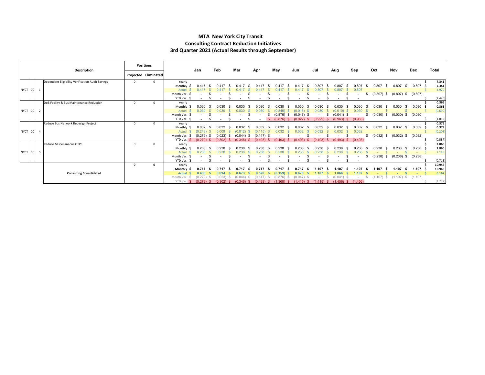#### **MTA New York City Transit Consulting Contract Reduction Initiatives 3rd Quarter 2021 (Actual Results through September)**

|           |  |                                                  |              | <b>Positions</b>     |                              |              |                 |              |              |     |              |                              |                                                                            |                |            |                              |                                     |      |                           |       |              |                        |         |
|-----------|--|--------------------------------------------------|--------------|----------------------|------------------------------|--------------|-----------------|--------------|--------------|-----|--------------|------------------------------|----------------------------------------------------------------------------|----------------|------------|------------------------------|-------------------------------------|------|---------------------------|-------|--------------|------------------------|---------|
|           |  | Description                                      |              | Projected Eliminated |                              | Jan          | Feb             |              | Mar          | Apr |              | May                          | Jun                                                                        | Jul            | Aug        |                              | Sep                                 |      | Oct                       | Nov   |              | <b>Dec</b>             | Total   |
|           |  | Dependent Eligibility Verification Audit Savings | $\Omega$     | $\mathbf{0}$         | Yearly                       |              |                 |              |              |     |              |                              |                                                                            |                |            |                              |                                     |      |                           |       |              |                        | 7.341   |
|           |  |                                                  |              |                      | Monthly \$                   | 0.417        | 0.417           |              |              |     | 0.417        | N 417                        |                                                                            | 0.807          | 0.807      |                              | 0.807                               | - 35 | 0.807<br>- \$             |       | $0.807$ \$   | 0.807                  | 7.341   |
| NYCT CC 1 |  |                                                  |              |                      | Actual                       | 0.417        |                 |              | 0.417        |     |              |                              |                                                                            | 0.807          | 0.807      |                              | 0.807                               |      |                           |       |              |                        | 4.920   |
|           |  |                                                  |              |                      | Month Var. \$                |              |                 |              |              |     |              |                              |                                                                            |                |            |                              |                                     | s.   | $(0.807)$ \$ $(0.807)$ \$ |       |              | (0.807)                |         |
|           |  |                                                  |              |                      | YTD Var. \$                  |              |                 |              |              |     |              |                              |                                                                            |                |            |                              |                                     |      |                           |       |              |                        | (2.420) |
|           |  | DoB Facility & Bus Maintenance Reduction         | $\Omega$     | n                    | Yearly                       |              |                 |              |              |     |              |                              |                                                                            |                |            |                              |                                     |      |                           |       |              |                        | 0.365   |
|           |  |                                                  |              |                      | Monthly \$                   | 0.030        | 0.030           |              |              |     | 0.030        | 0.030                        | 0.030                                                                      | 0.030          |            | 0.030                        | 0.030                               |      |                           | 0.030 |              | 0.030                  | 0.365   |
| NYCT CC 2 |  |                                                  |              |                      | Actual                       | 0.030        | 0.030           |              | 0.030        |     | 0.030        | $(0.845)$ \$                 | $(0.016)$ \$                                                               | 0.030          |            | $(0.010)$ \$<br>$(0.041)$ \$ | 0.030                               |      | $(0.030)$ \$              |       | $(0.030)$ \$ | $\sim$ 10 $\pm$        | (0.690) |
|           |  |                                                  |              |                      | Month Var. \$<br>YTD Var. \$ |              |                 |              |              |     |              | $(0.876)$ \$<br>$(0.876)$ \$ | $(0.047)$ \$<br>(0.922)                                                    | (0.922)        | -SS<br>-SS | $(0.963)$ \$                 | $\overline{\phantom{a}}$<br>(0.963) | S    |                           |       |              | (0.030)                | (1.055) |
|           |  |                                                  | $\mathbf{0}$ | $\Omega$             | Yearly                       | $\sim$       |                 |              |              |     |              |                              |                                                                            | -SS            |            |                              |                                     |      |                           |       |              |                        | 0.379   |
|           |  | Reduce Bus Network Redesign Project              |              |                      | Monthly                      | 0.032        | 0.032           |              | 0.032        |     | 0.032        | 0.032                        | 0.032                                                                      | 0.032          |            | 0.032                        | 0.032                               |      | 0.032<br>- \$             |       | $0.032$ \$   | $0.032 \cdot$ \$       | 0.379   |
| NYCT CC 4 |  |                                                  |              |                      | Actual                       | (0.248)      | 0.009           |              | (0.012)      |     | $(0.115)$ \$ | 0.032                        | 0.032                                                                      | 0.032          |            | 0.032                        | 0.032                               |      |                           |       |              |                        | (0.208) |
|           |  |                                                  |              |                      | Month Var.                   | 0.279        | (0.023)<br>- 96 |              | (0.044)      |     | $(0.147)$ \$ |                              |                                                                            |                |            |                              | $\overline{\phantom{0}}$            | S    | $(0.032)$ \$              |       | $(0.032)$ \$ | (0.032)                |         |
|           |  |                                                  |              |                      | YTD Var.                     | (0.279)      | (0.302)         | - 35         | (0.346)      |     | $(0.493)$ \$ | (0.493)                      | (0.493)<br>- \$                                                            | (0.493)<br>- S |            | $(0.493)$ \$                 | (0.493)                             |      |                           |       |              |                        | (0.587) |
|           |  | Reduce Miscellaneous OTPS                        | $\Omega$     | $\Omega$             | Yearly                       |              |                 |              |              |     |              |                              |                                                                            |                |            |                              |                                     |      |                           |       |              |                        | 2.860   |
|           |  |                                                  |              |                      | Monthly \$                   | 0.238        | 1.238           |              |              |     | 0.238        | 0.238                        | 0.238                                                                      | 0.238          |            | 0.238                        | 0.238                               |      | 0.238                     | 0.238 |              | 0.238                  | 2.860   |
| NYCT CC 5 |  |                                                  |              |                      | Actual                       | 0.238        | 0.238           |              | 0.238        |     | 0.238        | 0.238                        | 0.238                                                                      | 0.238          |            | 0.238                        | 0.238                               |      |                           |       |              | <b>Section</b>         | 2.145   |
|           |  |                                                  |              |                      | Month Var. \$                |              |                 |              |              |     |              |                              |                                                                            |                |            |                              |                                     | S    | $(0.238)$ \$              |       | $(0.238)$ \$ | (0.238)                |         |
|           |  |                                                  |              |                      | YTD Var. \$                  |              |                 |              |              |     |              |                              |                                                                            |                |            |                              |                                     |      |                           |       |              |                        | (0.715) |
|           |  |                                                  | $\mathbf{0}$ | $\mathbf{0}$         | Yearly                       |              |                 |              |              |     |              |                              |                                                                            |                |            |                              |                                     |      |                           |       |              |                        | 10.945  |
|           |  |                                                  |              |                      | Monthly \$                   | 0.717        | 0.717           |              |              |     | 0.717        | 0.717                        | 0.717                                                                      | 1.107          | 1.107      |                              | 1.107                               |      | 1.107                     | 1.107 |              | 1.107                  | 10.945  |
|           |  | <b>Consulting Consolidated</b>                   |              |                      | <b>Actual</b>                | 0.438        | 0.694           |              | 0.673        |     | 0.570        | (0.159)                      | 0.670                                                                      | 1.107          |            | 860.1                        | 1.107                               |      |                           |       |              | $\sim$                 | 6.167   |
|           |  |                                                  |              |                      | Month Var.                   | (0.279)      | (0.023)         |              | (0.044)      |     | (0.147)      | (0.876)                      | (0.047)                                                                    |                |            | (0.041)                      | $\sim$                              |      | $(1.107)$ \$              |       |              | $(1.107)$ \$ $(1.107)$ |         |
|           |  |                                                  |              |                      | YTD Var. \$                  | $(0.279)$ \$ |                 | $(0.302)$ \$ | $(0.346)$ \$ |     |              |                              | $(0.493)$ \$ $(1.368)$ \$ $(1.415)$ \$ $(1.415)$ \$ $(1.456)$ \$ $(1.456)$ |                |            |                              |                                     |      |                           |       |              |                        | (4.777) |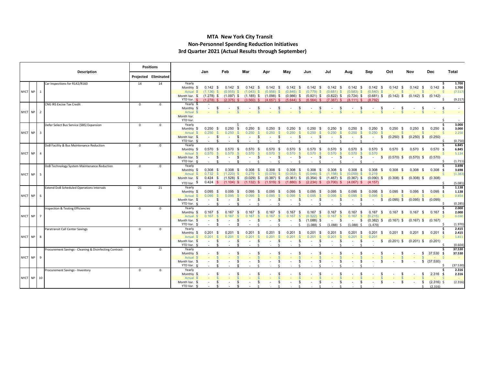#### **MTA New York City Transit Non‐Personnel Spending Reduction Initiatives 3rd Quarter 2021 (Actual Results through September)**

r

|         |              | <b>Description</b>                                     |              | <b>Positions</b>     |                                                                   | Jan                                                   | Feb                                                                | Mar                                                              |                                                                |                                                              |                                                                      | Jul                                                            |                                                                     |                                                         | Oct                                            | Nov                                           | <b>Dec</b>                                        | Total                                |
|---------|--------------|--------------------------------------------------------|--------------|----------------------|-------------------------------------------------------------------|-------------------------------------------------------|--------------------------------------------------------------------|------------------------------------------------------------------|----------------------------------------------------------------|--------------------------------------------------------------|----------------------------------------------------------------------|----------------------------------------------------------------|---------------------------------------------------------------------|---------------------------------------------------------|------------------------------------------------|-----------------------------------------------|---------------------------------------------------|--------------------------------------|
|         |              |                                                        |              | Projected Eliminated |                                                                   |                                                       |                                                                    |                                                                  | Apr                                                            | May                                                          | Jun                                                                  |                                                                | Aug                                                                 | Sep                                                     |                                                |                                               |                                                   |                                      |
| NYCT NP | $\mathbf{1}$ | Car Inspections for R142/R160                          | 14           | 14                   | Yearly<br>Monthly \$<br>Actual \$<br>Month Var. \$<br>YTD Var. \$ | $0.142$ \$<br>(1.136)<br>$(1.278)$ \$<br>$(1.278)$ \$ | 0.142<br>-S<br>(0.955)<br><b>S</b><br>$(1.097)$ \$<br>$(2.375)$ \$ | 0.142<br>- \$<br>(1.043)<br>- \$<br>$(1.185)$ \$<br>$(3.560)$ \$ | 0.142<br>- S<br>(0.956)<br>- 5<br>$(1.098)$ \$<br>$(4.657)$ \$ | $0.142$ \$<br>(0.845)<br>-S<br>$(0.986)$ \$<br>$(5.644)$ \$  | 0.142<br>- \$<br>(0.779)<br>-S<br>$(0.921)$ \$<br>$(6.564)$ \$       | 0.142<br>- \$<br>(0.681)<br>-S<br>$(0.822)$ \$<br>$(7.387)$ \$ | 0.142<br>- S<br>(0.583)<br>- \$<br>$(0.724)$ \$<br>$(8.111)$ \$     | $0.142$ \$<br>(0.540)<br>$(0.681)$ \$<br>(8.792)        | 0.142<br>- \$<br>£.<br>$(0.142)$ \$            | $0.142$ \$<br><sup>\$</sup><br>$(0.142)$ \$   | $0.142 \cdot$ \$<br>S.<br>(0.142)<br>Ŝ            | 1.700<br>1.700<br>(7.517)<br>(9.217) |
|         | NYCT NP 2    | CNG IRS Excise Tax Credit                              | $\circ$      | $\mathbf 0$          | Yearly \$<br>Monthly \$<br>Actual \$<br>Month Var.<br>YTD Var.    | Ŝ.                                                    | £.                                                                 |                                                                  |                                                                |                                                              |                                                                      |                                                                |                                                                     |                                                         |                                                |                                               |                                                   |                                      |
|         | NYCT NP 3    | Defer Select Bus Service (SBS) Expansion               | $\mathbf 0$  | $\Omega$             | Yearly<br>Monthly \$<br>Actual \$<br>Month Var. \$<br>YTD Var. \$ | $0.250$ \$<br>0.250                                   | 0.250<br>- \$<br>0.250<br>- 93                                     | 0.250<br>- \$<br>0.250                                           | 0.250<br>0.250                                                 | $0.250$ \$<br>0.250<br>- \$                                  | 0.250<br>- \$<br>0.250<br>\$                                         | 0.250<br>- \$<br>0.250<br>- \$<br>$\overline{\phantom{a}}$     | 0.250<br>0.250<br>$\sim$                                            | 0.250<br>- \$<br>0.250<br>S.<br>$\sim$                  | 0.250<br>- \$<br>$\mathbf{\$}$<br>$(0.250)$ \$ | 0.250<br>- \$<br>$\mathbb{S}$<br>$(0.250)$ \$ | $0.250$ \$<br>$\mathsf{S}$<br>(0.250)<br>$\leq$   | 3.000<br>3.000<br>2.250<br>(0.750)   |
|         | NYCT NP 4    | DoB Facility & Bus Maintenance Reduction               | $\mathbf{0}$ | $\Omega$             | Yearly<br>Monthly \$<br>Actual<br>Month Var. \$<br>YTD Var. \$    | 0.570<br>- \$<br>0.570<br>$\mathcal{L}$               | 0.570<br>- \$<br>0.570<br>£.                                       | 0.570<br>- \$<br>0.570<br>$\overline{\phantom{a}}$               | 0.570<br>- \$<br>0.570                                         | 0.570<br>- \$<br>0.570<br>$\mathfrak{L}$                     | 0.570<br>- \$<br>0.570<br>$\mathbf{s}$<br>\$.                        | 0.570<br>- \$<br>0.570<br>- \$<br>$\overline{\phantom{a}}$     | 0.570<br>- \$<br>0.570<br>$\mathcal{S}$<br>S.<br>$\sim$             | $0.570$ \$<br>0.570<br>S.<br>$\overline{\phantom{a}}$   | $0.570$ \$<br>$(0.570)$ \$                     | $0.570$ \$<br>$(0.570)$ \$                    | $0.570$ \$<br>(0.570)<br>S.                       | 6.845<br>6.845<br>5.134<br>(1.711)   |
|         | NYCT NP 5    | DoB Technology System Maintenance Reduction            | $^{\circ}$   | $\Omega$             | Yearly<br>Monthly \$<br>Actual<br>Month Var. \$<br>YTD Var. \$    | $0.308$ \$<br>0.732<br>$0.424$ \$<br>$0.424$ \$       | 0.308<br>- \$<br>(1.220)<br>$(1.528)$ \$<br>$(1.104)$ \$           | 0.308<br>- \$<br>0.279<br>- \$<br>$(0.029)$ \$<br>$(1.132)$ \$   | 0.308<br>- \$<br>(0.078)<br>-S<br>$(0.387)$ \$<br>$(1.519)$ \$ | $0.308$ \$<br>(0.053)<br>-SS<br>$(0.361)$ \$<br>$(1.880)$ \$ | 0.308<br>- \$<br>(0.046)<br><b>S</b><br>$(0.354)$ \$<br>$(2.234)$ \$ | 0.308<br>- 35<br>(1.158)<br>S<br>$(1.467)$ \$<br>$(3.700)$ \$  | 0.308<br>- \$<br>$(0.059)$ \$<br>$(0.367)$ \$<br>$(4.067)$ \$       | 0.308<br>- \$<br>0.219<br>$(0.090)$ \$<br>(4.157)       | $0.308$ \$<br>$(0.308)$ \$                     | $0.308$ \$<br>$(0.308)$ \$                    | $0.308$ \$<br>(0.308)<br>-S                       | 3.698<br>3.698<br>(1.383)<br>(5.081) |
|         | NYCT NP 6    | <b>Extend DoB Scheduled Operations Intervals</b>       | 21           | 21                   | Yearly<br>Monthly \$<br>Actual \$<br>Month Var. \$<br>YTD Var. \$ | 0.095<br>- \$<br>0.095                                | 0.095<br>- 55<br>0.095<br>- \$                                     | 0.095<br>0.095<br>-93                                            | 0.095<br>0.095                                                 | 0.095<br>0.095<br>£.                                         | 0.095<br>0.095<br>$\mathcal{F}$<br>\$                                | 0.095<br>0.095<br>- \$<br>-S                                   | 0.095<br>0.095<br>- \$<br>$\overline{\phantom{a}}$                  | 0.095<br>- 95<br>0.095<br>\$<br>$\sim$                  | 0.095<br>- 9<br>$\mathbb{S}$<br>$(0.095)$ \$   | 0.095<br>- \$<br>$\mathbb{S}$<br>$(0.095)$ \$ | $0.095$ \$<br>$\leq$<br>÷<br>(0.095)              | 1.138<br>1.138<br>0.854<br>(0.285)   |
|         | NYCT NP 7    | nspection & Testing Efficiencies                       | $\mathbf{0}$ | $\overline{0}$       | Yearly<br>Monthly \$<br>Actual<br>Month Var. \$<br>YTD Var. \$    | $0.167$ \$<br>-96                                     | 0.167<br>- \$                                                      | 0.167<br>- \$                                                    | 0.167<br>- \$<br>0.167                                         | $0.167$ \$<br>0.167<br>\$<br>$\ddot{\phantom{1}}$            | $0.167$ \$<br>(0.922)<br><b>S</b><br>$(1.088)$ \$<br>$(1.088)$ \$    | 0.167<br>- \$<br>0.167<br>- \$<br>$\sim$<br>$(1.088)$ \$       | $0.167$ \$<br>0.167<br>$\mathbb{S}$<br>\$<br>$\sim$<br>$(1.088)$ \$ | $0.167$ \$<br>(0.215)<br>$(0.382)$ \$<br>(1.470)        | $0.167$ \$<br>$(0.167)$ \$                     | $0.167$ \$<br>$(0.167)$ \$                    | $0.167$ \$<br>(0.167)<br>S.                       | 2.000<br>2.000<br>0.030<br>(1.970)   |
|         | NYCT NP 8    | Paratransit Call Center Savings                        | $\Omega$     | $\Omega$             | Yearly<br>Monthly \$<br>Actual<br>Month Var. \$<br>YTD Var. \$    | 0.201<br>0.201<br>-96                                 | 0.201<br>- \$<br>0.201<br>$\mathcal{S}$<br>£.                      | 0.201<br>0.201<br>$\mathcal{S}$                                  | 0.201<br>0.201                                                 | 0.201<br>- \$<br>0.201<br>-\$                                | 0.201<br>0.201<br>$\mathbf{\$}$<br>\$.                               | 0.201<br>0.201<br>$\mathcal{S}$<br>- \$                        | 0.201<br>0.201<br>$\mathbb{S}$<br>$\overline{\phantom{a}}$<br>- 35  | $0.201$ \$<br>0.201<br>- \$<br>$\overline{\phantom{a}}$ | $0.201$ \$<br>$(0.201)$ \$                     | $0.201$ \$<br>$(0.201)$ \$                    | $0.201$ \$<br>(0.201)<br>Ŝ.                       | 2.415<br>2.415<br>1.811<br>(0.604)   |
|         | NYCT NP 9    | Procurement Savings - Cleaning & Disinfecting Contract | $^{\circ}$   | $\Omega$             | Yearly<br>Monthly \$<br>Actual<br>Month Var. \$<br>YTD Var. 9     |                                                       |                                                                    |                                                                  |                                                                |                                                              |                                                                      |                                                                |                                                                     |                                                         | -S                                             | S.<br>$\mathbf{s}$<br>$\sim$<br>S.            | $37.530$ \$<br>$\sim 10$<br>-Ś.<br>(37.530)<br>S. | 37.530<br>37.530<br>(37.530)         |
|         | NYCT NP 10   | Procurement Savings - Inventory                        | $\circ$      | $\mathbf{0}$         | Yearly<br>Monthly \$<br>Actual \$<br>Month Var. \$<br>YTD Var. \$ |                                                       |                                                                    |                                                                  |                                                                |                                                              |                                                                      |                                                                |                                                                     |                                                         |                                                | £.<br>S<br>$\ddot{\phantom{1}}$               | $2.316$ \$<br>$(2.316)$ \$<br>(2.316)             | 2.316<br>2.316<br>(2.316)            |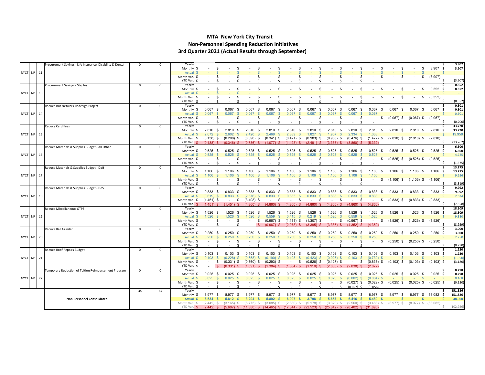#### **MTA New York City Transit Non‐Personnel Spending Reduction Initiatives 3rd Quarter 2021 (Actual Results through September)**

|            | Procurement Savings - Life Insurance, Disability & Dental | $^{\circ}$   | n              | Yearly                         |                              |                                |                                 |                |                                              |                                         |                                                                                                        |                               |                                |                           |                          |                                    | 3.907             |
|------------|-----------------------------------------------------------|--------------|----------------|--------------------------------|------------------------------|--------------------------------|---------------------------------|----------------|----------------------------------------------|-----------------------------------------|--------------------------------------------------------------------------------------------------------|-------------------------------|--------------------------------|---------------------------|--------------------------|------------------------------------|-------------------|
|            |                                                           |              |                | Monthly \$                     |                              |                                |                                 |                |                                              |                                         |                                                                                                        |                               |                                |                           | £.                       | 3.907<br>- Ś                       | 3.907             |
| NYCT NP 11 |                                                           |              |                | Actual                         |                              |                                |                                 |                |                                              |                                         |                                                                                                        |                               |                                |                           | -S                       | <b>Section</b>                     |                   |
|            |                                                           |              |                | Month Var. \$                  |                              |                                |                                 |                |                                              |                                         |                                                                                                        |                               |                                |                           | \$                       | (3.907)                            |                   |
|            |                                                           |              |                | YTD Var. \$                    |                              |                                |                                 |                |                                              |                                         |                                                                                                        |                               |                                |                           |                          | $\leq$                             | (3.907)           |
|            | Procurement Savings - Staples                             | $\mathbf{0}$ | $\Omega$       | Yearly                         |                              |                                |                                 |                |                                              |                                         |                                                                                                        |                               |                                |                           |                          |                                    | 0.352             |
|            |                                                           |              |                | Monthly \$                     | ¢                            | \$.                            | - \$                            |                | $\mathbf{\hat{z}}$                           | \$<br>$\mathfrak{F}$                    | - \$                                                                                                   |                               | -96                            | -S                        | -96                      | $0.352$ \$                         | 0.352             |
| NYCT NP 13 |                                                           |              |                | Actual \$                      |                              |                                |                                 |                |                                              |                                         |                                                                                                        |                               |                                |                           |                          |                                    |                   |
|            |                                                           |              |                | Month Var. \$                  |                              |                                |                                 |                |                                              |                                         |                                                                                                        |                               |                                |                           | - \$                     | (0.352)                            |                   |
|            |                                                           |              |                | YTD Var. 9                     |                              |                                |                                 |                |                                              |                                         |                                                                                                        |                               |                                |                           |                          | ₿,                                 | (0.352)           |
|            | Reduce Bus Network Redesign Project                       | $\mathbf{0}$ | $\Omega$       | Yearly                         |                              |                                |                                 |                |                                              |                                         |                                                                                                        |                               |                                |                           |                          |                                    | 0.801             |
|            |                                                           |              |                | Monthly \$                     | $0.067$ \$                   | 0.067<br>- \$                  | 0.067<br>- \$                   | 0.067          | 0.067<br>- \$                                | \$<br>0.067<br>- \$                     | 0.067<br>- \$                                                                                          | 0.067<br>- \$                 | 0.067<br>- \$                  | $0.067$ \$                | 0.067<br>- \$            | 0.067<br>- Ś                       | 0.801             |
| NYCT NP 14 |                                                           |              |                | Actual \$                      | 0.067<br>$\mathbf{\$}$       | 0.067<br>$\mathcal{S}$         | 0.067<br>$\mathcal{S}$          | 0.067          | 0.067                                        | 0.067<br>$\mathcal{S}$                  | 0.067<br>$\mathcal{S}$                                                                                 | 0.067<br>$\mathbb{S}$         | 0.067                          |                           |                          |                                    | 0.601             |
|            |                                                           |              |                | Month Var. \$                  | -9                           | \$                             | -\$                             |                | Ŝ.                                           | -\$<br>- \$                             | - \$                                                                                                   | - \$<br>$\sim$                | \$<br>$\sim$                   | $(0.067)$ \$              | $(0.067)$ \$             | (0.067)                            |                   |
|            |                                                           |              |                | YTD Var. \$                    |                              |                                |                                 |                |                                              |                                         |                                                                                                        |                               |                                |                           |                          |                                    | (0.200)           |
|            | <b>Reduce Card Fees</b>                                   | $\mathbf 0$  | $\mathbf 0$    | Yearly                         |                              |                                |                                 |                |                                              |                                         |                                                                                                        |                               |                                |                           |                          |                                    | 33.720            |
|            |                                                           |              |                | Monthly \$                     | $2.810$ \$                   | $2.810$ \$                     | 2.810<br>- \$                   | 2.810          | $2.810$ \$<br>- \$                           | 2.810<br>- \$                           | 2.810<br>- \$                                                                                          | 2.810<br>- \$                 | $2.810$ \$                     | $2.810$ \$                | $2.810$ \$               | $2.810 \quad$ \$                   | 33.720            |
| NYCT NP 15 |                                                           |              |                | Actual                         | 2.672                        | 2.602<br>$\mathbb{S}$          | 2.420<br>$\mathbf{\$}$          | 2.469          | 2.389                                        | 1.827<br>- 93                           | 1.907                                                                                                  | 2.334<br>$\mathbb{S}$         | 1.338                          |                           |                          |                                    | 19.958            |
|            |                                                           |              |                | Month Var. \$                  | $(0.138)$ \$                 | $(0.208)$ \$                   | $(0.390)$ \$                    | $(0.341)$ \$   | $(0.421)$ \$                                 | $(0.983)$ \$                            | $(0.903)$ \$                                                                                           | $(0.476)$ \$                  |                                | $(1.472)$ \$ $(2.810)$ \$ | $(2.810)$ \$             | (2.810)                            |                   |
|            |                                                           |              |                | YTD Var. \$                    | $(0.138)$ \$                 | $(0.346)$ \$                   | $(0.736)$ \$                    | $(1.077)$ \$   | $(1.498)$ \$                                 | $(2.481)$ \$                            | $(3.385)$ \$                                                                                           | $(3.860)$ \$                  | (5.332)                        |                           |                          | $\leq$                             | (13.762)          |
|            | Reduce Materials & Supplies Budget - All Other            | $^{\circ}$   | $\Omega$       | Yearly                         | $0.525$ \$                   | $0.525$ \$                     | 0.525                           | 0.525          |                                              | $0.525$ \$                              | 0.525                                                                                                  | $0.525$ \$                    | $0.525$ \$                     | $0.525$ \$                |                          |                                    | 6.300             |
| NYCT NP 16 |                                                           |              |                | Monthly \$<br>Actual           | 0.525                        | 0.525<br>$\mathcal{S}$         | - \$<br>0.525<br>$\mathbf{\$}$  | 0.525          | $0.525$ \$<br>- \$<br>0.525<br>$\mathcal{S}$ | 0.525<br>$\mathcal{L}$<br>$\mathbf{\$}$ | - 5<br>0.525<br>-S                                                                                     | 0.525<br>$\mathbb{S}$         | 0.525                          |                           | $0.525$ \$               | $0.525$ \$                         | 6.300<br>4.725    |
|            |                                                           |              |                | Month Var. \$                  | -96                          | - \$                           | - \$                            | $\sim$         | Ŝ.                                           | \$<br>$\overline{\phantom{a}}$          | \$<br>- \$<br>$\overline{\phantom{a}}$                                                                 | - \$<br>$\sim$                | \$<br>$\sim$                   | $(0.525)$ \$              | $(0.525)$ \$             | (0.525)                            |                   |
|            |                                                           |              |                | YTD Var. \$                    |                              | S                              |                                 |                |                                              |                                         |                                                                                                        |                               |                                |                           |                          | $\mathsf{S}$                       | (1.575)           |
|            | Reduce Materials & Supplies Budget - DoB                  | $\mathbf{0}$ | $\Omega$       | Yearly                         |                              |                                |                                 |                |                                              |                                         |                                                                                                        |                               |                                |                           |                          |                                    | 13.275            |
|            |                                                           |              |                | Monthly \$                     | $1.106$ \$                   | 1.106<br>- \$                  | 1.106<br>- \$                   | 1.106          | $1.106$ \$<br>- \$                           | 1.106<br>- \$                           | 1.106<br>- \$                                                                                          | $1.106$ \$                    | $1.106$ \$                     | $1.106$ \$                | 1.106 \$                 | 1.106<br>- \$                      | 13.275            |
| NYCT NP 17 |                                                           |              |                | Actual                         | 1.106                        | $\mathcal{S}$<br>1.106         | 1.106<br>$\mathcal{S}$          | 1.106          | 1.106                                        | 1.106                                   | $\mathbf{\hat{S}}$<br>1.106<br>$\mathbf{\$}$                                                           | 1.106<br>$\mathbb{S}$         | 1.106                          |                           |                          |                                    | 9.956             |
|            |                                                           |              |                | Month Var. \$                  |                              | £.                             | - \$                            |                | -S                                           | \$                                      | S.<br>- \$                                                                                             | - \$<br>$\sim$                | \$<br>$\overline{\phantom{a}}$ | $(1.106)$ \$              | $(1.106)$ \$ $(1.106)$   |                                    |                   |
|            |                                                           |              |                | YTD Var. \$                    |                              |                                |                                 |                |                                              |                                         |                                                                                                        |                               |                                |                           |                          | ₿,                                 | (3.319)           |
|            | Reduce Materials & Supplies Budget - DoS                  | $\mathbf 0$  | $\Omega$       | Yearly                         |                              |                                |                                 |                |                                              |                                         |                                                                                                        |                               |                                |                           |                          |                                    | 9.992             |
|            |                                                           |              |                | Monthly \$                     | $0.833$ \$                   | 0.833<br>- \$                  | $0.833$ \$                      | 0.833          | $0.833$ \$<br>- \$                           | 0.833<br>- \$                           | 0.833<br>- \$                                                                                          | $0.833$ \$                    | $0.833$ \$                     | $0.833$ \$                | $0.833$ \$               | $0.833$ \$                         | 9.992             |
| NYCT NP 18 |                                                           |              |                | Actual                         | (0.619)                      | 0.833<br>- S                   | $(2.576)$ \$                    | 0.833          | 0.833                                        | 0.833<br>$\mathcal{S}$                  | 0.833<br>$\mathbb{S}$<br>$\mathbf{s}$                                                                  | 0.833<br>$\mathbb{S}$         | 0.833                          |                           |                          |                                    | 2.634             |
|            |                                                           |              |                | Month Var. \$                  | $(1.451)$ \$                 | \$<br>$\sim$                   | $(3.408)$ \$                    | $\sim$         | - \$                                         | \$                                      | \$<br>- \$<br>$\sim$                                                                                   | - \$<br>$\sim$                | - \$<br>$\sim$                 | $(0.833)$ \$              | $(0.833)$ \$             | (0.833)                            |                   |
|            |                                                           |              |                | YTD Var. \$                    | $(1.451)$ \$                 | $(1.451)$ \$                   | $(4.860)$ \$                    | $(4.860)$ \$   | $(4.860)$ \$                                 | $(4.860)$ \$                            | $(4.860)$ \$                                                                                           | $(4.860)$ \$                  | (4.860)                        |                           |                          |                                    | (7.358)           |
|            | <b>Reduce Miscellaneous OTPS</b>                          | $\mathbf{0}$ | $\Omega$       | Yearly                         |                              |                                |                                 |                |                                              |                                         |                                                                                                        |                               |                                |                           |                          |                                    | 18.309            |
|            |                                                           |              |                | Monthly \$                     | $1.526$ \$                   | 1.526<br>- \$                  | 1.526<br>- \$                   | 1.526          | $1.526$ \$<br>- \$                           | $1.526$ \$                              | $1.526$ \$                                                                                             | $1.526$ \$                    | $1.526$ \$                     | $1.526$ \$                | 1.526 \$                 | 1.526<br>- \$                      | 18.309            |
| NYCT NP 19 |                                                           |              |                | Actual \$                      | 1.526                        | 1.526<br>-S                    | 1.526<br>- \$                   | 0.559          | $0.415$ \$<br>-8                             | $0.219$ \$                              | 1.526<br>- S                                                                                           | 0.559<br>- S                  | 1.526                          |                           |                          |                                    | 9.380             |
|            |                                                           |              |                | Month Var. \$<br>YTD Var. 9    |                              | £.                             | \$                              | $(0.967)$ \$   | $(1.111)$ \$                                 | $(1.307)$ \$<br>(3.385)                 | - \$<br>$\sim$                                                                                         | $(0.967)$ \$                  | \$<br>$\sim$                   | $(1.526)$ \$              | $(1.526)$ \$             | (1.526)                            | (8.929)           |
|            |                                                           |              |                |                                |                              |                                |                                 | (0.967)        | (2.078)                                      |                                         | (3.385)                                                                                                | (4.352)                       | (4.352)                        |                           |                          |                                    | 3.000             |
|            | Reduce Rail Grinder                                       | $\circ$      | $\overline{0}$ | Yearly<br>Monthly \$           | 0.250<br>- \$                | 0.250<br>- \$                  | 0.250<br>- \$                   | 0.250          | 0.250<br>- \$<br><b>S</b>                    | 0.250<br>- \$                           | 0.250<br>- \$                                                                                          | $0.250$ \$                    | $0.250$ \$                     | $0.250$ \$                | $0.250$ \$               | 0.250<br>- Ś                       | 3.000             |
| NYCT NP 20 |                                                           |              |                | Actual \$                      | 0.250<br>- \$                | 0.250<br>$\mathcal{S}$         | 0.250<br>- \$                   | 0.250          | 0.250                                        | 0.250<br>- \$                           | 0.250<br>-S                                                                                            | 0.250<br>-S                   | 0.250                          |                           |                          |                                    | 2.250             |
|            |                                                           |              |                | Month Var. \$                  | -S                           | -S                             | - \$                            |                | -S                                           | -\$<br>-S                               | - \$<br>$\overline{\phantom{a}}$                                                                       | - \$<br>$\sim$                | S.<br>$\sim$                   | $(0.250)$ \$              | $(0.250)$ \$             | (0.250)                            |                   |
|            |                                                           |              |                | YTD Var. \$                    | $\hat{\mathcal{L}}$          | \$.                            |                                 |                | -c                                           |                                         |                                                                                                        |                               |                                |                           |                          |                                    | (0.750)           |
|            | <b>Reduce Roof Repairs Budget</b>                         | $^{\circ}$   | $\Omega$       | Yearly                         |                              |                                |                                 |                |                                              |                                         |                                                                                                        |                               |                                |                           |                          |                                    | 1.230             |
|            |                                                           |              |                | Monthly \$                     | 0.103<br>- \$                | 0.103<br>- \$                  | $0.103$ \$                      | $0.103$ \$     | $0.103$ \$                                   | $0.103$ \$                              | $0.103$ \$                                                                                             | 0.103<br>- \$                 | $0.103$ \$                     | 0.103<br>- \$             | 0.103<br>- \$            | $0.103 \quad$ \$                   | 1.230             |
| NYCT NP 21 |                                                           |              |                | Actual \$                      | 0.103<br><b>S</b>            | $(0.228)$ \$                   | $(0.658)$ \$                    | $(0.190)$ \$   | 0.103<br><b>S</b>                            | $(0.423)$ \$                            | $(0.025)$ \$                                                                                           | 0.103<br>$\mathbb{S}$         | (0.732)                        |                           | $\mathcal{F}$            |                                    | (1.950)           |
|            |                                                           |              |                | Month Var. \$                  | - \$                         | $(0.331)$ \$                   | $(0.760)$ \$                    | $(0.293)$ \$   | $\sim$                                       | $(0.526)$ \$<br>- \$                    | $(0.127)$ \$                                                                                           | - \$<br>$\sim$                | $(0.835)$ \$                   | $(0.103)$ \$              | $(0.103)$ \$             | $(0.103)$ \$                       | (3.180)           |
|            |                                                           |              |                | YTD Var. \$                    | - S                          | $(0.331)$ \$                   | $(1.091)$ \$                    | $(1.384)$ \$   | $(1.384)$ \$                                 | $(1.910)$ \$                            | $(2.038)$ \$                                                                                           | $(2.038)$ \$                  | (2.872)                        |                           |                          |                                    |                   |
|            | Temporary Reduction of Tuition Reimbursement Program      | $^{\circ}$   | $\Omega$       | Yearly                         |                              |                                |                                 |                |                                              |                                         |                                                                                                        |                               |                                |                           |                          |                                    | 0.298             |
|            |                                                           |              |                | Monthly \$                     | 0.025<br>- \$                | 0.025<br>- \$                  | 0.025<br>- \$                   | 0.025          | $0.025$ \$<br>- \$                           | 0.025<br>- \$                           | 0.025<br>- \$                                                                                          | 0.025<br>- \$                 | 0.025<br>- \$                  | 0.025<br>-\$              | 0.025<br>- \$            | $0.025$ \$                         | 0.298             |
| NYCT NP 22 |                                                           |              |                | Actual                         | 0.025<br>- \$                | 0.025<br>$\mathbb{S}$          | 0.025<br>$\mathbb{S}$           | 0.025          | 0.025<br>$\mathbf{\hat{s}}$                  | 0.025<br>$\mathbb{S}$                   | 0.025<br>$\mathbb{S}$<br>$\mathbb{S}$                                                                  | $(0.002)$ \$                  | $(0.004)$ \$                   | $\mathcal{S}$             | $\mathcal{S}$            |                                    | 0.168             |
|            |                                                           |              |                | Month Var. \$                  | Ŝ.<br>$\sim$                 | -S<br>$\sim$                   | -\$<br>$\overline{\phantom{a}}$ | $\sim$         | Ŝ.<br>$\overline{\phantom{a}}$               | \$<br>$\sim$                            | \$<br>- \$<br>$\sim$                                                                                   | $(0.027)$ \$                  | $(0.029)$ \$                   | $(0.025)$ \$              | $(0.025)$ \$             | $(0.025)$ \$                       | (0.130)           |
|            |                                                           |              |                | YTD Var. \$                    |                              | £.                             |                                 |                |                                              |                                         |                                                                                                        | $(0.027)$ \$                  | (0.056)                        |                           |                          |                                    |                   |
|            |                                                           | 35           | 35             | Yearly                         |                              |                                |                                 |                |                                              |                                         |                                                                                                        |                               |                                |                           |                          |                                    | 151.826           |
|            |                                                           |              |                | Monthly \$                     | 8.977<br>- S<br>6.534<br>- S | 8.977<br>- \$<br>5.812<br>- \$ | 8.977<br>- \$<br>3.204<br>- \$  | 8.977<br>5.892 | 8.977<br>- S<br>6.097<br>-53                 | 8.977<br>- \$<br>3.798<br>-S            | 8.977<br>- \$<br>- 5<br>-S                                                                             | 8.977<br>- 35<br>6.416<br>- S | 8.977<br>5.489                 | 8.977<br>- \$<br><b>S</b> | 8.977<br>- \$<br>-S<br>۰ | 53.082 \$<br>- 9<br><b>Section</b> | 151.826<br>48.900 |
|            | <b>Non-Personnel Consolidated</b>                         |              |                | <b>Actual</b><br>Month Var. \$ | $(2.442)$ \$                 | $(3.165)$ \$                   | $(5.773)$ \$                    | $(3.085)$ \$   | $(2.880)$ \$                                 | $(5.178)$ \$                            | 5.657<br>$(3.320)$ \$                                                                                  | $(2.560)$ \$                  | $(3.488)$ \$                   | $(8.977)$ \$              | $(8.977)$ \$ $(53.082)$  |                                    |                   |
|            |                                                           |              |                | YTD Var. \$                    |                              |                                |                                 |                |                                              |                                         | (2.442) \$ (5.607) \$ (11.380) \$ (14.465) \$ (17.344) \$ (22.523) \$ (25.842) \$ (28.402) \$ (31.890) |                               |                                |                           |                          |                                    | (102.926)         |
|            |                                                           |              |                |                                |                              |                                |                                 |                |                                              |                                         |                                                                                                        |                               |                                |                           |                          |                                    |                   |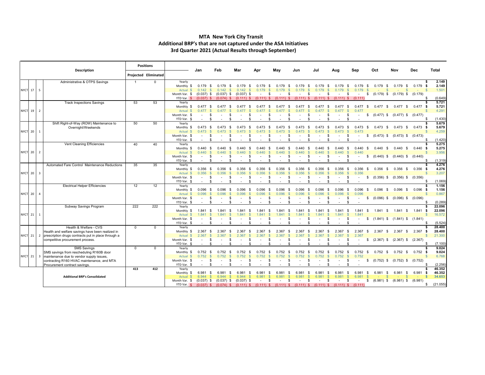#### **MTA New York City Transit Additional BRP's that are not captured under the ASA Initiatives 3rd Quarter 2021 (Actual Results through September)**

|                    |                         | Description                                           |              | <b>Positions</b>     |                       | Jan                    | Feb                       | Mar           | Apr                       | May          | Jun                   | Jul                                              | Aug                           | Sep                    | Oct           | Nov                    | <b>Dec</b> | Total                              |
|--------------------|-------------------------|-------------------------------------------------------|--------------|----------------------|-----------------------|------------------------|---------------------------|---------------|---------------------------|--------------|-----------------------|--------------------------------------------------|-------------------------------|------------------------|---------------|------------------------|------------|------------------------------------|
|                    |                         |                                                       |              | Projected Eliminated |                       |                        |                           |               |                           |              |                       |                                                  |                               |                        |               |                        |            |                                    |
|                    |                         | Administrative & OTPS Savings                         | $\mathbf{1}$ | $\Omega$             | Yearly                |                        |                           |               |                           |              |                       |                                                  |                               |                        |               |                        |            | 2.149                              |
|                    |                         |                                                       |              |                      | Monthly \$            | 0.179<br>- \$          | 0.179                     | 0.179         | 0.179                     | 0.179        | 0.179                 | 0.179                                            | 0.179                         | 0.179                  | 0.179         | 0.179<br>- \$          | 0.179      | 2.149<br>- \$                      |
| NYCT 17            | 5                       |                                                       |              |                      | Actual                | 0.142                  |                           | 0,142         |                           |              |                       |                                                  |                               |                        |               |                        |            | 1.501<br>$\mathcal{S}$             |
|                    |                         |                                                       |              |                      | Month Var. \$         | $(0.037)$ \$           | $(0.037)$ \$              | $(0.037)$ \$  |                           |              | - \$                  | £.                                               | - \$                          | S.                     | $(0.179)$ \$  | $(0.179)$ \$ $(0.179)$ |            |                                    |
|                    |                         |                                                       |              |                      | YTD Var. \$           | $(0.037)$ \$           | (0.074)                   | (0.111)       | (0.111)                   | (0.111)      | (0.111)               | (0.111)<br>-S                                    | $(0.111)$ \$                  | (0.111)                |               |                        |            | (0.649)<br>- \$                    |
|                    |                         | <b>Track Inspections Savings</b>                      | 53           | 53                   | Yearly                |                        |                           |               |                           |              |                       |                                                  |                               |                        |               |                        |            | 5.721                              |
| NYCT 19            | $\overline{2}$          |                                                       |              |                      | Monthly \$<br>Actual  | 0.477<br>- \$<br>0.477 |                           |               |                           |              |                       |                                                  |                               | 0.477                  | 0.477<br>-\$  | 0.477<br>- \$          | $0.477$ \$ | 5.721<br>4.291                     |
|                    |                         |                                                       |              |                      | Month Var. \$         |                        |                           |               |                           |              |                       |                                                  |                               | S.                     | $(0.477)$ \$  | $(0.477)$ \$ $(0.477)$ |            |                                    |
|                    |                         |                                                       |              |                      | YTD Var. \$           |                        |                           |               |                           |              |                       |                                                  |                               |                        |               |                        |            | (1.430)<br>-\$                     |
|                    |                         | Shift Right-of-Way (ROW) Maintenance to               | 50           | 50                   | Yearly                |                        |                           |               |                           |              |                       |                                                  |                               |                        |               |                        |            | 5.679                              |
|                    |                         | Overnight/Weekends                                    |              |                      | Monthly \$            | 0.473<br>- \$          | 0.473                     | 0.473         | 0.473                     | 0.473        | 0.473                 | 0.473<br>- 35                                    | 0.473<br>- \$                 | 0.473<br>- \$          | $0.473$ \$    | $0.473$ \$             | $0.473$ \$ | 5.679                              |
| NYCT 20            | 1                       |                                                       |              |                      | Actual                |                        |                           |               |                           |              |                       |                                                  |                               | 0.473                  |               |                        |            | 4.259                              |
|                    |                         |                                                       |              |                      | Month Var. \$         |                        |                           |               |                           |              |                       |                                                  |                               | \$                     | $(0.473)$ \$  | $(0.473)$ \$ $(0.473)$ |            |                                    |
|                    |                         |                                                       |              |                      | YTD Var. \$           | \$                     |                           |               |                           |              |                       | \$                                               | ፍ                             |                        |               |                        |            | (1.420)<br>-\$                     |
|                    |                         | Vent Cleaning Efficiencies                            | 40           | 40                   | Yearly                |                        |                           |               |                           |              |                       |                                                  |                               |                        |               |                        |            | 5.275                              |
|                    |                         |                                                       |              |                      | Monthly \$            | 0.440                  |                           |               |                           |              |                       | 0.440                                            | 0.440<br>- S                  | 0.440<br>- 56          | 0.440<br>- \$ | 0.440<br>- \$          | $0.440$ \$ | 5.275                              |
| NYCT 20            | $\overline{2}$          |                                                       |              |                      | Actual                | 0.440                  |                           |               |                           |              |                       | 0.440                                            | 0.440<br>$\mathcal{F}$        | 0.440                  |               |                        |            | 3.956                              |
|                    |                         |                                                       |              |                      | Month Var. \$         | $\mathfrak{L}$         |                           |               |                           |              | $\mathbf{\hat{z}}$    | £.<br>.S                                         | \$                            | \$                     | $(0.440)$ \$  | $(0.440)$ \$ $(0.440)$ |            | -96                                |
|                    |                         | Automated Fare Control Maintenance Reductions         | 35           | 35                   | YTD Var. \$           |                        |                           |               |                           |              |                       |                                                  |                               |                        |               |                        |            | (1.319)<br>4.276                   |
|                    |                         |                                                       |              |                      | Yearly<br>Monthly \$  | 0.356<br>- \$          | 0.356                     | 0.356<br>- \$ | 0.356<br>-\$              | 0.356<br>- S | 0.356<br>- \$<br>- \$ | 0.356<br>-S                                      | 0.356<br>- \$                 | 0.356<br>- \$          | $0.356$ \$    | $0.356$ \$             | $0.356$ \$ | 4.276                              |
| NYCT 20            | $\overline{\mathbf{3}}$ |                                                       |              |                      | Actual                |                        |                           | 0.356         | 0.356                     | 0.356        | 0.356                 | 0.356<br>$\mathbb{R}$                            | 0.356<br>$\mathbf{\$}$        | 0.356                  |               |                        |            | 3.207<br>$\mathfrak{L}$            |
|                    |                         |                                                       |              |                      | Month Var. \$         |                        |                           |               |                           |              | -S                    | \$.                                              |                               | \$<br>S.               | $(0.356)$ \$  | $(0.356)$ \$ $(0.356)$ |            |                                    |
|                    |                         |                                                       |              |                      | YTD Var. \$           | - \$                   |                           |               |                           | S.           | - \$<br>-S            | -S                                               | S                             |                        |               |                        |            | (1.069)<br>- \$                    |
|                    |                         | <b>Electrical Helper Efficiencies</b>                 | 12           | 12                   | Yearly                |                        |                           |               |                           |              |                       |                                                  |                               |                        |               |                        |            | 1.156                              |
|                    |                         |                                                       |              |                      | Monthly \$            | 0.096                  | 0.096                     | 0.096         | 0.096                     | 0.096        | 0.096<br>- \$         | 0.096<br>£.                                      | 0.096<br>- \$                 | 0.096<br>-S            | 0.096<br>-\$  | 0.096<br>- \$          | $0.096$ \$ | 1.156                              |
| NYCT 20            | $\overline{4}$          |                                                       |              |                      | Actual                | 0.096                  |                           | 0.096         | 0.096                     | 0.096        | 0.096                 | 0.096                                            | 0.096<br>$\mathbf{\hat{S}}$   | 0.096                  |               |                        |            | 0.867                              |
|                    |                         |                                                       |              |                      | Month Var. \$         |                        |                           |               |                           |              | - 35                  | S.                                               |                               | S<br>S                 | $(0.096)$ \$  | $(0.096)$ \$ $(0.096)$ |            |                                    |
|                    |                         |                                                       |              |                      | YTD Var. \$           |                        |                           |               |                           |              |                       |                                                  |                               |                        |               |                        |            | (0.289)<br>-\$                     |
|                    |                         | Subway Savings Program                                | 222          | 222                  | Yearly                |                        |                           |               |                           |              |                       |                                                  |                               |                        |               |                        |            | 22.096                             |
| NYCT <sub>21</sub> | $\mathbf{1}$            |                                                       |              |                      | Monthly \$<br>Actual  | 1.841<br>- \$          | 1.841                     | 1.841<br>- 56 |                           |              | 1.841<br>1.841        | 1.841<br>1.841                                   | 1.841<br>- S<br>1.841<br>- SS | 1.841<br>- 35<br>1.841 | 1.841<br>- S  | 1.841<br>- \$          | $1.841$ \$ | 22.096<br>16.572<br>$\mathfrak{L}$ |
|                    |                         |                                                       |              |                      | Month Var. \$         |                        |                           |               |                           |              |                       |                                                  |                               | -56                    | $(1.841)$ \$  | $(1.841)$ \$ $(1.841)$ |            |                                    |
|                    |                         |                                                       |              |                      | YTD Var. \$           |                        |                           |               |                           |              |                       |                                                  |                               |                        |               |                        |            | (5.524)<br>-\$                     |
|                    |                         | Health & Welfare - CVS                                | $\mathbf 0$  | $\Omega$             | Yearly                |                        |                           |               |                           |              |                       |                                                  |                               |                        |               |                        |            | 28.400                             |
|                    |                         | Health and welfare savings have been realized in      |              |                      | Monthly \$            | 2.367                  | 2.367                     | 2.367         | 2.367                     |              | 2.367                 | 2.367                                            | 2.367<br>- S                  | 2.367<br>-S            | 2.367<br>-\$  | $2.367$ \$             | $2.367$ \$ | 28.400                             |
| NYCT 21            |                         | 2 prescription drugs contracts put in place through a |              |                      | Actual                | 2.367                  |                           |               |                           |              |                       | 2.367                                            | 2.367<br>-SS                  | 2.367                  |               |                        |            | 21.300                             |
|                    |                         | competitive procurement process.                      |              |                      | Month Var. \$         |                        |                           |               |                           |              | -S                    | \$.                                              |                               | \$<br>S.               | $(2.367)$ \$  | $(2.367)$ \$ $(2.367)$ |            |                                    |
|                    |                         |                                                       |              |                      | YTD Var. \$           |                        |                           |               |                           |              |                       |                                                  |                               |                        |               |                        |            | (7.100)                            |
|                    |                         | <b>SMS Savings</b>                                    | $\mathbf{0}$ | $\Omega$             | Yearly                |                        |                           |               |                           |              |                       |                                                  |                               |                        |               |                        |            | 9.024                              |
|                    |                         | SMS savings from rescheduling R160B door              |              |                      | Monthly \$            | 0.752<br>- \$          | 0.752                     | 0.752         | 0.752                     | 0.752        | 0.752<br>-5<br>- 5    | 0.752<br>- 35                                    | 0.752<br>- \$                 | 0.752<br>-S            | 0.752<br>- \$ | $0.752$ \$             | $0.752$ \$ | 9.024                              |
| NYCT <sub>21</sub> | $\overline{\mathbf{3}}$ | maintenance due to vendor supply issues,              |              |                      | Actual                | 0.752                  |                           |               | 0.752                     | 0.752        | 0.752                 | 0.752                                            | 0.752<br>$\mathcal{R}$        | 0.752                  |               |                        |            | 6.768                              |
|                    |                         | contracting R160 HVAC maintenance, and MTA            |              |                      | Month Var. \$         |                        |                           |               |                           |              | \$.                   | \$.                                              |                               | s.<br>\$               | $(0.752)$ \$  | $(0.752)$ \$ $(0.752)$ |            |                                    |
|                    |                         | Procurement contract savings.                         | 413          | 412                  | YTD Var. \$<br>Yearly |                        |                           |               |                           |              |                       |                                                  |                               |                        |               |                        |            | (2.256)<br>-\$<br>46.352           |
|                    |                         |                                                       |              |                      | Monthly \$            | 6.981                  | 6.981                     | 6.981         | 6.981                     |              |                       | 6.981                                            | 6.98'                         | 6.981                  | 6.981         | 6.981<br>- \$          | 6.981 \$   | 46.352                             |
|                    |                         | <b>Additional BRP's Consolidated</b>                  |              |                      | Actual                | 6.944                  | 6.944                     | 6.944         |                           |              |                       | 6.981                                            | $6.98^{\circ}$                | 6.981                  |               |                        |            | 34.653                             |
|                    |                         |                                                       |              |                      | Month Var. \$         | $(0.037)$ \$           | $(0.037)$ \$              | $(0.037)$ \$  |                           |              | - \$<br>-56           | -S<br>$\overline{a}$                             | -\$<br>$\sim$                 | \$<br>$\sim$           | $(6.981)$ \$  | $(6.981)$ \$ $(6.981)$ |            |                                    |
|                    |                         |                                                       |              |                      | YTD Var. \$           |                        | $(0.037)$ \$ $(0.074)$ \$ |               | $(0.111)$ \$ $(0.111)$ \$ | $(0.111)$ \$ |                       | $(0.111)$ \$ $(0.111)$ \$ $(0.111)$ \$ $(0.111)$ |                               |                        |               |                        |            | (21.055)<br>- \$                   |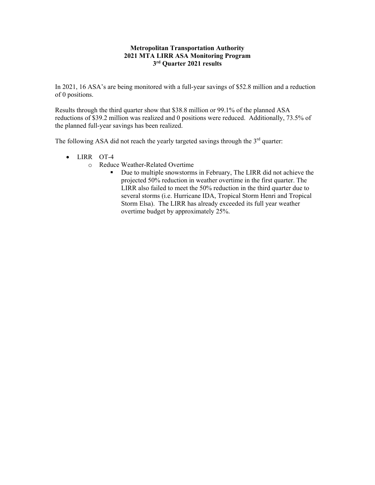#### **Metropolitan Transportation Authority 2021 MTA LIRR ASA Monitoring Program 3rd Quarter 2021 results**

In 2021, 16 ASA's are being monitored with a full-year savings of \$52.8 million and a reduction of 0 positions.

Results through the third quarter show that \$38.8 million or 99.1% of the planned ASA reductions of \$39.2 million was realized and 0 positions were reduced. Additionally, 73.5% of the planned full-year savings has been realized.

The following ASA did not reach the yearly targeted savings through the  $3<sup>rd</sup>$  quarter:

- LIRR OT-4
	- o Reduce Weather-Related Overtime
		- Due to multiple snowstorms in February, The LIRR did not achieve the projected 50% reduction in weather overtime in the first quarter. The LIRR also failed to meet the 50% reduction in the third quarter due to several storms (i.e. Hurricane IDA, Tropical Storm Henri and Tropical Storm Elsa). The LIRR has already exceeded its full year weather overtime budget by approximately 25%.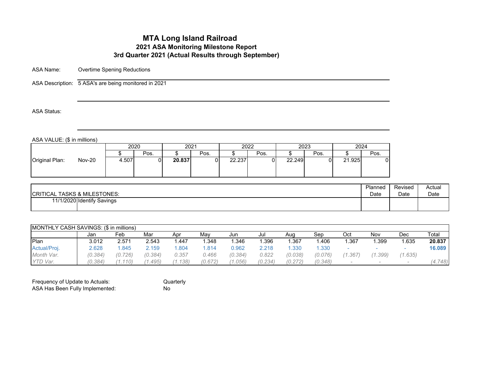# **MTA Long Island Railroad 2021 ASA Monitoring Milestone Report 3rd Quarter 2021 (Actual Results through September)**

ASA Name: Overtime Spening Reductions

ASA Description: 5 ASA's are being monitored in 2021

ASA Status:

ASA VALUE: (\$ in millions)

| . <i>. .</i>   | .             |       |      |        |      |        |      |        |      |        |      |
|----------------|---------------|-------|------|--------|------|--------|------|--------|------|--------|------|
|                |               | 2020  |      | 2021   |      | 2022   |      | 2023   |      | 2024   |      |
|                |               |       | Pos. |        | Pos. |        | Pos. |        | Pos. |        | Pos. |
| Original Plan: | <b>Nov-20</b> | 4.507 |      | 20.837 |      | 22.237 | 01   | 22.249 |      | 21.925 |      |
|                |               |       |      |        |      |        |      |        |      |        |      |

| <b>CRITICAL TASKS &amp; MILESTONES:</b> | Planned | Revised | Actual |
|-----------------------------------------|---------|---------|--------|
|                                         | Date    | Date    | Date   |
| 11/1/2020 Identify Savings              |         |         |        |

| MONTHLY CASH SAVINGS: (\$ in millions) |         |         |         |         |         |         |         |         |         |                          |         |         |         |
|----------------------------------------|---------|---------|---------|---------|---------|---------|---------|---------|---------|--------------------------|---------|---------|---------|
|                                        | Jan     | Feb     | Mar     | Apr     | Mav     | Jun     | Jul     | Aua     | Sep     | Oct                      | Nov     | Dec     | Total   |
| Plan                                   | 3.012   | 2.571   | 2.543   | .447    | .348    | .346    | .396    | .367    | .406    | .367                     | .399    | .635    | 20.837  |
| Actual/Proj.                           | 2.628   | .845    | 2.159   | .804    | .814    | 0.962   | 2.218   | .330    | .330    |                          |         |         | 16.089  |
| Month Var.                             | (0.384) | (0.726) | (0.384) | 0.357   | 0.466   | (0.384) | 0.822   | (0.038) | (0.076) | (1.367)                  | (1.399) | (1.635) |         |
| <b>YTD Var.</b>                        | (0.384) | (0.110) | . 495)  | (1.138) | (0.672) | 1.056   | (0.234) | (0.272) | (0.348) | $\overline{\phantom{a}}$ |         | $\sim$  | (4.748) |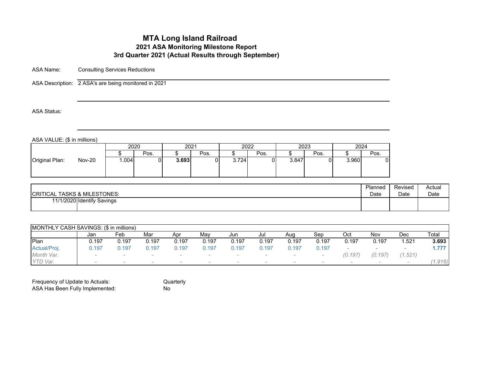# **MTA Long Island Railroad 2021 ASA Monitoring Milestone Report 3rd Quarter 2021 (Actual Results through September)**

ASA Name: Consulting Services Reductions

ASA Description: 2 ASA's are being monitored in 2021

ASA Status:

ASA VALUE: (\$ in millions)

| . <i>. .</i>   | .             |      |      |       |      |       |      |       |      |       |      |
|----------------|---------------|------|------|-------|------|-------|------|-------|------|-------|------|
|                |               | 2020 |      | 2021  |      |       | 2022 | 2023  |      |       | 2024 |
|                |               |      | Pos. |       | Pos. |       | Pos. |       | Pos. |       | Pos. |
| Original Plan: | <b>Nov-20</b> | .004 |      | 3.693 |      | 3.724 | 01   | 3.847 | υ    | 3.960 |      |
|                |               |      |      |       |      |       |      |       |      |       |      |

| . TASKS & MILESTONES:      | Planned | Revised | Actua |
|----------------------------|---------|---------|-------|
| <b>CRITICAL</b>            | Date    | Date    | Date  |
| 11/1/2020 Identify Savings |         |         |       |

| MONTHLY CASH SAVINGS: (\$ in millions) |       |        |       |        |       |       |       |        |       |        |         |         |        |
|----------------------------------------|-------|--------|-------|--------|-------|-------|-------|--------|-------|--------|---------|---------|--------|
|                                        | Jan   | Feb    | Mar   | Apr    | Mav   | Jun   | Jul   | Aug    | Sep   | Oct    | Nov     | Dec     | Total  |
| Plan                                   | 0.197 | 0.197  | 197.د | 0.197  | 0.197 | 0.197 | 0.197 | 0.197  | 0.197 | 0.197  | 0.197   | .521    | 3.693  |
| Actual/Proj.                           | 0.197 | შ.197  | 0.197 | 0.197  | 0.197 | 0.197 | 0.197 | 0.197  | 0.197 | $\sim$ |         |         | 1.777  |
| Month Var.                             |       | $\sim$ |       |        |       |       |       | $\sim$ |       | (0.197 | (0.197) | (1.521) |        |
| YTD Var.                               |       | $\sim$ |       | $\sim$ |       | $-$   |       | $\sim$ |       | $\sim$ |         | $\sim$  | 1.916) |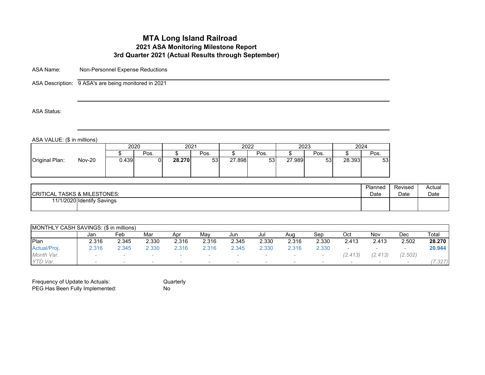# **MTA Long Island Railroad 2021 ASA Monitoring Milestone Report 3rd Quarter 2021 (Actual Results through September)**

ASA Name: Non-Personnel Expense Reductions

ASA Description: 9 ASA's are being monitored in 2021

ASA Status:

ASA VALUE: (\$ in millions)

|                | .             |       |      |        |      |        |      |        |      |        |      |
|----------------|---------------|-------|------|--------|------|--------|------|--------|------|--------|------|
|                |               | 2020  |      | 2021   |      | 2022   |      | 2023   |      |        | 2024 |
|                |               |       | Pos. |        | Pos. |        | Pos. |        | Pos. |        | Pos. |
| Original Plan: | <b>Nov-20</b> | 0.439 |      | 28.270 | 53   | 27.898 | 53   | 27.989 | 53   | 28.393 | 53   |
|                |               |       |      |        |      |        |      |        |      |        |      |

| <b>CRITICAL TASKS &amp; MILESTONES:</b> | Planned | Revised | Actual |
|-----------------------------------------|---------|---------|--------|
|                                         | Date    | Date    | Date   |
| 11/1/2020 Identify Savings              |         |         |        |

| MONTHLY CASH SAVINGS: (\$ in millions) |       |        |       |                          |       |       |       |        |        |         |         |         |         |
|----------------------------------------|-------|--------|-------|--------------------------|-------|-------|-------|--------|--------|---------|---------|---------|---------|
|                                        | Jan   | Feb    | Mar   | Apr                      | Mav   | Jun   | Jul   | Aug    | Sep    | Oct     | Nov     | Dec     | Total   |
| Plan                                   | 2.316 | 2.345  | 2.330 | 2.316                    | 2.316 | 2.345 | 2.330 | 2.316  | 2.330  | 2.413   | 2.413   | 2.502   | 28.270  |
| Actual/Proj.                           | 2.316 | 2.345  | 2.330 | 2.316                    | 2.316 | 2.345 | 2.330 | 2.316  | 2.330  |         |         |         | 20.944  |
| Month Var.                             |       | $\sim$ |       |                          |       |       |       | $\sim$ | $\sim$ | (2.413) | (2.413) | (2.502) |         |
| YTD Var.                               |       | $\sim$ |       | $\overline{\phantom{a}}$ |       |       |       | $\sim$ |        | $\sim$  |         |         | (0.327) |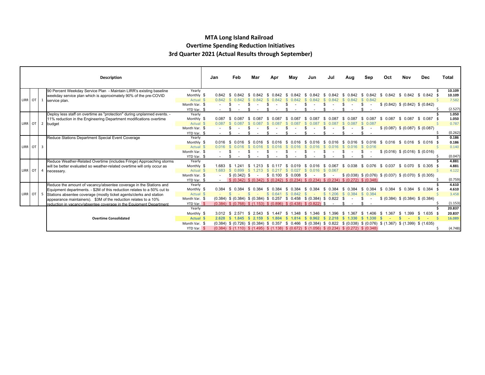## **MTA Long Island Railroad Overtime Spending Reduction Initiatives 3rd Quarter 2021 (Actual Results through September)**

|           |  | <b>Description</b>                                                       |                       | Jan        | Feb                  | Mar   | Apr   | May                                                                                                                                                | Jun               | Jul               | Aug     | Sep      | Oct                                                 | Nov   | <b>Dec</b>                                      | Total   |
|-----------|--|--------------------------------------------------------------------------|-----------------------|------------|----------------------|-------|-------|----------------------------------------------------------------------------------------------------------------------------------------------------|-------------------|-------------------|---------|----------|-----------------------------------------------------|-------|-------------------------------------------------|---------|
|           |  | 90 Percent Weekday Service Plan - Maintain LIRR's existing baseline      | Yearly                |            |                      |       |       |                                                                                                                                                    |                   |                   |         |          |                                                     |       |                                                 | 10.109  |
|           |  | weekday service plan which is approximately 90% of the pre-COVID         | Monthly \$            | 0.842      |                      |       |       |                                                                                                                                                    |                   |                   |         | 0.842    |                                                     |       | \$ 0.842 \$ 0.842 \$ 0.842 \$                   | 10.109  |
| LIRR OT   |  | 1 service plan.                                                          | Actual \$             | $0.842$ \$ |                      | .842  |       |                                                                                                                                                    |                   |                   | 0.842   | \$0.842  |                                                     |       |                                                 | 7.582   |
|           |  |                                                                          | Month Var. \$         |            |                      |       |       |                                                                                                                                                    |                   |                   |         |          |                                                     |       | $$$ (0.842) $$$ (0.842) $$$ (0.842)             |         |
|           |  |                                                                          | YTD Var. \$           |            |                      |       |       |                                                                                                                                                    |                   |                   |         |          |                                                     |       |                                                 | (2.527) |
|           |  | Deploy less staff on overtime as "protection" during unplanned events. - | Yearly                |            |                      |       |       |                                                                                                                                                    |                   |                   |         |          |                                                     |       |                                                 | 1.050   |
|           |  | 11% reduction in the Engineering Department modifications overtime       | Monthly \$            | 0.087      |                      |       |       |                                                                                                                                                    |                   | - 96<br>0.087     | . በ በጸ7 | 0.087    |                                                     |       | \$ 0.087 \$ 0.087 \$ 0.087 \$                   | 1.050   |
|           |  | LIRR OT 2 budget                                                         | Actual \$             |            |                      |       |       |                                                                                                                                                    |                   |                   |         | \$ 0.087 |                                                     |       |                                                 | 0.787   |
|           |  |                                                                          | Month Var. \$         |            |                      |       |       |                                                                                                                                                    |                   |                   |         |          |                                                     |       | $$$ (0.087) $$$ (0.087) $$$ (0.087)             | (0.262) |
|           |  | Reduce Stations Department Special Event Coverage                        | YTD Var. \$<br>Yearly |            |                      |       |       |                                                                                                                                                    |                   |                   |         |          |                                                     |       |                                                 | 0.186   |
|           |  |                                                                          | Monthly \$            | 0.016      | 0 0 1 6              |       |       |                                                                                                                                                    |                   |                   | . በ በ16 |          |                                                     |       | 0.016 \$ 0.016 \$ 0.016 \$ 0.016 \$             | 0.186   |
| LIRR OT 3 |  |                                                                          | Actual \$             |            |                      |       |       |                                                                                                                                                    |                   |                   |         | 0.016    |                                                     |       |                                                 | 0.140   |
|           |  |                                                                          | Month Var. \$         |            |                      |       |       |                                                                                                                                                    |                   |                   |         |          |                                                     |       | $$$ (0.016) $$$ (0.016) $$$ (0.016)             |         |
|           |  |                                                                          | YTD Var. \$           |            |                      |       |       |                                                                                                                                                    |                   |                   |         |          |                                                     |       |                                                 | (0.047) |
|           |  | Reduce Weather-Related Overtime (includes Fringe) Approaching storms     | Yearly                |            |                      |       |       |                                                                                                                                                    |                   |                   |         |          |                                                     |       |                                                 | 4.881   |
|           |  | will be better evaluated so weather-related overtime will only occur as  | Monthly \$            |            |                      |       |       |                                                                                                                                                    | 0.016<br>S.       | - \$<br>0.067     |         |          |                                                     |       | \$ 0.038 \$ 0.076 \$ 0.037 \$ 0.070 \$ 0.305 \$ | 4.881   |
|           |  | LIRR OT 4 necessary.                                                     | Actual \$             | 1.683      | $$0.899$ \$ 1.213 \$ |       | 0.217 | <b>S</b><br>0.027                                                                                                                                  | \$ 0.016 \$ 0.067 |                   |         |          |                                                     |       |                                                 | 4.122   |
|           |  |                                                                          | Month Var. \$         |            | \$ (0.342) \$        |       |       | $$0.100$ $$0.008$                                                                                                                                  | - \$              | ς.                |         |          | $$ (0.038) $ (0.076) $ (0.037) $ (0.070) $ (0.305)$ |       |                                                 |         |
|           |  |                                                                          | YTD Var. \$           |            |                      |       |       | $$$ (0.342) $$$ (0.342) $$$ (0.242) $$$ (0.234) $$$ (0.234) $$$ (0.234) $$$ (0.272) $$$ (0.348)                                                    |                   |                   |         |          |                                                     |       |                                                 | (0.759) |
|           |  | Reduce the amount of vacancy/absentee coverage in the Stations and       | Yearly                |            |                      |       |       |                                                                                                                                                    |                   |                   |         |          |                                                     |       |                                                 | 4.610   |
|           |  | Equipment departments. - \$2M of this reduction relates to a 50% cut to  | Monthly \$            | 0.384      | Տ. Ո384              |       |       |                                                                                                                                                    |                   | - 96              |         |          |                                                     |       | 0.384 \$ 0.384 \$ 0.384 \$ 0.384 \$             | 4.610   |
| LIRR OT 5 |  | Stations absentee coverage (mostly ticket agents/clerks and station      | Actual \$             |            |                      |       |       | $$0.641$ $$0.842$ $$$                                                                                                                              | <b>College</b>    | $$1,206$ $$0.384$ |         | \$0.384  |                                                     |       |                                                 | 3.458   |
|           |  | appearance maintainers). \$3M of the reduction relates to a 10%          | Month Var. \$         |            |                      |       |       | $(0.384)$ \$ $(0.384)$ \$ $(0.384)$ \$ 0.257 \$ 0.458 \$ $(0.384)$ \$ 0.822 \$                                                                     |                   |                   |         |          |                                                     |       | $$$ (0.384) $$$ (0.384) $$$ (0.384)             |         |
|           |  | reduction in vacancy/absentee coverage in the Equipment Department       | YTD Var. \$           |            |                      |       |       | $(0.384)$ \$ $(0.768)$ \$ $(1.153)$ \$ $(0.896)$ \$ $(0.438)$ \$ $(0.822)$ \$                                                                      |                   | $\sim 100$        |         |          |                                                     |       |                                                 | (1.153) |
|           |  |                                                                          | Yearly                |            |                      |       |       |                                                                                                                                                    |                   |                   |         |          |                                                     |       |                                                 | 20.837  |
|           |  |                                                                          | Monthly \$            |            | 3.012 \$ 2.571       | 2.543 |       |                                                                                                                                                    | 1.346             | - \$              | .367    | 1 406.   | 1.367<br>-96                                        | 1.399 | 1.635 \$                                        | 20.837  |
|           |  | <b>Overtime Consolidated</b>                                             | Actual \$             |            | 2.628 \$ 1.845       | 2.159 |       |                                                                                                                                                    | 0.962             |                   | .330    |          |                                                     |       |                                                 | 16.089  |
|           |  |                                                                          | Month Var. \$         |            |                      |       |       | $(0.384)$ \$ $(0.726)$ \$ $(0.384)$ \$ $0.357$ \$ $0.466$ \$ $(0.384)$ \$ $0.822$ \$ $(0.038)$ \$ $(0.076)$ \$ $(1.367)$ \$ $(1.399)$ \$ $(1.635)$ |                   |                   |         |          |                                                     |       |                                                 |         |
|           |  |                                                                          | YTD Var. \$           |            |                      |       |       | $(0.384)$ \$ $(1.110)$ \$ $(1.495)$ \$ $(1.138)$ \$ $(0.672)$ \$ $(1.056)$ \$ $(0.234)$ \$ $(0.272)$ \$ $(0.348)$                                  |                   |                   |         |          |                                                     |       |                                                 | (4.748) |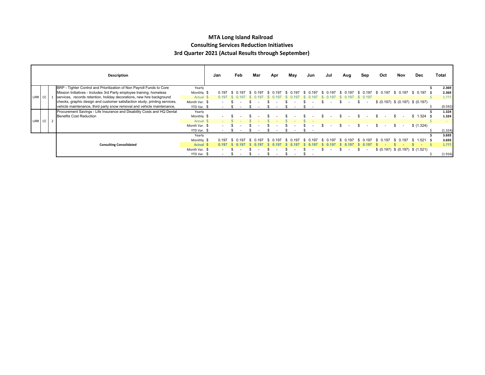#### **MTA Long Island Railroad Consulting Services Reduction Initiatives 3rd Quarter 2021 (Actual Results through September)**

|             |     | <b>Description</b>                                                         |                 | Jan   | Feb | Mar | Apr | May                      | Jun          | Jul           | Aug      | Sep      | Oct      | Nov   | Dec                                 | Total   |
|-------------|-----|----------------------------------------------------------------------------|-----------------|-------|-----|-----|-----|--------------------------|--------------|---------------|----------|----------|----------|-------|-------------------------------------|---------|
|             |     | BRP - Tighter Control and Prioritization of Non Payroll Funds to Core      | Yearly          |       |     |     |     |                          |              |               |          |          |          |       |                                     | 2.369   |
|             |     | Mission Initiatives - Includes 3rd Party employee training, homeless       | Monthly \$      | 0.197 |     |     |     | 197<br>-86               | በ 197<br>SS. | 0.197<br>- 55 | \$ 0.197 | \$ 0.197 | \$ 0.197 |       | \$ 0.197 \$ 0.197 \$                | 2.369   |
| LIRR CC     |     | services, records retention, holiday decorations, new hire background      | Actual \$       | በ 197 |     |     |     |                          |              |               | 0.197    | \$ 0.197 |          |       |                                     | 1.777   |
|             |     | checks, graphic design and customer satisfaction study, printing services, | Month Var. \$   |       |     |     |     |                          |              |               |          | $\sim$   |          |       | $$$ (0.197) $$$ (0.197) $$$ (0.197) |         |
|             |     | vehicle maintenance, third party snow removal and vehicle maintenance,     | YTD Var. \$     |       |     |     |     |                          |              |               |          |          |          |       |                                     | (0.592) |
|             |     | Procurement Savings - Life Insurance and Disability Costs and HQ Dental    | Yearly          |       |     |     |     |                          |              |               |          |          |          |       |                                     | 1.324   |
|             |     | <b>Benefits Cost Reduction</b>                                             | Monthly \$      |       |     |     |     |                          |              |               |          |          |          |       | $$1.324$ \$                         | 1.324   |
| <b>LIRR</b> | CC. |                                                                            | Actual \$       |       |     |     |     |                          |              |               |          |          |          |       |                                     | $\sim$  |
|             |     |                                                                            | Month Var. \$   |       |     |     |     |                          |              |               |          |          |          |       | \$ (1.324)                          |         |
|             |     |                                                                            | YTD Var. \$     |       |     |     |     | $\overline{\phantom{a}}$ |              |               |          |          |          |       |                                     | (1.324) |
|             |     |                                                                            | Yearly          |       |     |     |     |                          |              |               |          |          |          |       |                                     | 3.693   |
|             |     |                                                                            | Monthly \$      | 0.197 | n · |     |     | 197                      | 197          |               |          | 197      | 197      | 0 197 | 1.521                               | 3.693   |
|             |     | <b>Consulting Consolidated</b>                                             | <b>Actual S</b> | 0.197 |     |     |     |                          |              |               |          |          |          |       |                                     | 1.777   |
|             |     |                                                                            | Month Var. \$   |       |     |     |     |                          |              |               |          |          |          |       | $(0.197)$ \$ $(0.197)$ \$ $(1.521)$ |         |
|             |     |                                                                            | YTD Var. \$     |       |     |     |     | $\sim$                   |              |               |          |          |          |       |                                     | (1.916) |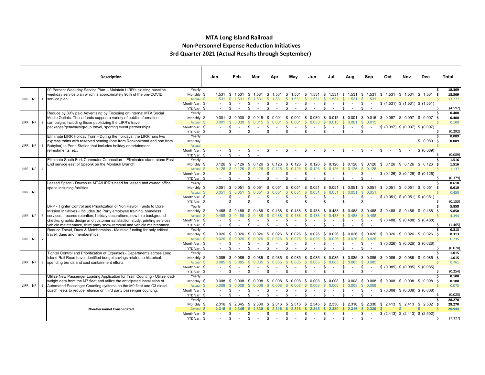#### **MTA Long Island Railroad Non‐Personnel Expense Reduction Initiatives 3rd Quarter 2021 (Actual Results through September)**

|           |           |   | <b>Description</b>                                                                                                                                                                                               |                                           | Jan                 | Feb                                                    | Mar                                              | Apr                                            | Mav                                        | Jun                                                | Jul                                                                                                                      | Aug                                              | Sep                                    | Oct  | Nov                                        | Dec                                                                                          | Total                             |
|-----------|-----------|---|------------------------------------------------------------------------------------------------------------------------------------------------------------------------------------------------------------------|-------------------------------------------|---------------------|--------------------------------------------------------|--------------------------------------------------|------------------------------------------------|--------------------------------------------|----------------------------------------------------|--------------------------------------------------------------------------------------------------------------------------|--------------------------------------------------|----------------------------------------|------|--------------------------------------------|----------------------------------------------------------------------------------------------|-----------------------------------|
|           |           |   | 90 Percent Weekday Service Plan - Maintain LIRR's existing baseline<br>weekday service plan which is approximately 90% of the pre-COVID<br>$LIRR NP 1$ service plan.                                             | Yearly<br>Monthly \$<br>Actual \$         | 1.531               | 1.531 \$ 1.531<br>1.531                                | 1.531                                            | 1.531                                          | 1.531                                      | $\mathbb{S}$<br>1.531                              | <b>S</b><br>1.531                                                                                                        | 1.531                                            |                                        |      |                                            | \$ 1.531 \$ 1.531 \$ 1.531 \$ 1.531 \$ 1.531 \$ 1.531 \$ 1.531 \$ 1.531 \$ 1.531 \$ 1.531 \$ | 18.369<br>18.369<br>13.777        |
|           |           |   |                                                                                                                                                                                                                  | Month Var. \$<br>YTD Var. \$              |                     | S.<br>-S                                               | \$<br><b>Contract Contract</b>                   | \$<br><b>Contract</b>                          | \$<br><b>Contract</b><br>s.                | \$<br><b>Contractor</b><br>£.                      | \$<br><b>Contract Contract</b><br>S.                                                                                     | \$<br>$\sim$ $-$                                 | \$<br>£.                               |      | $$(1.531)$ $$(1.531)$ $$(1.531)$           |                                                                                              | (4.592)                           |
| LIRR NP   |           | 2 | Reduce by 80% paid Advertising by Focusing on Internal MTA Social<br>Media Outlets. These funds support a variety of public information<br>campaigns including those publicizing the LIRR's travel               | Yearly<br>Monthly \$<br>Actual \$         | 0.001               | $0.001$ \$ 0.030<br><b>S</b><br>0.030                  | \$ 0.015                                         |                                                | $0.001$ \$<br>0.001                        | 0.030                                              | $0.030 \quad $0.015$<br>$\mathbb{S}$<br>0.015                                                                            | 0.001                                            | -SS<br>0.015                           |      |                                            | \$ 0.001 \$ 0.015 \$ 0.097 \$ 0.097 \$ 0.097 \$                                              | 0.400<br>0.400<br>0.108           |
|           |           |   | packages/getaways/group travel, sporting event partnerships                                                                                                                                                      | Month Var. \$<br>YTD Var. \$              |                     |                                                        | \$                                               |                                                |                                            | \$<br>\$<br>$\sim$                                 | \$<br>$\sim$<br>\$                                                                                                       | - \$<br>$\sim$<br>- \$                           | \$<br>$\sim$<br>£.                     |      | \$ (0.097) \$ (0.097) \$ (0.097)           |                                                                                              | (0.292)                           |
|           | LIRR NP 3 |   | Eliminate LIRR Holiday Train - During the holidays, the LIRR runs two<br>express trains with reserved seating (one from Ronkonkoma and one from<br>Babylon) to Penn Station that includes holiday entertainment, | Yearly<br>Monthly<br>Actual               |                     |                                                        |                                                  |                                                |                                            |                                                    |                                                                                                                          |                                                  |                                        |      |                                            | $$0.089$ \$                                                                                  | 0.089<br>0.089                    |
|           |           |   | refreshments, etc.                                                                                                                                                                                               | Month Var. \$<br>YTD Var. \$              |                     |                                                        |                                                  |                                                |                                            |                                                    |                                                                                                                          |                                                  |                                        |      |                                            | \$ (0.089)                                                                                   | (0.089)                           |
| LIRR NP 4 |           |   | Eliminate South Fork Commuter Connection. - Eliminates stand-alone East<br>End service east of Speonk on the Montauk Branch.                                                                                     | Yearly<br>Monthly \$<br>Actual \$         | 0.126               | 0.126<br>0.126                                         | 0.126<br>-SS                                     | 0.126                                          | 0.126<br>0.126                             | 0.126<br><sup>S</sup><br>0.126                     | - \$<br>0.126<br>-SS<br>0.126                                                                                            | 0.126<br>- 5                                     | - \$<br>0.126<br>0.126                 | - \$ |                                            | $0.126$ \$ 0.126 \$ 0.126 \$                                                                 | 1.516<br>1.516<br>1.137           |
|           |           |   | Leased Space - Downsize MTA/LIRR's need for leased and owned office                                                                                                                                              | Month Var. \$<br>YTD Var. \$              |                     | \$                                                     | \$                                               |                                                |                                            | \$<br>£.                                           | \$<br>S                                                                                                                  | -S                                               | \$<br>S                                |      | $$$ (0.126) $$$ (0.126) $$$ (0.126)        |                                                                                              | (0.379)<br>0.610                  |
| LIRR NP 5 |           |   | space including facilities.                                                                                                                                                                                      | Yearly<br>Monthly \$                      |                     |                                                        |                                                  | 0.051 \$ 0.051 \$ 0.051 \$ 0.051 \$            | 0.051                                      |                                                    |                                                                                                                          |                                                  |                                        |      |                                            | 0.051 \$ 0.051 \$ 0.051 \$ 0.051 \$ 0.051 \$ 0.051 \$ 0.051 \$ 0.051 \$                      | 0.610                             |
|           |           |   |                                                                                                                                                                                                                  | Actual \$<br>Month Var. \$<br>YTD Var. \$ |                     | 0.051<br>\$<br>$\sim$                                  | <b>S</b><br>\$<br>-\$                            | $\mathbb{S}$<br>0.051<br>Яб.<br>$\sim$         | \$.<br>$\sim$                              | $\mathbf{\$}$<br>0.051<br>\$<br>\$<br>$\sim$       | <b>S</b><br>0.051<br>\$<br>\$<br>$\sim$                                                                                  | - S<br>0.051<br>S<br>-S                          | 0.051<br>\$<br>\$.                     |      | $$$ (0.051) $$$ (0.051) $$$ (0.051)        |                                                                                              | 0.458<br>(0.153)                  |
|           |           |   | BRP - Tighter Control and Prioritization of Non Payroll Funds to Core<br>Mission Initiatives - Includes 3rd Party employee training, homeless                                                                    | Yearly<br>Monthly \$                      | $0.488$ \$          | 0.488                                                  | 0.488<br>- \$                                    | -S<br>0.488                                    | - \$<br>0.488                              | 0.488<br>- \$                                      | \$                                                                                                                       | $0.488$ \$ 0.488                                 | -S                                     |      |                                            | 0.488 \$ 0.488 \$ 0.488 \$ 0.488 \$                                                          | 5.858<br>5.858                    |
| LIRR NP 6 |           |   | services, records retention, holiday decorations, new hire background<br>checks, graphic design and customer satisfaction study, printing services,                                                              | Actual \$<br>Month Var. \$                |                     | 0.488<br>\$                                            | \$0.488<br>\$                                    | \$0.488<br>\$                                  | <b>S</b><br>0.488<br>\$<br>$\sim$          | <b>S</b><br>0.488<br>\$                            | \$0.488<br>\$                                                                                                            | \$0.488<br>S                                     | 0.488<br>\$                            |      | $$$ (0.488) $$$ (0.488) $$$ (0.488)        |                                                                                              | 4.394                             |
|           |           |   | vehicle maintenance, third party snow removal and vehicle maintenance,<br>Reduce Travel, Dues & Memberships - Maintain funding for only critical<br>travel, dues and memberships.                                | YTD Var. \$<br>Yearly<br>Monthly \$       |                     | - \$                                                   | \$<br>$\sim$                                     | \$<br>$\sim$ 100 $\mu$                         | \$<br>$\sim$ $-$                           | \$<br>$\sim 10^{-1}$                               | \$<br>$\sim$<br>0.026 \$ 0.026 \$ 0.026 \$ 0.026 \$ 0.026 \$ 0.026 \$ 0.026 \$ 0.026 \$ 0.026 \$ 0.026 \$ 0.026 \$ 0.026 | \$                                               | -S                                     |      |                                            |                                                                                              | (1.465)<br>0.313<br>0.313<br>- \$ |
| LIRR NP 7 |           |   |                                                                                                                                                                                                                  | Actual \$<br>Month Var. \$                | 0.026               | 0.026<br>\$                                            | $\mathbf{s}$<br>0.026<br>\$                      | $\mathbb{S}$<br>0.026<br>\$                    | $\mathcal{S}$<br>0.026<br>s.<br>$\sim$     | $\mathbf{s}$<br>0.026<br>\$<br>$\sim$ $-$          | \$0.026<br>\$<br>$\sim$                                                                                                  | \$ 0.026<br>\$                                   | \$ 0.026<br>\$                         |      | $$$ (0.026) $$$ (0.026) $$$ (0.026)        |                                                                                              | 0.235                             |
|           |           |   | Tighter Control and Prioritization of Expenses - Departments across Long                                                                                                                                         | YTD Var. \$<br>Yearly                     |                     | -S                                                     |                                                  |                                                | -96                                        | \$                                                 | \$                                                                                                                       |                                                  | \$                                     |      |                                            |                                                                                              | (0.078)<br>1.015                  |
|           |           |   | Island Rail Road have identified budget savings related to historical<br>LIRR NP 8 spending trends and cost containment efforts                                                                                  | Monthly \$<br>Actual \$<br>Month Var. \$  | 0.085<br>$0.085$ \$ | 0.085<br>- \$                                          | 0.085<br>- \$<br>$0.085$ \$ 0.085<br>\$          | $$0.085$ \$<br>\$0.085                         | 0.085<br>$\mathbf{s}$<br>0.085             | - \$<br>$\mathbb{S}$<br>\$                         | $0.085$ \$ 0.085 \$ 0.085 \$ 0.085 \$ 0.085 \$<br>$0.085$ \$ 0.085 \$ 0.085<br>\$                                        | -S                                               | \$0.085<br>\$                          |      | $$$ (0.085) $$$ (0.085) $$$ (0.085)        | $0.085$ \$ 0.085 \$                                                                          | 1.015<br>0.761                    |
|           |           |   | Utilize New Passenger Loading Application for Train Counting - Utilize load-                                                                                                                                     | YTD Var. \$<br>Yearly                     |                     |                                                        |                                                  |                                                |                                            |                                                    |                                                                                                                          |                                                  |                                        |      |                                            |                                                                                              | (0.254)<br>0.100                  |
| LIRR NP 9 |           |   | weight data from the M7 fleet and utilize the anticipated installation of<br>Automated Passenger Counting systems on the M9 fleet and C3 diesel                                                                  | Monthly \$<br>Actual \$                   | 0.008               | $0.008 \quad $0.008$<br>0.008                          | \$ 0.008<br>0.008                                | \$ 0.008<br>0.008                              | $0.008$ \$<br>- \$<br>0.008                | 0.008<br>$\mathbf{s}$                              | $\mathbb{S}$<br>0.008                                                                                                    | \$0.008                                          | \$ 0.008                               |      |                                            | $0.008$ \$ 0.008 \$ 0.008 \$ 0.008 \$ 0.008 \$ 0.008 \$ 0.008 \$                             | 0.100<br>0.075                    |
|           |           |   | coach fleets to reduce reliance on third party passenger counting.                                                                                                                                               | Month Var. \$<br>YTD Var. \$              |                     |                                                        | \$.                                              |                                                |                                            | \$<br>$\sim$                                       | \$<br>$\sim$                                                                                                             | S<br>$\sim$                                      | \$<br>$\sim$                           |      | $$$ (0.008) $$$ (0.008) $$$ (0.008)        |                                                                                              | (0.025)                           |
|           |           |   |                                                                                                                                                                                                                  | Yearly<br>Monthly \$                      | $2.316$ \$          | 2.345                                                  | \$ 2.330                                         | \$2.316                                        | - \$<br>2.316                              | - \$                                               | 2.345 \$ 2.330 \$ 2.316                                                                                                  |                                                  | \$ 2.330                               |      |                                            | $$2.502$ \$                                                                                  | 28.270<br>28.270                  |
|           |           |   | <b>Non-Personnel Consolidated</b>                                                                                                                                                                                | Actual \$<br>Month Var. \$<br>YTD Var. \$ | 2.316               | 2.345<br>\$<br>$\sim 100$ km s $^{-1}$<br>\$<br>$\sim$ | \$2,330<br>\$<br><b>Contract</b><br>\$<br>$\sim$ | 2.316<br>\$<br><b>Contract</b><br>\$<br>$\sim$ | 2.316<br>\$<br>$\sim$ $-$<br>\$.<br>$\sim$ | S<br>\$<br>$\sim 100$ km s $^{-1}$<br>\$<br>$\sim$ | 2.345 \$ 2.330<br>\$<br>$\sim 100$ km s $^{-1}$<br>\$<br>$\sim$                                                          | \$2.316<br>\$<br><b>Contract</b><br>\$<br>$\sim$ | \$2.330<br>\$<br><b>Contract</b><br>-S | - \$ | - S<br>$(2.413)$ \$ $(2.413)$ \$ $(2.502)$ | -S                                                                                           | 20.944<br>(7.327)                 |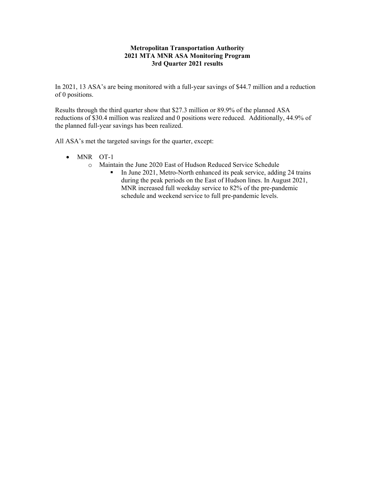#### **Metropolitan Transportation Authority 2021 MTA MNR ASA Monitoring Program 3rd Quarter 2021 results**

In 2021, 13 ASA's are being monitored with a full-year savings of \$44.7 million and a reduction of 0 positions.

Results through the third quarter show that \$27.3 million or 89.9% of the planned ASA reductions of \$30.4 million was realized and 0 positions were reduced. Additionally, 44.9% of the planned full-year savings has been realized.

All ASA's met the targeted savings for the quarter, except:

- MNR OT-1
	- o Maintain the June 2020 East of Hudson Reduced Service Schedule
		- In June 2021, Metro-North enhanced its peak service, adding 24 trains during the peak periods on the East of Hudson lines. In August 2021, MNR increased full weekday service to 82% of the pre-pandemic schedule and weekend service to full pre-pandemic levels.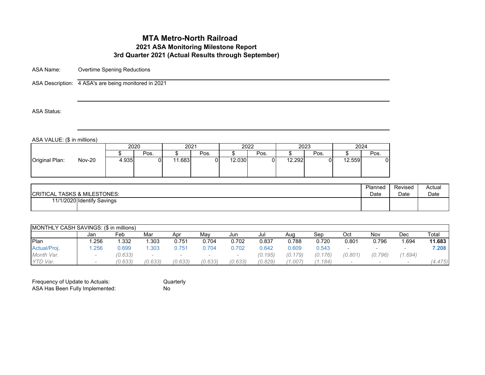# **MTA Metro-North Railroad 2021 ASA Monitoring Milestone Report 3rd Quarter 2021 (Actual Results through September)**

ASA Name: Overtime Spening Reductions

ASA Description: 4 ASA's are being monitored in 2021

ASA Status:

ASA VALUE: (\$ in millions)

| . <i>. .</i>   | .             |       |      |      |      |        |      |        |      |        |      |
|----------------|---------------|-------|------|------|------|--------|------|--------|------|--------|------|
|                |               | 2020  |      | 2021 |      |        | 2022 | 2023   |      |        | 2024 |
|                |               |       | Pos. |      | Pos. |        | Pos. |        | Pos. |        | Pos. |
| Original Plan: | <b>Nov-20</b> | 4.935 |      | .683 |      | 12.030 | 01   | 12.292 |      | 12.559 |      |
|                |               |       |      |      |      |        |      |        |      |        |      |

| <b>CRITICAL TASKS &amp; MILESTONES:</b> | Planned | Revised | Actual |
|-----------------------------------------|---------|---------|--------|
|                                         | Date    | Date    | Date   |
| 11/1/2020 Identify Savings              |         |         |        |

| MONTHLY CASH SAVINGS: (\$ in millions) |                          |         |         |         |         |         |         |         |         |                   |         |         |         |
|----------------------------------------|--------------------------|---------|---------|---------|---------|---------|---------|---------|---------|-------------------|---------|---------|---------|
|                                        | Jan                      | Feb     | Mar     | Apr     | Mav     | Jun     | Jul     | Aua     | Sep     | Oct               | Nov     | Dec     | Total   |
| <b>IPlan</b>                           | .256                     | .332    | .303    | 0.751   | 0.704   | 0.702   | 0.837   | 0.788   | 0.720   | 0.80 <sup>1</sup> | 0.796   | .694    | 11.683  |
| Actual/Proj.                           | .256                     | 0.699   | .303    | Ა.751   | 0.704   | 0.702   | 0.642   | 0.609   | 0.543   |                   |         |         | 7.208   |
| Month Var.                             | $\overline{\phantom{a}}$ | (0.633) |         |         |         |         | (0.195) | (0.179) | (0.176) | (0.801)           | (0.796) | (1.694) |         |
| <b>YTD Var.</b>                        |                          | (0.633) | (0.633) | (0.633) | (0.633) | (0.633) | (0.829) | .007    | 7.184)  |                   |         | $\sim$  | (4.475) |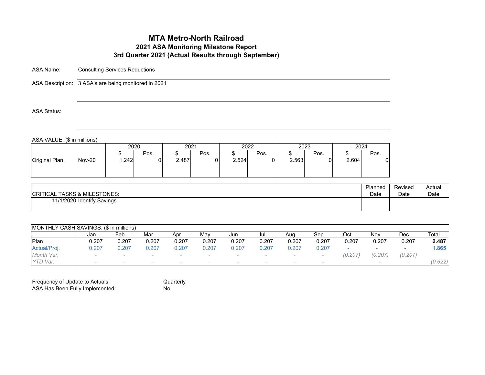# **MTA Metro-North Railroad2021 ASA Monitoring Milestone Report 3rd Quarter 2021 (Actual Results through September)**

ASA Name: Consulting Services Reductions

ASA Description: 3 ASA's are being monitored in 2021

ASA Status:

ASA VALUE: (\$ in millions)

| .                               |      |      |       |      |       |      |       |      |       |      |
|---------------------------------|------|------|-------|------|-------|------|-------|------|-------|------|
|                                 |      | 2020 |       | 2021 |       | 2022 | 2023  |      |       | 2024 |
|                                 |      | Pos. |       | Pos. |       | Pos. |       | Pos. |       | Pos. |
| <b>Nov-20</b><br>Original Plan: | .242 |      | 2.487 |      | 2.524 | U.   | 2.563 |      | 2.604 |      |
|                                 |      |      |       |      |       |      |       |      |       |      |

| <b>CRITICAL TASKS &amp; MILESTONES:</b> | Planned | Revised | Actua |
|-----------------------------------------|---------|---------|-------|
|                                         | Date    | Date    | Date  |
| 11/1/2020 Identify Savings              |         |         |       |

| MONTHLY CASH SAVINGS: (\$ in millions) |       |        |       |                          |       |       |       |        |       |         |         |                          |         |
|----------------------------------------|-------|--------|-------|--------------------------|-------|-------|-------|--------|-------|---------|---------|--------------------------|---------|
|                                        | Jan   | Feb    | Mar   | Apr                      | Mav   | Jun   | Jul   | Aug    | Sep   | Oct     | Nov     | Dec                      | Total   |
| Plan                                   | 0.207 | 0.207  | 0.207 | 0.207                    | 0.207 | 0.207 | 0.207 | 0.207  | 0.207 | 0.207   | 0.207   | 0.207                    | 2.487   |
| Actual/Proj.                           | 0.207 | 0.207  | 0.207 | 0.207                    | 0.207 | 0.207 | 0.207 | 0.207  | 0.207 |         |         |                          | .865    |
| Month Var.                             |       | $\sim$ |       |                          |       |       |       | $\sim$ |       | (0.207) | (0.207) | (0.207)                  |         |
| YTD Var.                               |       | $\sim$ |       | $\overline{\phantom{a}}$ |       | $-$   |       | $\sim$ |       |         |         | $\overline{\phantom{a}}$ | (0.622) |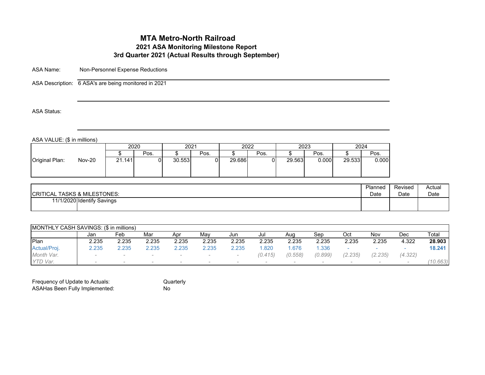## **MTA Metro-North Railroad 2021 ASA Monitoring Milestone Report 3rd Quarter 2021 (Actual Results through September)**

ASA Name: Non-Personnel Expense Reductions

ASA Description: 6 ASA's are being monitored in 2021

ASA Status:

ASA VALUE: (\$ in millions)

| . <i>.</i>     |               |        |      |        |      |        |      |        |       |        |       |
|----------------|---------------|--------|------|--------|------|--------|------|--------|-------|--------|-------|
|                |               | 2020   |      | 2021   |      | 2022   |      |        | 2023  | 2024   |       |
|                |               |        | Pos. |        | Pos. |        | Pos. |        | Pos.  |        | Pos.  |
| Original Plan: | <b>Nov-20</b> | 21.141 |      | 30.553 |      | 29.686 |      | 29.563 | 0.000 | 29.533 | 0.000 |
|                |               |        |      |        |      |        |      |        |       |        |       |

| <b>CRITICAL</b>                | Planned | Revised | Actual |
|--------------------------------|---------|---------|--------|
| <b>TASKS &amp; MILESTONES:</b> | Date    | Date    | Date   |
| 11/1/2020 Identify Savings     |         |         |        |

| MONTHLY CASH SAVINGS: (\$ in millions) |                          |                          |       |        |       |       |         |         |         |         |         |         |          |
|----------------------------------------|--------------------------|--------------------------|-------|--------|-------|-------|---------|---------|---------|---------|---------|---------|----------|
|                                        | Jan                      | Feb                      | Mar   | Apr    | Mav   | Jun   | Jul     | Aug     | Sep     | Oct     | Nov     | Dec     | Total    |
| Plan                                   | 2.235                    | 2.235                    | 2.235 | 2.235  | 2.235 | 2.235 | 2.235   | 2.235   | 2.235   | 2.235   | 2.235   | 4.322   | 28.903   |
| Actual/Proj.                           | 2.235                    | 2.235                    | 2.235 | 2.235  | 2.235 | 2.235 | .820    | .676    | .336    |         |         |         | 18.241   |
| Month Var.                             | $\overline{\phantom{a}}$ | $\overline{\phantom{a}}$ |       |        |       |       | (0.415) | (0.558) | (0.899) | (2.235) | (2.235) | (4.322) |          |
| <b>YTD Var.</b>                        |                          | $\overline{\phantom{a}}$ |       | $\sim$ |       |       |         | $\sim$  |         | $\sim$  |         |         | (10.663) |

| Frequency of Update to Actuals: | Quarterly |
|---------------------------------|-----------|
| ASAHas Been Fully Implemented:  | Nο        |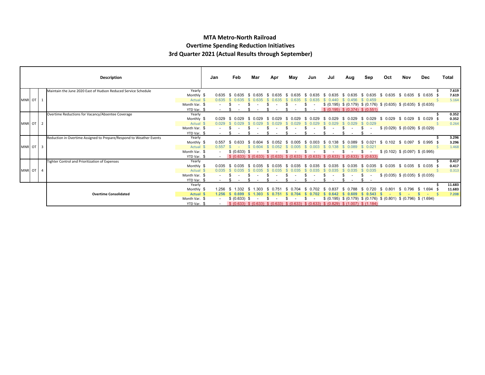## **MTA Metro‐North Railroad Overtime Spending Reduction Initiatives 3rd Quarter 2021 (Actual Results through September)**

|          |  |                              | Description                                                         |                         | Jan   | Feb                   | Mar     | Apr           | May      | Jun                           | Jul                                                                                             | Aug                    | Sep          | Oct                                                                     | Nov      | Dec                                 | Total          |
|----------|--|------------------------------|---------------------------------------------------------------------|-------------------------|-------|-----------------------|---------|---------------|----------|-------------------------------|-------------------------------------------------------------------------------------------------|------------------------|--------------|-------------------------------------------------------------------------|----------|-------------------------------------|----------------|
|          |  |                              | Maintain the June 2020 East of Hudson Reduced Service Schedule      | Yearly                  |       |                       |         |               |          |                               |                                                                                                 |                        |              |                                                                         |          |                                     | 7.619          |
|          |  |                              |                                                                     | Monthly \$              | 0.635 | - \$<br>0.635         | 0 635   | 0.635<br>- 96 | 0.635    | 0.635                         | 0.635<br>- 35                                                                                   | 0.635<br>-SS           | 0.635<br>-SS | $$0.635$ \$ 0.635 \$ 0.635 \$                                           |          |                                     | 7.619          |
| MNR OT 1 |  |                              |                                                                     | Actual \$               |       |                       |         |               |          |                               |                                                                                                 | \$ 0.456               | \$0.459      |                                                                         |          |                                     | 5.164          |
|          |  |                              |                                                                     | Month Var. \$           |       |                       |         |               |          |                               |                                                                                                 |                        |              | $$$ (0.195) $$$ (0.179) $$$ (0.176) $$$ (0.635) $$$ (0.635) $$$ (0.635) |          |                                     |                |
|          |  |                              |                                                                     | YTD Var.                |       |                       |         |               |          |                               | \$ (0.195) \$ (0.374) \$ (0.551)                                                                |                        |              |                                                                         |          |                                     |                |
|          |  |                              | Overtime Reductions for Vacancy/Absentee Coverage                   | Yearly                  |       |                       |         |               |          |                               |                                                                                                 |                        |              |                                                                         |          |                                     | 0.352          |
|          |  |                              |                                                                     | Monthly \$              | 0.029 |                       |         |               |          |                               |                                                                                                 |                        | 0.029        | \$ 0.029                                                                |          | \$ 0.029 \$ 0.029 \$                | 0.352          |
| MNR OT   |  | 2                            |                                                                     | Actual \$               | 0.029 | <sup>S</sup><br>0.029 | 0.029   | 0.029         |          | 0.029                         | -SS<br>0.029                                                                                    | 0.029                  | \$0.029      |                                                                         |          |                                     | 0.264          |
|          |  |                              |                                                                     | Month Var. \$           |       |                       |         |               |          |                               |                                                                                                 |                        | S.<br>$\sim$ |                                                                         |          | \$ (0.029) \$ (0.029) \$ (0.029)    |                |
|          |  |                              |                                                                     | YTD Var. \$             |       |                       |         |               |          |                               |                                                                                                 |                        |              |                                                                         |          |                                     |                |
| MNR OT   |  |                              | Reduction in Overtime Assigned to Prepare/Respond to Weather Events | Yearly                  | 0.557 | \$ በ633               | 0 604   |               |          |                               | በ 138                                                                                           | \$ 0.089               | በ በ21<br>-SG |                                                                         |          | \$ 0.102 \$ 0.097 \$ 0.995 \$       | 3.296          |
|          |  |                              |                                                                     | Monthly \$<br>Actual \$ | 0.557 |                       | \$0.604 | \$ 0.052      | \$ 0.005 | 0.003<br>- 96<br>-SS<br>0.003 | - \$<br>\$ 0.138                                                                                | $$0.089$ \$ 0.021      |              |                                                                         |          |                                     | 3.296<br>1.468 |
|          |  |                              |                                                                     | Month Var. \$           |       | \$ (0.633) \$         |         |               |          |                               |                                                                                                 |                        |              |                                                                         |          | $$$ (0.102) $$$ (0.097) $$$ (0.995) |                |
|          |  |                              |                                                                     | YTD Var. \$             |       |                       |         |               |          |                               | $$$ (0.633) $$$ (0.633) $$$ (0.633) $$$ (0.633) $$$ (0.633) $$$ (0.633) $$$ (0.633) $$$ (0.633) |                        |              |                                                                         |          |                                     |                |
|          |  |                              | Tighter Control and Prioritization of Expenses                      | Yearly                  |       |                       |         |               |          |                               |                                                                                                 |                        |              |                                                                         |          |                                     | 0.417          |
|          |  |                              |                                                                     | Monthly \$              | 0.035 | - \$<br>. በ በ35       | 0 035   |               |          | 0.035                         |                                                                                                 | 0.035                  | 0.035<br>S.  |                                                                         |          | \$ 0.035 \$ 0.035 \$ 0.035 \$       | 0.417          |
| MNR OT 4 |  |                              |                                                                     | Actual \$               | 0.035 | \$ 0.035              |         | 0.035         | 0.035    | 0.035                         | $\mathcal{S}$<br>0.035                                                                          | 0.035<br>$\mathcal{S}$ | \$0.035      |                                                                         |          |                                     | 0.313          |
|          |  |                              |                                                                     | Month Var. \$           |       |                       |         |               |          |                               |                                                                                                 |                        | £.           |                                                                         |          | \$ (0.035) \$ (0.035) \$ (0.035)    |                |
|          |  |                              |                                                                     | YTD Var. \$             |       |                       |         |               |          |                               |                                                                                                 |                        |              |                                                                         |          |                                     |                |
|          |  |                              |                                                                     | Yearly                  |       |                       |         |               |          |                               |                                                                                                 |                        |              |                                                                         |          |                                     | 11.683         |
|          |  |                              |                                                                     | Monthly \$              |       |                       |         |               |          |                               |                                                                                                 |                        |              | \$ 0.801                                                                | \$ 0.796 | \$1.694                             | 11.683         |
|          |  | <b>Overtime Consolidated</b> | Actual \$                                                           | 1.256                   | 0.699 | 1.303                 |         |               |          |                               |                                                                                                 | 0.543                  |              |                                                                         | <b>A</b> | 7.208                               |                |
|          |  |                              |                                                                     | Month Var. \$           |       | \$ (0.633) \$         |         |               |          |                               |                                                                                                 |                        |              | $$$ (0.195) $$$ (0.179) $$$ (0.176) $$$ (0.801) $$$ (0.796) $$$ (1.694) |          |                                     |                |
|          |  |                              |                                                                     | YTD Var. \$             |       |                       |         |               |          |                               | \$ (0.633) \$ (0.633) \$ (0.633) \$ (0.633) \$ (0.633) \$ (0.829) \$ (1.007) \$ (1.184)         |                        |              |                                                                         |          |                                     |                |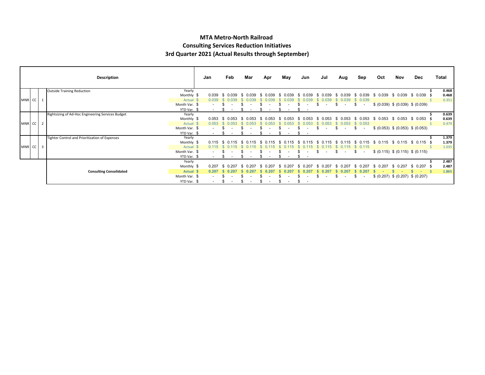## **MTA Metro‐North Railroad Consulting Services Reduction Initiatives 3rd Quarter 2021 (Actual Results through September)**

|          |  | Description                                       |             | Jan   |    | Feb      | Mar     | Apr  |         | May     | Jun   | Jul                      |            | Aug                      | Sep                    | Oct           | Nov         | Dec                                 | Total |
|----------|--|---------------------------------------------------|-------------|-------|----|----------|---------|------|---------|---------|-------|--------------------------|------------|--------------------------|------------------------|---------------|-------------|-------------------------------------|-------|
|          |  | <b>Outside Training Reduction</b>                 | Yearly      |       |    |          |         |      |         |         |       |                          |            |                          |                        |               |             |                                     | 0.468 |
|          |  |                                                   | Monthly \$  | 0.039 | Ж. | 0 039    | 0 039   | Ж.   | . በ በ39 | 0.039   | 0.039 | 0.039<br>-86             | - 96       | 0.039                    | 0.039<br>-86           | \$ 0.039      |             | \$ 0.039 \$ 0.039 \$                | 0.468 |
| MNR CC 1 |  |                                                   | Actual \$   | 0.039 |    | 0.039    | 039     |      | 0.039   | 0.039   | 0.039 | 0.039                    | -SS        | 0.039                    | \$0.039                |               |             |                                     | 0.351 |
|          |  | Month Var. \$                                     |             |       |    |          |         |      |         |         |       |                          |            | $\overline{a}$           | S.<br>$\sim$           |               |             | $(0.039)$ \$ $(0.039)$ \$ $(0.039)$ |       |
|          |  |                                                   | YTD Var. \$ |       |    |          |         |      |         |         |       |                          |            |                          |                        |               |             |                                     |       |
|          |  | Rightsizing of Ad-Hoc Engineering Services Budget | Yearly      |       |    |          |         |      |         |         |       |                          |            |                          |                        |               |             |                                     | 0.639 |
|          |  |                                                   | Monthly \$  | 0.053 |    | \$ 0.053 | 0.053   | - 96 | . በ በ53 | 0.053   | 0.053 | \$ 0.053                 | -96        | 0.053                    | \$ 0.053               |               |             | $$0.053$$ \$ 0.053 \$ 0.053 \$      | 0.639 |
| MNR CC 2 |  |                                                   | Actual \$   | 0.053 |    |          |         |      |         |         |       |                          |            | 0.053                    | \$0.053                |               |             |                                     | 0.479 |
|          |  | Month Var. \$                                     |             |       |    |          |         |      |         |         |       |                          |            | $\overline{\phantom{a}}$ | \$.<br>$\sim$          |               |             | $(0.053)$ \$ $(0.053)$ \$ $(0.053)$ |       |
|          |  |                                                   | YTD Var. \$ |       |    |          |         |      |         |         |       |                          |            |                          |                        |               |             |                                     |       |
|          |  | Tighter Control and Prioritization of Expenses    | Yearly      |       |    |          |         |      |         |         |       |                          |            |                          |                        |               |             |                                     | 1.379 |
|          |  |                                                   | Monthly \$  | 0.115 |    |          | 0 1 1 5 |      |         | 0 1 1 5 |       |                          | -96<br>115 | 115                      | \$ 0.115               |               |             | $$0.115$ \$ 0.115 \$ 0.115 \$       | 1.379 |
| MNR CC 3 |  |                                                   | Actual \$   | 0.115 |    |          |         |      |         |         |       |                          | - SS       |                          | \$0.115                |               |             |                                     | 1.035 |
|          |  | Month Var. \$                                     |             |       |    |          |         |      |         |         |       | $\overline{\phantom{a}}$ | - \$       | $\overline{\phantom{a}}$ | \$<br>$\sim$ 100 $\pm$ |               |             | \$ (0.115) \$ (0.115) \$ (0.115)    |       |
|          |  |                                                   | YTD Var. \$ |       |    |          |         |      |         |         |       |                          |            |                          |                        |               |             |                                     |       |
|          |  |                                                   | Yearly      |       |    |          |         |      |         |         |       |                          |            |                          |                        |               |             |                                     | 2.487 |
|          |  |                                                   | Monthly \$  | 0.207 |    | \$ 0.207 |         | Ж.   |         |         |       |                          |            |                          | -86                    | 0.207<br>- 35 | 0.207<br>S. | $$0.207$ \$                         | 2.487 |
|          |  | <b>Consulting Consolidated</b>                    | Actual \$   | 0.207 |    | .ስ. 207  |         |      |         |         |       |                          |            |                          |                        |               |             |                                     | 1.865 |
|          |  | Month Var. \$                                     |             |       |    |          |         |      |         |         |       |                          |            | $\overline{\phantom{a}}$ | \$<br>$\sim$ $-$       |               |             | $(0.207)$ \$ $(0.207)$ \$ $(0.207)$ |       |
|          |  |                                                   | YTD Var. \$ |       |    |          |         |      |         |         |       |                          |            |                          |                        |               |             |                                     |       |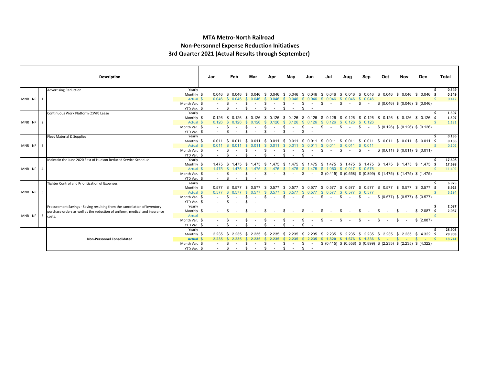## **MTA Metro‐North Railroad Non‐Personnel Expense Reduction Initiatives 3rd Quarter 2021 (Actual Results through September)**

|                 |  |  | <b>Description</b>                                                         |               | Jan            | Feb       |                 | Mar             | Apr                             | May           | Jun                    | Jul                                                            | Aug                            | Sep                      | Oct                                                                     | Nov        | <b>Dec</b>                    | Total  |
|-----------------|--|--|----------------------------------------------------------------------------|---------------|----------------|-----------|-----------------|-----------------|---------------------------------|---------------|------------------------|----------------------------------------------------------------|--------------------------------|--------------------------|-------------------------------------------------------------------------|------------|-------------------------------|--------|
|                 |  |  | <b>Advertising Reduction</b>                                               | Yearly        |                |           |                 |                 |                                 |               |                        |                                                                |                                |                          |                                                                         |            |                               | 0.549  |
|                 |  |  |                                                                            | Monthly \$    | 0.046          |           |                 |                 |                                 |               |                        |                                                                | 0.046                          | 0.046<br>- 96            |                                                                         |            | \$ 0.046 \$ 0.046 \$ 0.046 \$ | 0.549  |
| MNR NP 1        |  |  |                                                                            | Actual \$     | 0.046          | - SS      | 0.046           | - \$<br>0.046   | 0.046                           | 0.046         | 0.046                  | $0.046$ \$<br><b>S</b>                                         |                                | $0.046$ \$ 0.046         |                                                                         |            |                               | 0.412  |
|                 |  |  |                                                                            | Month Var. \$ |                |           |                 |                 |                                 |               |                        |                                                                | S.<br><b>Contract</b>          | <b>S</b> –               | $$$ (0.046) $$$ (0.046) $$$ (0.046)                                     |            |                               |        |
|                 |  |  |                                                                            | YTD Var. \$   |                |           |                 |                 |                                 |               |                        |                                                                |                                |                          |                                                                         |            |                               |        |
|                 |  |  | Continuous Work Platform (CWP) Lease                                       | Yearly        |                |           |                 |                 |                                 |               |                        |                                                                |                                |                          |                                                                         |            |                               | 1.507  |
|                 |  |  |                                                                            | Monthly \$    | 0.126          | \$ 0.126  |                 | - \$<br>0.126   |                                 |               |                        |                                                                | - \$                           | -SS                      | 0.126 \$ 0.126 \$ 0.126 \$ 0.126 \$                                     |            |                               | 1.507  |
| MNR NP 2        |  |  |                                                                            | Actual \$     | 0.126          |           |                 | 126.            |                                 | 0.126         |                        | 0.126                                                          | - \$                           | $0.126$ \$ 0.126         |                                                                         |            |                               | 1.131  |
|                 |  |  |                                                                            | Month Var. \$ |                |           |                 |                 |                                 |               |                        |                                                                | - \$<br>$\sim$                 | - \$<br>$\sim$ 100 $\pm$ | $$$ (0.126) $$$ (0.126) $$$ (0.126)                                     |            |                               |        |
|                 |  |  |                                                                            | YTD Var. \$   |                |           |                 |                 |                                 |               |                        |                                                                |                                |                          |                                                                         |            |                               |        |
|                 |  |  | Fleet Material & Supplies                                                  | Yearly        |                |           |                 |                 |                                 |               |                        |                                                                |                                |                          |                                                                         |            |                               | 0.136  |
|                 |  |  |                                                                            | Monthly \$    | 0.011          | \$ 0.011  |                 | -0.011          |                                 |               |                        | 0.011                                                          | - SS<br>0.011                  | 0.011<br>- 96            | \$ 0.011 \$ 0.011 \$ 0.011 \$                                           |            |                               | 0.136  |
| MNR NP 3        |  |  |                                                                            | Actual \$     | 0.011          |           |                 |                 |                                 |               |                        |                                                                | 0.011                          | S 0.011                  |                                                                         |            |                               | 0.102  |
|                 |  |  |                                                                            | Month Var. \$ |                |           |                 |                 |                                 |               |                        |                                                                | -S<br>$\sim$                   | $s -$                    | $$$ (0.011) $$$ (0.011) $$$ (0.011)                                     |            |                               |        |
|                 |  |  |                                                                            | YTD Var. \$   |                |           |                 |                 |                                 |               |                        |                                                                |                                |                          |                                                                         |            |                               |        |
|                 |  |  | Maintain the June 2020 East of Hudson Reduced Service Schedule             | Yearly        |                |           |                 |                 |                                 |               |                        |                                                                |                                |                          |                                                                         |            |                               | 17.698 |
|                 |  |  |                                                                            | Monthly \$    | 1.475 \$ 1.475 |           |                 | \$1.475\$       | 1.475 S                         | 1.475 S       |                        | 1.475 \$ 1.475 \$ 1.475 \$ 1.475 \$ 1.475 \$ 1.475 \$ 1.475 \$ |                                |                          |                                                                         |            |                               | 17.698 |
| MNR NP 4        |  |  |                                                                            | Actual \$     |                |           |                 |                 | .4/5                            | .475          | 1.475                  | \$ 1,060 \$ 0.917 \$ 0.576                                     |                                |                          |                                                                         |            |                               | 11.402 |
|                 |  |  |                                                                            | Month Var. \$ |                |           |                 |                 |                                 |               |                        |                                                                |                                |                          | $$$ (0.415) $$$ (0.558) $$$ (0.899) $$$ (1.475) $$$ (1.475) $$$ (1.475) |            |                               |        |
|                 |  |  |                                                                            | YTD Var. \$   |                | -SS       |                 |                 |                                 |               |                        |                                                                |                                |                          |                                                                         |            |                               |        |
|                 |  |  | Tighter Control and Prioritization of Expenses                             | Yearly        |                |           |                 |                 |                                 |               |                        |                                                                |                                |                          |                                                                         |            |                               | 6.925  |
|                 |  |  |                                                                            | Monthly \$    | 0.577          | - \$      | 0.577           | - \$<br>0.577   | 0.577<br>- SS                   | - 35          |                        | 0.577                                                          | - SS<br>0.577                  | - SS                     | 0.577 \$ 0.577 \$ 0.577 \$ 0.577 \$                                     |            |                               | 6.925  |
| MNR NP 5        |  |  |                                                                            | Actual \$     | 0.577          | \$ 0.577  |                 | - \$<br>0.577 S | 0.577                           | 0.577         | -SS<br>0.577           | 0.577 S<br>- SS                                                |                                | 0.577 \$ 0.577           |                                                                         |            |                               | 5.194  |
|                 |  |  |                                                                            | Month Var. \$ |                | S.        |                 |                 |                                 | -SS           | -SS                    | S.<br>$\sim$ 100 $\mu$                                         | -S<br><b>Contract Contract</b> |                          | $$ - $ (0.577) $ (0.577) $ (0.577)$                                     |            |                               |        |
|                 |  |  |                                                                            | YTD Var. \$   | $\sim 100$     | - \$      | <b>Contract</b> |                 |                                 |               |                        |                                                                |                                |                          |                                                                         |            |                               |        |
|                 |  |  | Procurement Savings - Saving resulting from the cancellation of inventory  | Yearly        |                |           |                 |                 |                                 |               |                        |                                                                |                                |                          |                                                                         |            |                               | 2.087  |
|                 |  |  | purchase orders as well as the reduction of uniform, medical and insurance | Monthly \$    |                |           |                 |                 |                                 |               |                        |                                                                |                                |                          |                                                                         |            | $$2.087$ \$                   | 2.087  |
| MNR NP 6 costs. |  |  |                                                                            | Actual        |                |           |                 |                 |                                 |               |                        |                                                                |                                |                          |                                                                         |            |                               |        |
|                 |  |  | Month Var. \$                                                              |               |                |           |                 |                 |                                 |               |                        |                                                                |                                |                          | S.                                                                      | \$ (2.087) |                               |        |
|                 |  |  |                                                                            | YTD Var. \$   |                | - \$      |                 | $\overline{a}$  | $\overline{\phantom{a}}$        | -SS           |                        |                                                                |                                |                          |                                                                         |            |                               |        |
|                 |  |  |                                                                            | Yearly        |                |           |                 |                 |                                 |               |                        |                                                                |                                |                          |                                                                         |            |                               | 28.903 |
|                 |  |  |                                                                            | Monthly \$    | 2.235          |           |                 |                 |                                 |               |                        | -SS                                                            | - 96                           |                          |                                                                         |            | $4.322$ \$<br>-SS             | 28.903 |
|                 |  |  | <b>Non-Personnel Consolidated</b>                                          | Actual \$     | 2.235          | $S$ 2.235 |                 | 2.235           |                                 |               | 2.235                  | \$ 1.820 \$ 1.676 \$ 1.336                                     |                                |                          | -S<br>$\sim$                                                            |            | $\sim$ $\sim$ $\sim$          | 18.241 |
|                 |  |  |                                                                            | Month Var. \$ |                | \$        |                 |                 |                                 |               | $\sim$ $-$             |                                                                |                                |                          | $$$ (0.415) $$$ (0.558) $$$ (0.899) $$$ (2.235) $$$ (2.235) $$$ (4.322) |            |                               |        |
|                 |  |  |                                                                            | YTD Var. \$   |                | - \$      | $\sim$ $-$      | -SS<br>$\sim$   | Яб.<br>$\overline{\phantom{a}}$ | -SS<br>$\sim$ | S.<br>$\sim$ 100 $\pm$ |                                                                |                                |                          |                                                                         |            |                               |        |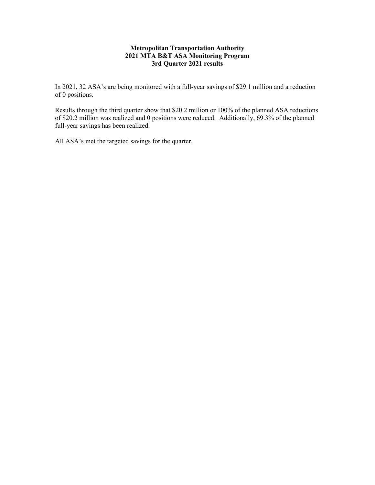#### **Metropolitan Transportation Authority 2021 MTA B&T ASA Monitoring Program 3rd Quarter 2021 results**

In 2021, 32 ASA's are being monitored with a full-year savings of \$29.1 million and a reduction of 0 positions.

Results through the third quarter show that \$20.2 million or 100% of the planned ASA reductions of \$20.2 million was realized and 0 positions were reduced. Additionally, 69.3% of the planned full-year savings has been realized.

All ASA's met the targeted savings for the quarter.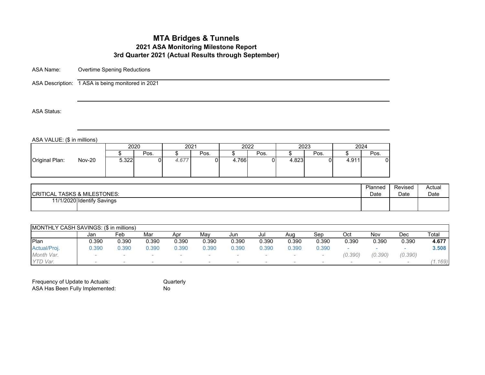# **MTA Bridges & Tunnels 2021 ASA Monitoring Milestone Report 3rd Quarter 2021 (Actual Results through September)**

ASA Name: Overtime Spening Reductions

ASA Description: 1 ASA is being monitored in 2021

ASA Status:

ASA VALUE: (\$ in millions)

|                | .             |       |      |       |      |       |      |       |      |       |      |
|----------------|---------------|-------|------|-------|------|-------|------|-------|------|-------|------|
|                |               | 2020  |      | 2021  |      |       | 2022 | 2023  |      |       | 2024 |
|                |               |       | Pos. |       | Pos. | - 13  | Pos. |       | Pos. |       | Pos. |
| Original Plan: | <b>Nov-20</b> | 5.322 |      | 4.677 |      | 4.766 | U    | 4.823 |      | 4.911 |      |
|                |               |       |      |       |      |       |      |       |      |       |      |

| <b>CRITICAL TASKS &amp; MILESTONES:</b> | Planned | Revised | Actua |
|-----------------------------------------|---------|---------|-------|
|                                         | Date    | Date    | Date  |
| 11/1/2020 Identify Savings              |         |         |       |

| MONTHLY CASH SAVINGS: (\$ in millions) |       |        |       |                          |       |       |       |        |       |         |         |         |        |
|----------------------------------------|-------|--------|-------|--------------------------|-------|-------|-------|--------|-------|---------|---------|---------|--------|
|                                        | Jan   | Feb    | Mar   | Apr                      | Mav   | Jun   | Jul   | Aug    | Sep   | Oct     | Nov     | Dec     | Total  |
| <b>IPlan</b>                           | 390.( | 0.390  | 0.390 | 0.390                    | 0.390 | 0.390 | 0.390 | 0.390  | 0.390 | 0.390   | 0.390   | 0.390   | 4.677  |
| Actual/Proj.                           | 1.390 | 0.390  | 0.390 | 0.390                    | 0.390 | 0.390 | 0.390 | 0.390  | 0.390 |         |         |         | 3.508  |
| Month Var.                             |       | $\sim$ |       |                          |       |       |       |        |       | (0.390) | (0.390) | (0.390) |        |
| YTD Var.                               |       | $\sim$ |       | $\overline{\phantom{a}}$ |       | $-$   |       | $\sim$ |       |         |         | $\sim$  | 1.169) |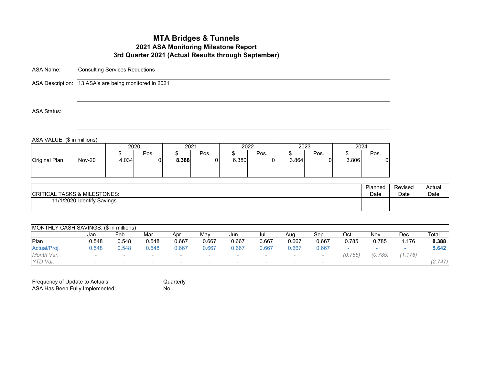# **MTA Bridges & Tunnels 2021 ASA Monitoring Milestone Report 3rd Quarter 2021 (Actual Results through September)**

ASA Name: Consulting Services Reductions

ASA Description: 13 ASA's are being monitored in 2021

ASA Status:

ASA VALUE: (\$ in millions)

| . <i>. .</i>   | .             |       |      |       |      |       |      |       |      |       |      |
|----------------|---------------|-------|------|-------|------|-------|------|-------|------|-------|------|
|                |               | 2020  |      | 2021  |      |       | 2022 | 2023  |      | 2024  |      |
|                |               |       | Pos. |       | Pos. |       | Pos. |       | Pos. |       | Pos. |
| Original Plan: | <b>Nov-20</b> | 4.034 | JL   | 8.388 |      | 6.380 |      | 3.864 |      | 3.806 |      |
|                |               |       |      |       |      |       |      |       |      |       |      |

| <b>CRITICAL TASKS &amp; MILESTONES:</b> | Planned | Revised | Actua |
|-----------------------------------------|---------|---------|-------|
|                                         | Date    | Date    | Date  |
| 11/1/2020 Identify Savings              |         |         |       |

|              | MONTHLY CASH SAVINGS: (\$ in millions) |        |       |                          |       |       |       |        |       |         |         |                          |         |  |
|--------------|----------------------------------------|--------|-------|--------------------------|-------|-------|-------|--------|-------|---------|---------|--------------------------|---------|--|
|              | Jan                                    | Feb    | Mar   | Apr                      | Mav   | Jun   | Jul   | Aug    | Sep   | Oct     | Nov     | Dec                      | Total   |  |
| <b>Plan</b>  | 548.(                                  | 0.548  | 0.548 | 0.667                    | 0.667 | 0.667 | 0.667 | 0.667  | 0.667 | 0.785   | 0.785   | . 176                    | 8.388   |  |
| Actual/Proj. | .548                                   | 0.548  | 0.548 | 0.667                    | 0.667 | 0.667 | 0.667 | 0.667  | 0.667 | $\sim$  |         |                          | 5.642   |  |
| Month Var.   |                                        | $\sim$ |       |                          |       |       |       |        |       | (0.785) | (0.785) | (1.176)                  |         |  |
| YTD Var.     |                                        | $\sim$ |       | $\overline{\phantom{a}}$ |       | $-$   |       | $\sim$ |       |         |         | $\overline{\phantom{a}}$ | (2.747) |  |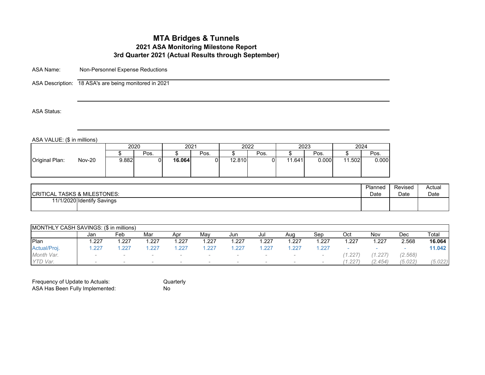# **MTA Bridges & Tunnels 2021 ASA Monitoring Milestone Report 3rd Quarter 2021 (Actual Results through September)**

ASA Name: Non-Personnel Expense Reductions

ASA Description: 18 ASA's are being monitored in 2021

ASA Status:

ASA VALUE: (\$ in millions)

|                | .             |       |      |        |      |        |      |        |       |            |       |
|----------------|---------------|-------|------|--------|------|--------|------|--------|-------|------------|-------|
|                |               | 2020  |      | 2021   |      |        | 2022 | 2023   |       | 2024       |       |
|                |               |       | Pos. |        | Pos. |        | Pos. |        | Pos.  |            | Pos.  |
| Original Plan: | <b>Nov-20</b> | 9.882 |      | 16.064 |      | 12.810 |      | 11.641 | 0.000 | .502<br>44 | 0.000 |
|                |               |       |      |        |      |        |      |        |       |            |       |

| <b>CRITICAL TASKS &amp; MILESTONES:</b> | Planned | Revised | Actual |
|-----------------------------------------|---------|---------|--------|
|                                         | Date    | Date    | Date   |
| 11/1/2020 Identify Savings              |         |         |        |

|              | MONTHLY CASH SAVINGS: (\$ in millions) |        |      |                          |       |            |       |        |        |               |                |         |         |  |
|--------------|----------------------------------------|--------|------|--------------------------|-------|------------|-------|--------|--------|---------------|----------------|---------|---------|--|
|              | Jan                                    | Feb    | Mar  | Apr                      | Mav   | Jun        | Jul   | Aua    | Sep    | Oct           | Nov            | Dec     | Total   |  |
| <b>IPlan</b> | .227                                   | 227،،  | .227 | .227                     | 227،، | 1.227      | 1.227 | . 227  | 227،،  | . 227         | .227           | 2.568   | 16.064  |  |
| Actual/Proj. | .227                                   | .227   | .227 | -227                     | .227  | $0.22^{-}$ | .227  | .227   | 1.227  |               |                |         | 11.042  |  |
| Month Var.   |                                        | $\sim$ |      | $\overline{\phantom{a}}$ |       |            |       | $\sim$ | $\sim$ | ・ソン /<br>$-2$ | 11 227<br>1.66 | (2.568) |         |  |
| YTD Var.     |                                        | $\sim$ |      | $\overline{\phantom{a}}$ |       | $-$        |       |        |        | (1.227)       | (2.454)        | (5.022) | (5.022) |  |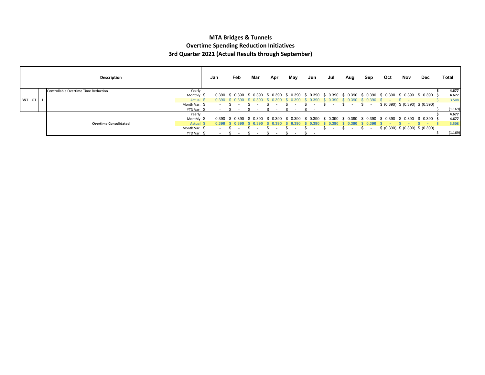## **MTA Bridges & Tunnels Overtime Spending Reduction Initiatives 3rd Quarter 2021 (Actual Results through September)**

|        |  | Description                          |                  | Jan   | Feb                      | Mar      |       | Apr      | May      |       | Jun      | Jul      | Aug      | Sep      | Oct      | Nov                                 | Dec                   | Total   |
|--------|--|--------------------------------------|------------------|-------|--------------------------|----------|-------|----------|----------|-------|----------|----------|----------|----------|----------|-------------------------------------|-----------------------|---------|
|        |  | Controllable Overtime Time Reduction | Yearly           |       |                          |          |       |          |          |       |          |          |          |          |          |                                     |                       | 4.677   |
|        |  |                                      | Monthly \$       | 0.390 | \$ 0.390                 | \$ 0.390 |       | \$ 0.390 | \$ 0.390 |       | \$ 0.390 | \$ 0.390 | \$ 0.390 | 0.390    | \$ 0.390 |                                     | $$0.390$$ \$ 0.390 \$ | 4.677   |
| B&T OT |  |                                      | Actual \$        | 0.390 | \$ 0.390                 |          | 0.390 | - 0.390  |          | 0.390 | -0.390   | 0.390    | 0.390    | 0.390    |          |                                     |                       | 3.508   |
|        |  |                                      | Month Var. \$    | . .   | $\overline{\phantom{a}}$ |          |       |          |          |       |          |          |          |          |          | $$$ (0.390) $$$ (0.390) $$$ (0.390) |                       |         |
|        |  |                                      | YTD Var. \$      |       |                          |          |       |          |          |       |          |          |          |          |          |                                     |                       | (1.169) |
|        |  |                                      | Yearly           |       |                          |          |       |          |          |       |          |          |          |          |          |                                     |                       | 4.677   |
|        |  |                                      | Monthly \$       | 0.390 | \$ 0.390                 | \$ 0.390 |       | \$ 0.390 | \$ 0.390 |       | \$ 0.390 | \$ 0.390 | \$ 0.390 | \$ 0.390 | \$ 0.390 | \$ 0.390                            | \$ 0.390 \$           | 4.677   |
|        |  | <b>Overtime Consolidated</b>         | <b>Actual \$</b> | 0.390 | 0.390                    |          | 0.390 | .390     |          | 0.390 | 0.390    | 7.390    | 0.390    | 0.390    |          |                                     |                       | 3.508   |
|        |  |                                      | Month Var. \$    |       | $\overline{\phantom{a}}$ |          |       |          |          |       |          |          |          |          |          | $$$ (0.390) $$$ (0.390) $$$ (0.390) |                       |         |
|        |  |                                      | YTD Var. \$      |       |                          |          |       |          |          |       |          |          |          |          |          |                                     |                       | (1.169) |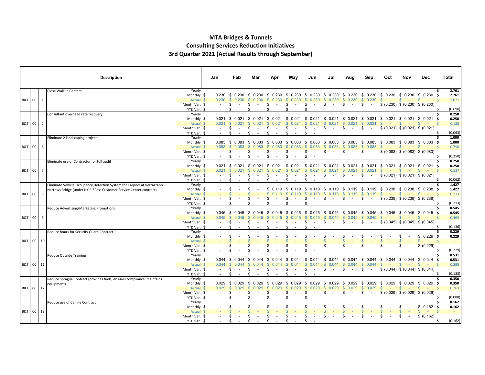## **MTA Bridges & Tunnels Consulting Services Reduction Initiatives 3rd Quarter 2021 (Actual Results through September)**

┑

 $\top$ 

г

|                     |      |   | <b>Description</b>                                                     |                            | Jan        | Feb                       | Mar                                                                                                         | Apr                       | May                               | Jun                                  | Jul                                                           | Aua                                           | Sep                                    | Oct                                          | Nov                                                        | <b>Dec</b>                      | Total                 |
|---------------------|------|---|------------------------------------------------------------------------|----------------------------|------------|---------------------------|-------------------------------------------------------------------------------------------------------------|---------------------------|-----------------------------------|--------------------------------------|---------------------------------------------------------------|-----------------------------------------------|----------------------------------------|----------------------------------------------|------------------------------------------------------------|---------------------------------|-----------------------|
|                     |      |   | Close Walk in Centers                                                  | Yearly                     |            |                           |                                                                                                             |                           |                                   |                                      |                                                               |                                               |                                        |                                              |                                                            |                                 | 2.761                 |
|                     |      |   |                                                                        | Monthly \$                 |            |                           | 0.230 \$ 0.230 \$ 0.230 \$ 0.230 \$ 0.230 \$ 0.230 \$ 0.230 \$ 0.230 \$ 0.230 \$ 0.230 \$ 0.230 \$ 0.230 \$ |                           |                                   |                                      |                                                               |                                               |                                        |                                              |                                                            |                                 | 2.761                 |
| B&T CC 1            |      |   |                                                                        | Actual \$                  | 0.230      | 0.230                     | 0.230                                                                                                       |                           | <sup>S</sup><br>0.230             | \$0.230                              | \$0.230                                                       | \$0.230                                       | 0.230<br>-S                            | $\mathbb{S}$<br><b>Section</b>               | $\mathbb{S}$                                               | $\mathbb{S}$                    | $\mathsf{S}$<br>2.071 |
|                     |      |   |                                                                        | Month Var. \$              |            | \$                        | \$                                                                                                          | \$<br>$\sim$              | - \$<br>$\sim$                    | \$.<br>$\sim 100$                    | \$<br>$\sim$ $-$                                              | \$<br>$\sim$                                  | - \$<br>$\sim 100$                     |                                              | \$ (0.230) \$ (0.230) \$ (0.230)                           |                                 |                       |
|                     |      |   |                                                                        | YTD Var. \$                |            | £.                        | Яб.                                                                                                         | \$                        | Я.                                |                                      |                                                               |                                               |                                        |                                              |                                                            |                                 | (0.690)<br>-Ś<br>\$.  |
|                     |      |   | Consultant overhead rate recovery                                      | Yearly<br>Monthly \$       |            | 0.021 \$ 0.021 \$ 0.021   |                                                                                                             | \$ 0.021                  | \$ 0.021                          | - \$                                 | 0.021 \$ 0.021 \$ 0.021 \$ 0.021                              |                                               |                                        | \$ 0.021 \$                                  |                                                            | $0.021 \t S \t 0.021 \t S$      | 0.250<br>0.250        |
| <b>B&amp;T</b> CC 2 |      |   |                                                                        | Actual \$                  | 0.021      | 0.021                     |                                                                                                             | -S                        |                                   | -SS<br>0.021                         | -SS<br>0.021                                                  | 0.021<br>- \$                                 | \$0.021                                | <b>S</b><br>$\sim$                           | $\mathbb{S}$<br>$\sim$                                     | $\mathbb{S}$                    | 0.188<br>- Ś          |
|                     |      |   |                                                                        | Month Var. \$              |            |                           |                                                                                                             |                           |                                   |                                      | \$                                                            | \$<br>$\sim$ $-$                              | - \$<br>$\sim$ 100 $\mu$               |                                              | \$ (0.021) \$ (0.021) \$ (0.021)                           |                                 |                       |
|                     |      |   |                                                                        | YTD Var. \$                |            | £.                        |                                                                                                             | £.                        |                                   |                                      |                                                               |                                               |                                        |                                              |                                                            |                                 | (0.063)<br>Ŝ          |
|                     |      |   | Eliminate 2 landscaping projects                                       | Yearly                     |            |                           |                                                                                                             |                           |                                   |                                      |                                                               |                                               |                                        |                                              |                                                            |                                 | 1.000                 |
|                     |      |   |                                                                        | Monthly \$                 |            |                           | 0.083 \$ 0.083 \$ 0.083 \$ 0.083 \$ 0.083                                                                   |                           |                                   |                                      |                                                               |                                               |                                        | \$ 0.083 \$ 0.083 \$ 0.083 \$ 0.083 \$ 0.083 |                                                            | \$ 0.083 \$ 0.083 \$            | 1.000                 |
| B&T                 | cc   | 6 |                                                                        | Actual \$                  | 0.083      | 0.083                     | $\mathbb{S}$<br>0.083                                                                                       | $\mathbb{S}$<br>0.083     | 0.083<br>$\mathcal{S}$            | 0.083<br>$\mathbb{S}$                | \$0.083                                                       | \$0.083                                       | \$0.083                                | $\mathbb{S}$<br><b>Section</b>               | $\mathbb{S}$                                               | $\mathbb{S}$<br>$\sim 100$      | $\mathsf{S}$<br>0.750 |
|                     |      |   |                                                                        | Month Var. \$              |            |                           |                                                                                                             | \$                        | $\sim$                            | S                                    | \$<br>$\sim$ $-$                                              | \$                                            | \$<br>$\sim$                           |                                              | $$$ (0.083) $$$ (0.083) $$$ (0.083)                        |                                 |                       |
|                     |      |   |                                                                        | YTD Var. \$                |            | \$<br>$\sim$              | \$<br>$\sim$                                                                                                | \$<br>$\sim$              | -S<br>$\overline{\phantom{a}}$    |                                      |                                                               |                                               |                                        |                                              |                                                            |                                 | (0.250)<br>Ŝ          |
|                     |      |   | Eliminate use of Contractor for toll audit                             | Yearly                     |            |                           |                                                                                                             |                           |                                   |                                      |                                                               |                                               |                                        |                                              |                                                            |                                 | 0.250<br>Ś            |
|                     |      |   |                                                                        | Monthly \$                 |            | $0.021 \quad $0.021$      | 0.021<br>- \$                                                                                               | \$ 0.021                  | \$ 0.021                          |                                      | \$ 0.021 \$ 0.021 \$ 0.021 \$ 0.021                           |                                               |                                        |                                              |                                                            | \$ 0.021 \$ 0.021 \$ 0.021 \$   | 0.250                 |
| B&T CC 7            |      |   |                                                                        | Actual \$                  | 0.021      | \$0.021                   | 0.021                                                                                                       | 0.021                     | \$0.021                           |                                      | \$ 0.021 \$ 0.021 \$                                          | 0.021                                         | $$0.021$ \$                            | <b>Service</b>                               | $\mathbb{S}$<br>$\sim 100$                                 | $\mathbb{S}$                    | 0.187<br>-Ś           |
|                     |      |   |                                                                        | Month Var. \$              |            | \$                        |                                                                                                             | \$                        | \$                                | \$                                   | \$<br>$\sim 100$                                              | \$<br><b>Contract</b>                         | - \$<br>$\sim$ $-$                     |                                              | \$ (0.021) \$ (0.021) \$ (0.021)                           |                                 |                       |
|                     |      |   |                                                                        | YTD Var. \$                |            | \$                        | \$                                                                                                          | \$                        | £.<br>$\sim$                      |                                      |                                                               |                                               |                                        |                                              |                                                            |                                 | (0.062)<br>Ŝ          |
|                     |      |   | Eliminate Vehicle Occupancy Detection System for Carpool at Verrazzano | Yearly                     |            |                           |                                                                                                             |                           |                                   |                                      |                                                               |                                               |                                        |                                              |                                                            |                                 | 1.427                 |
|                     |      |   | Narrows Bridge (under NY E-ZPass Customer Service Center contract)     | Monthly \$                 |            |                           |                                                                                                             | \$.                       |                                   |                                      | $0.119$ \$ 0.119 \$ 0.119 \$ 0.119 \$ 0.119 \$ 0.119 \$ 0.238 |                                               |                                        |                                              |                                                            | \$ 0.238 \$ 0.238 \$            | 1.427                 |
| B&T                 | cc l | 8 |                                                                        | Actual \$<br>Month Var. \$ |            |                           | S                                                                                                           | 0.119<br>\$               | <b>S</b><br>0.119<br>-S<br>$\sim$ | $\mathbb{S}$<br>0.119<br>S<br>$\sim$ | <b>S</b><br>0.119<br>\$<br>$\sim$ $-$                         | <b>S</b><br>0.119<br>$\mathfrak{s}$<br>$\sim$ | $0.119$ \$<br>- \$<br>\$<br>$\sim$ $-$ |                                              | $\mathbb{S}$<br>$\sim$<br>\$ (0.238) \$ (0.238) \$ (0.238) | $\mathbb{S}$<br>na.             | - Ś<br>0.713          |
|                     |      |   |                                                                        | YTD Var. \$                |            | \$                        | \$.                                                                                                         | -S<br>$\sim$              | - \$<br>$\sim$ $-$                |                                      |                                                               |                                               |                                        |                                              |                                                            |                                 | -Ś<br>(0.713)         |
|                     |      |   | Reduce Advertising/Marketing Promotions                                | Yearly                     |            |                           |                                                                                                             |                           |                                   |                                      |                                                               |                                               |                                        |                                              |                                                            |                                 | 0.545                 |
|                     |      |   |                                                                        | Monthly \$                 |            | $0.045$ \$ 0.045          | 0.045<br>- \$                                                                                               | - \$<br>0.045             | \$ 0.045                          |                                      | \$ 0.045 \$ 0.045 \$ 0.045 \$ 0.045                           |                                               |                                        | \$ 0.045                                     | - \$<br>0.045                                              | $$0.045$ \$                     | 0.545                 |
| B&T CC 9            |      |   |                                                                        | Actual \$                  |            | $0.045$ \$ 0.045 \$       |                                                                                                             | $0.045$ \$ 0.045 \$ 0.045 |                                   |                                      | \$ 0.045 \$ 0.045 \$ 0.045 \$ 0.045 \$                        |                                               |                                        | $\sim 10^{-1}$                               | $\mathbb{S}$<br><b>Contract</b>                            | $\mathbb{S}$<br>$\sim$          | 0.409<br>$\leq$       |
|                     |      |   |                                                                        | Month Var. \$              |            | \$                        | \$                                                                                                          | \$                        | - \$<br>$\sim$                    | \$.<br>$\sim$ $-$                    | \$<br>$\sim$ $-$                                              | - S<br>$\sim$                                 | -S<br>$\sim 100$                       | $(0.045)$ \$ $(0.045)$ \$ $(0.045)$          |                                                            |                                 |                       |
|                     |      |   |                                                                        | YTD Var. \$                |            | \$                        | \$.                                                                                                         | Я.                        | £.                                |                                      |                                                               |                                               |                                        |                                              |                                                            |                                 | (0.136)               |
|                     |      |   | Reduce hours for Security Guard Contract                               | Yearly                     |            |                           |                                                                                                             |                           |                                   |                                      |                                                               |                                               |                                        |                                              |                                                            |                                 | 0.229                 |
|                     |      |   |                                                                        | Monthly \$                 |            |                           |                                                                                                             |                           |                                   |                                      |                                                               |                                               |                                        |                                              |                                                            | $$0.229$ \$                     | 0.229                 |
| B&T CC 10           |      |   |                                                                        | Actual \$                  |            |                           |                                                                                                             |                           |                                   |                                      |                                                               |                                               | £.                                     | $\mathbf{\hat{s}}$                           |                                                            | $\mathbb{S}$<br><b>Contract</b> | -Ś<br>$\sim$          |
|                     |      |   |                                                                        | Month Var. \$              |            |                           |                                                                                                             |                           | -55                               |                                      | \$.                                                           |                                               |                                        |                                              |                                                            | \$ (0.229)                      |                       |
|                     |      |   |                                                                        | YTD Var. \$                |            |                           |                                                                                                             |                           |                                   |                                      |                                                               |                                               |                                        |                                              |                                                            |                                 | Ŝ.<br>(0.229)         |
|                     |      |   | <b>Reduce Outside Training</b>                                         | Yearly                     |            |                           |                                                                                                             |                           |                                   |                                      |                                                               |                                               |                                        |                                              |                                                            |                                 | 0.531                 |
|                     |      |   |                                                                        | Monthly \$                 | $0.044$ \$ | 0.044                     | \$ 0.044                                                                                                    | \$ 0.044                  | \$ 0.044                          |                                      | \$ 0.044 \$ 0.044 \$ 0.044                                    |                                               | \$ 0.044                               | - \$<br>0.044                                | S.                                                         | $0.044$ \$ 0.044 \$             | 0.531                 |
| B&T CC 11           |      |   |                                                                        | Actual \$                  |            | $0.044$ \$ 0.044          | $\mathbb{S}$                                                                                                | $0.044$ \$ 0.044          |                                   |                                      | \$ 0.044 \$ 0.044 \$ 0.044 \$ 0.044 \$ 0.044                  |                                               |                                        | $\mathbf{s}$                                 | <b>S</b>                                                   | $\mathbb{S}$<br><b>College</b>  | 0.398<br>$\mathsf{S}$ |
|                     |      |   |                                                                        | Month Var. \$              |            | \$                        | \$                                                                                                          | \$<br>$\sim$              | - \$<br>$\sim$                    | S.<br>$\sim$ $-$                     | \$<br>$\sim$ $-$                                              | \$<br>$\sim 10^{-10}$                         | - \$<br>$\sim$ $-$                     |                                              | \$ (0.044) \$ (0.044) \$ (0.044)                           |                                 |                       |
|                     |      |   |                                                                        | YTD Var. \$                |            | \$                        |                                                                                                             | \$.                       |                                   |                                      |                                                               |                                               |                                        |                                              |                                                            |                                 | (0.133)<br>-Ś         |
|                     |      |   | Reduce Sprague Contract (provides fuels, ensures compliance, maintains | Yearly<br>Monthly \$       |            | $0.029$ \$ 0.029 \$ 0.029 |                                                                                                             | \$ 0.029                  |                                   |                                      | \$ 0.029 \$ 0.029 \$ 0.029 \$ 0.029 \$ 0.029                  |                                               |                                        | \$ 0.029                                     | - \$                                                       | $0.029$ \$ 0.029 \$             | 0.350<br>0.350        |
| B&T CC 12           |      |   | equipment)                                                             | Actual \$                  | 0.029      | 0.029                     | 0.029                                                                                                       | <sup>\$</sup><br>0.029    | 0.029<br>S.                       | \$0.029                              | $$0.029$ \$ 0.029 \$ 0.029                                    |                                               |                                        | $\mathbb{S}$<br>- 4                          | <b>S</b>                                                   | <b>S</b><br>$ \sim$ $\sim$ 5    | 0.263                 |
|                     |      |   |                                                                        | Month Var. \$              |            | S                         | S                                                                                                           | \$                        | - \$<br>$\overline{\phantom{a}}$  | £.                                   | \$<br>$\sim$ $-$                                              | \$<br>$\sim$ $-$                              | \$<br>$\sim 100$                       |                                              | $$$ (0.029) $$$ (0.029) $$$ (0.029)                        |                                 |                       |
|                     |      |   |                                                                        | YTD Var. \$                |            |                           |                                                                                                             |                           |                                   |                                      |                                                               |                                               |                                        |                                              |                                                            |                                 | (0.088)<br>-S         |
|                     |      |   | Reduce use of Canine Contract                                          | Yearly                     |            |                           |                                                                                                             |                           |                                   |                                      |                                                               |                                               |                                        |                                              |                                                            |                                 | 0.162<br>Ŝ.           |
|                     |      |   |                                                                        | Monthly \$                 |            |                           |                                                                                                             |                           |                                   |                                      |                                                               |                                               | \$                                     |                                              |                                                            | $$0.162$ \$                     | 0.162                 |
| B&T CC 13           |      |   |                                                                        | Actual \$                  |            |                           |                                                                                                             |                           |                                   |                                      |                                                               |                                               |                                        |                                              |                                                            | $\mathbb{S}$<br><b>Contract</b> | - Ś                   |
|                     |      |   |                                                                        | Month Var. \$              |            |                           |                                                                                                             | \$<br>$\sim$              | -S<br>$\overline{\phantom{a}}$    |                                      | \$                                                            |                                               | \$                                     |                                              |                                                            | \$ (0.162)                      |                       |
|                     |      |   |                                                                        | YTD Var. \$                |            | \$                        | \$.                                                                                                         | \$.<br>in 1919.           | \$<br>$\sim$                      |                                      |                                                               |                                               |                                        |                                              |                                                            |                                 | (0.162)<br>Ś,         |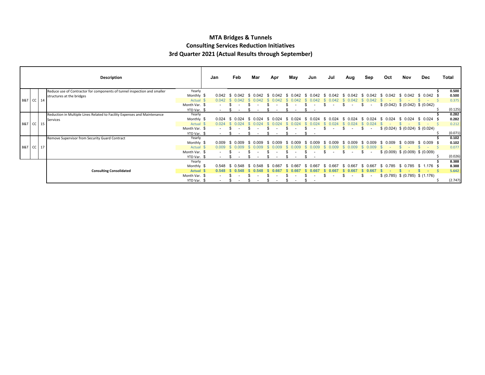## **MTA Bridges & Tunnels Consulting Services Reduction Initiatives 3rd Quarter 2021 (Actual Results through September)**

|                      |    | Description                                                                                                                                          | Jan                               |            | Feb                                    | Mar            | Apr     | May                                                                    |     | Jun                               | Jul           | Aug                        | Sep                                                                                        | Oct          | Nov                              | Dec         | Total                                                                                              |
|----------------------|----|------------------------------------------------------------------------------------------------------------------------------------------------------|-----------------------------------|------------|----------------------------------------|----------------|---------|------------------------------------------------------------------------|-----|-----------------------------------|---------------|----------------------------|--------------------------------------------------------------------------------------------|--------------|----------------------------------|-------------|----------------------------------------------------------------------------------------------------|
|                      |    | Yearly<br>Reduce use of Contractor for components of tunnel inspection and smaller                                                                   |                                   |            |                                        |                |         |                                                                        |     |                                   |               |                            |                                                                                            |              |                                  |             | 0.500                                                                                              |
|                      |    | Monthly \$<br>structures at the bridges                                                                                                              | 0.042                             | - SS       | በ በ42                                  | 0.042          | (1(147) | 0.042<br>-86.                                                          | -86 | በ በ42                             | በ በ42<br>- SS | \$ 0.042                   | 0.042<br>-SS                                                                               | \$ 0.042     | \$ 0.042 \$ 0.042 \$             |             | 0.500                                                                                              |
| <b>B&amp;T</b> CC 14 |    | Actual \$                                                                                                                                            | 0.042                             |            |                                        |                |         |                                                                        |     |                                   |               | (1.042)                    |                                                                                            |              |                                  |             | 0.375                                                                                              |
|                      |    | Month Var. \$                                                                                                                                        |                                   |            |                                        |                |         |                                                                        |     |                                   |               |                            | \$<br>$\overline{\phantom{a}}$                                                             |              | \$ (0.042) \$ (0.042) \$ (0.042) |             |                                                                                                    |
|                      |    | YTD Var. \$                                                                                                                                          |                                   |            |                                        |                |         | $\overline{\phantom{a}}$                                               |     |                                   |               |                            |                                                                                            |              |                                  |             | (0.125)                                                                                            |
|                      |    | Reduction in Multiple Lines Related to Facility Expenses and Maintenance<br>Yearly                                                                   |                                   |            |                                        |                |         |                                                                        |     |                                   |               |                            |                                                                                            |              |                                  |             | 0.282                                                                                              |
|                      |    | Monthly \$<br>Services                                                                                                                               | 0.024                             |            |                                        |                |         |                                                                        |     |                                   | .ስ ሰ24        |                            | Ж.                                                                                         | S.           | 0.024<br>S.                      | \$0.024\$   | 0.282                                                                                              |
| <b>B&amp;T</b> CC 15 |    | Actual \$                                                                                                                                            | 0.024                             |            | . በ በ <i>ንΔ</i>                        |                |         |                                                                        |     |                                   |               |                            |                                                                                            |              |                                  | $\sim$      | 0.212                                                                                              |
|                      |    | Month Var. \$                                                                                                                                        |                                   |            |                                        |                |         |                                                                        |     |                                   |               |                            | £.<br>$\overline{\phantom{a}}$                                                             |              | \$ (0.024) \$ (0.024) \$ (0.024) |             |                                                                                                    |
|                      |    | YTD Var. \$                                                                                                                                          |                                   |            |                                        |                |         |                                                                        |     |                                   |               |                            |                                                                                            |              |                                  |             | (0.071)                                                                                            |
|                      |    | Yearly<br>Remove Supervisor from Security Guard Contract                                                                                             |                                   |            |                                        |                |         |                                                                        |     |                                   |               |                            |                                                                                            |              |                                  |             | 0.102                                                                                              |
|                      |    | Monthly \$                                                                                                                                           | 0.009                             |            |                                        | n nna          | 0.009   | _0.009                                                                 |     | 0.009<br>SS.                      | . ጽ<br>0.009  | \$ 0.009                   | 0.009<br>- 96                                                                              | 0.009<br>-SS | \$ 0.009                         | $$0.009$ \$ | 0.102                                                                                              |
|                      |    |                                                                                                                                                      |                                   |            |                                        |                |         |                                                                        |     |                                   |               |                            |                                                                                            |              |                                  |             | 0.077                                                                                              |
|                      |    |                                                                                                                                                      |                                   |            |                                        |                |         |                                                                        |     |                                   |               |                            |                                                                                            |              |                                  |             |                                                                                                    |
|                      |    |                                                                                                                                                      |                                   |            |                                        |                |         |                                                                        |     |                                   |               |                            |                                                                                            |              |                                  |             | (0.026)<br>8.388                                                                                   |
|                      |    |                                                                                                                                                      |                                   |            |                                        |                |         |                                                                        |     |                                   |               |                            |                                                                                            |              |                                  |             | 8.388                                                                                              |
|                      |    |                                                                                                                                                      |                                   |            |                                        |                |         |                                                                        |     |                                   |               |                            |                                                                                            |              |                                  |             | 5.642                                                                                              |
|                      |    |                                                                                                                                                      |                                   |            |                                        |                |         |                                                                        |     |                                   |               |                            |                                                                                            |              |                                  |             |                                                                                                    |
|                      |    |                                                                                                                                                      |                                   |            |                                        |                |         |                                                                        |     |                                   |               |                            |                                                                                            |              |                                  |             | (2.747)                                                                                            |
| B&T CC               | 17 | Actual \$<br>Month Var. \$<br>YTD Var. \$<br>Yearly<br>Monthly \$<br><b>Consulting Consolidated</b><br><b>Actual</b><br>Month Var. \$<br>YTD Var. \$ | 0.009<br>0.548<br>0.548<br>$\sim$ | - SS<br>-S | 0.548<br><b>0548</b><br>$\overline{a}$ | 0.009<br>0.548 |         | $\overline{\phantom{a}}$<br>\$ 0.667<br>S.<br>$\overline{\phantom{a}}$ |     | 0.667<br>$\overline{\phantom{a}}$ | 0.667<br>- \$ | 0.009<br>\$ 0.667<br>0.667 | 0.009<br>-SS<br>$\overline{\phantom{a}}$<br>0.667<br>-SS<br>£.<br>$\overline{\phantom{a}}$ | \$ 0.785     |                                  |             | $$$ (0.009) $$$ (0.009) $$$ (0.009)<br>\$ 0.785 \$ 1.176 \$<br>$(0.785)$ \$ $(0.785)$ \$ $(1.176)$ |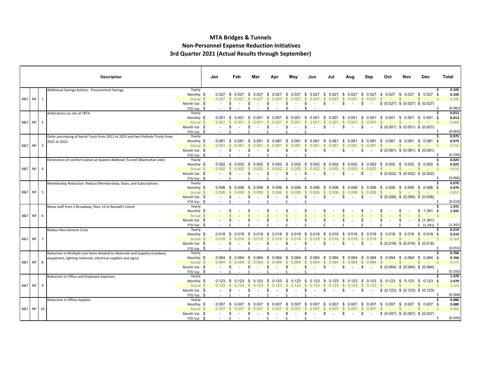## **MTA Bridges & Tunnels Non‐Personnel Expense Reduction Initiatives 3rd Quarter 2021 (Actual Results through September)**

|                     |  | <b>Description</b>                                                                                                                           |                                                                                  | Jan            | Feb                                                                   | Mar                                                         | Apr                                                                     | May                                                      | Jun                                                                         | Jul                                              | Aug                                                                   | Sep                                                                                                                                                                                                                                                                                                                                                                                                              | Oct                                                                 | Nov                                | Dec                                                                                  | Total                                                    |
|---------------------|--|----------------------------------------------------------------------------------------------------------------------------------------------|----------------------------------------------------------------------------------|----------------|-----------------------------------------------------------------------|-------------------------------------------------------------|-------------------------------------------------------------------------|----------------------------------------------------------|-----------------------------------------------------------------------------|--------------------------------------------------|-----------------------------------------------------------------------|------------------------------------------------------------------------------------------------------------------------------------------------------------------------------------------------------------------------------------------------------------------------------------------------------------------------------------------------------------------------------------------------------------------|---------------------------------------------------------------------|------------------------------------|--------------------------------------------------------------------------------------|----------------------------------------------------------|
| <b>B&amp;T NP 1</b> |  | Additional Savings Actions - Procurement Savings                                                                                             | Yearly<br>Monthly \$<br>Actual \$<br>Month Var. \$                               | 0.027          | $0.027$ \$ 0.027<br>-\$<br>\$                                         | \$ 0.027 \$                                                 | 0.027<br>\$.<br>\$                                                      | \$ 0.027<br>0.027                                        | $\mathcal{F}$<br>0.027<br>\$<br>$\sim 100$<br>-S                            | $\mathbb{S}$<br>0.027<br>\$<br>$\sim$ 100 $\pm$  | <b>S</b><br>0.027<br>- \$<br>$\sim$ $-$                               | $\mathbf{s}$<br>0.027<br>- \$<br>$\sim$ $-$                                                                                                                                                                                                                                                                                                                                                                      | $\mathfrak{L}$<br>\$ (0.027) \$ (0.027) \$ (0.027)                  | $\mathbb{S}$                       | \$ 0.027 \$ 0.027 \$ 0.027 \$ 0.027 \$ 0.027 \$ 0.027 \$ 0.027 \$<br>$\mathbb{S}$    | 0.326<br>0.326<br>$\mathsf{S}$<br>0.245<br>(0.082)<br>-Ś |
| <b>B&amp;T</b> NP 2 |  | Arbitrations on site at TBTA                                                                                                                 | YTD Var. \$<br>Yearly<br>Monthly \$<br>Actual \$<br>Month Var. \$<br>YTD Var. \$ | 0.001          | $0.001 \quad $0.001$                                                  | 0.001<br>- SS                                               | - \$<br>$0.001$ \$<br>\$                                                | 0.001                                                    | -SS<br>0.001<br>Яб.                                                         | -SS<br>0.001<br>-S<br>$\sim$                     | - S<br>0.001<br>\$<br><b>Contract Contract</b>                        | \$ 0.001 \$ 0.001 \$ 0.001 \$ 0.001 \$ 0.001<br>-S<br>0.001<br>\$<br><b>Contract</b>                                                                                                                                                                                                                                                                                                                             | <b>S</b><br>14.<br>$$$ (0.001) $$$ (0.001) $$$ (0.001)              | - \$<br><b>S</b>                   | $0.001$ \$ 0.001 \$<br>$\mathbb{S}$                                                  | 0.013<br>0.013<br>0.009<br>- \$<br>(0.003)<br>.S         |
| B&T NP 3            |  | Defer purchasing of Aerial Truck from 2021 to 2023 and two Pothole Trucks from<br>2021 to 2022                                               | Yearly<br>Monthly \$<br>Actual \$<br>Month Var. \$<br>YTD Var. \$                | 0.081          | Ŝ.                                                                    | $0.081$ \$ 0.081 \$ 0.081                                   | - \$<br>0.081<br>\$<br>\$                                               | - \$<br>0.081<br>0.081                                   | 0.081<br>-SS                                                                | \$0.081<br>-S<br>$\sim$ $\sim$                   | 0.081<br>- \$<br>\$                                                   | \$ 0.081 \$ 0.081 \$ 0.081 \$ 0.081 \$<br>0.081<br>- S<br>\$                                                                                                                                                                                                                                                                                                                                                     | 0.081<br><b>S</b>                                                   | $\mathcal{S}$                      | $0.081$ \$ 0.081 \$<br>$\mathbb{S}$<br>$\sim$<br>$$$ (0.081) $$$ (0.081) $$$ (0.081) | 0.975<br>0.975<br>$\mathsf{S}$<br>0.731<br>(0.244)       |
| B&T NP 4            |  | Elimination of comfort station at Queens Midtown Tunnel (Manhattan side)                                                                     | Yearly<br>Monthly \$<br>Actual \$<br>Month Var. \$<br>YTD Var. \$                | 0.002          | $0.002 \quad $0.002$<br><b>S</b><br>-S                                | \$ 0.002 \$                                                 | $0.002 \text{ }$ \$<br>0.002<br>\$<br>¢.                                | 0.002<br>0.002<br>¢                                      | - \$<br>$\mathbb{S}$<br>0.002<br>\$<br>$\sim$ $-$                           | $\mathbf{s}$<br>0.002<br>\$<br><b>Contract</b>   | 0.002<br>- S<br>- S<br><b>Contract Contract</b>                       | $0.002 \quad $0.002 \quad $0.002 \quad $0.002 \quad $0.002 \quad $0.002 \quad $0.003 \quad $0.002 \quad $0.003 \quad $0.002 \quad $0.003 \quad $0.002 \quad $0.003 \quad $0.003 \quad $0.003 \quad $0.003 \quad $0.003 \quad $0.003 \quad $0.003 \quad $0.003 \quad $0.003 \quad $0.003 \quad $0.003 \quad $0.003 \quad $0.003 \quad $0.003 \quad $0.003 \quad $0.00$<br><b>S</b><br>0.002<br>- \$<br>$\sim$ $-$ | 0.002<br>$\mathbb{S}$<br>$\sim$<br>\$ (0.002) \$ (0.002) \$ (0.002) | - \$<br><b>S</b><br><b>College</b> | $0.002 \quad $0.002 \quad $$<br>$\mathbb{S}$                                         | 0.025<br>0.025<br>0.019<br>-Ś<br>(0.006)<br>.S           |
| <b>B&amp;T NP 5</b> |  | Membership Reduction: Reduce Memberships, Dues, and Subscriptions                                                                            | Yearly<br>Monthly \$<br>Actual \$<br>Month Var. \$<br>YTD Var. \$                | 0.006          | $0.006$ \$ 0.006<br>\$                                                | \$ 0.006<br>\$                                              | - \$<br>\$<br>ς.                                                        | $0.006$ \$ 0.006<br>0.006<br>\$<br>$\sim$                | $\mathbb{S}$<br>0.006<br>\$<br>$\sim$                                       | \$0.006<br>\$<br>$\sim$                          | \$ 0.006<br>\$                                                        | \$ 0.006 \$ 0.006 \$ 0.006 \$ 0.006 \$<br><b>S</b><br>0.006<br>\$<br>$\sim 100$                                                                                                                                                                                                                                                                                                                                  | 0.006<br>$\mathbb{S}$<br>$$$ (0.006) $$$ (0.006) $$$ (0.006)        | - \$<br>\$<br>$\sim$               | $0.006$ \$ 0.006 \$<br>$\mathbb{S}$                                                  | 0.076<br>0.076<br>0.057<br>-Ś<br>(0.019)<br>-Ś           |
| B&T NP 6            |  | Move staff from 2 Broadway, floor 23 to Randall's Island                                                                                     | Yearly<br>Monthly \$<br>Actual \$<br>Month Var. \$<br>YTD Var. \$                |                |                                                                       |                                                             |                                                                         |                                                          |                                                                             |                                                  |                                                                       |                                                                                                                                                                                                                                                                                                                                                                                                                  |                                                                     |                                    | $$1.341$ \$<br>$\mathbf{s}$<br>a.<br>\$(1.341)<br>$5(1.341)$ \$                      | 1.341<br>S<br>1.341<br><b>College</b><br>(1.341)         |
| <b>B&amp;T NP 7</b> |  | <b>Reduce Recruitment Costs</b>                                                                                                              | Yearly<br>Monthly \$<br>Actual \$<br>Month Var. \$<br>YTD Var. \$                | 0.018          | $0.018$ \$ 0.018<br>\$.                                               | 0.018<br>- \$                                               | - \$<br>0.018 \$<br>0.018<br>\$                                         | 0.018<br>\$.                                             | \$<br>$\mathbf{s}$<br>0.018<br>\$                                           | $\mathbb{S}$<br>0.018<br>\$<br>$\sim$            | <b>S</b><br>0.018<br>- \$<br>$\sim$                                   | $0.018$ \$ 0.018 \$ 0.018 \$ 0.018<br>$\mathbf{s}$<br>0.018<br>- \$<br>$\sim$ $-$                                                                                                                                                                                                                                                                                                                                | - \$<br>0.018<br>- \$<br>$$$ (0.018) $$$ (0.018) $$$ (0.018)        | - \$<br>$\mathbb{S}$               | $0.018$ \$ 0.018 \$<br>$\mathbb{S}$<br><b>Contract</b>                               | 0.219<br>0.219<br>0.164<br>- \$<br>-Ś<br>(0.055)         |
| <b>B&amp;T NP 8</b> |  | Reduction in Multiple Line Items Related to Materials and Supplies (roadway<br>equipment, lighting materials, electrical supplies and signs) | Yearly<br>Monthly \$<br>Actual \$<br>Month Var. \$<br>YTD Var. \$                | 0.064<br>0.064 | \$ 0.064<br><b>S</b><br>0.064<br>\$                                   | 0.064<br>- \$<br>0.064<br>- S                               | - \$<br>0.064<br>0.064<br>-SS<br>\$                                     | \$ 0.064<br><b>S</b><br>S.                               | \$<br>$\sim$ $\sim$                                                         | \$<br>$\sim$                                     | \$ 0.064 \$ 0.064 \$ 0.064 \$ 0.064<br>\$<br><b>Contract Contract</b> | 0.064 \$ 0.064 \$ 0.064 \$ 0.064 \$ 0.064<br>\$<br>$\sim$                                                                                                                                                                                                                                                                                                                                                        | - \$<br>0.064<br><b>S</b><br>\$ (0.064) \$ (0.064) \$ (0.064)       | \$<br>0.064<br>$\mathbb{S}$        | $$0.064$ \$<br>$\mathbb{S}$<br><b>Contract</b>                                       | 0.766<br>0.766<br>0.575<br>- \$<br>(0.192)<br>Ś          |
| <b>B&amp;T NP 9</b> |  | Reduction in Office and Employee Expenses                                                                                                    | Yearly<br>Monthly \$<br>Actual \$<br>Month Var. \$<br>YTD Var. \$                | 0.123          | $0.123 \quad $0.123 \quad $$<br>123                                   | 0.123<br>0.123                                              | - \$<br>0.123<br>0.123<br>\$                                            | - \$<br>0.123<br>0.123                                   | $\mathbb{S}$<br>0.123<br>\$<br>$\sim$                                       | \$<br><b>Contract</b>                            | - \$<br><b>Contract Contract</b>                                      | \$ 0.123 \$ 0.123 \$ 0.123 \$ 0.123 \$<br>$$0.123$ $$0.123$ $$0.123$ $$0.123$<br><b>S</b><br>$\sim 100$                                                                                                                                                                                                                                                                                                          | 0.123<br><b>S</b><br>\$ (0.123) \$ (0.123) \$ (0.123)               | -S<br>$\mathbb{S}$                 | $0.123$ \$ 0.123 \$<br>$\mathbb{S}$<br>$-5$                                          | 1.470<br>1.470<br>1.103<br>(0.368)                       |
| B&T NP 10           |  | Reduction in Office Supplies                                                                                                                 | Yearly<br>Monthly \$<br>Actual \$<br>Month Var. \$<br>YTD Var. \$                | 0.007<br>0.007 | \$ 0.007<br><b>S</b><br>0.007<br>\$<br>$\sim 10^{-1}$<br>Ŝ.<br>$\sim$ | 0.007<br>\$<br>0.007<br>- \$<br>\$<br>$\sim$ $-$<br>$\zeta$ | - \$<br>0.007<br>0.007<br><b>S</b><br>\$<br>$\sim$<br>$\zeta$<br>$\sim$ | \$ 0.007<br>0.007<br>- S<br>\$.<br>$\sim$ 10 $\pm$<br>¢. | \$<br>$\mathbb{S}$<br>0.007<br>\$<br>$\sim 100$ km s $^{-1}$<br><b>&lt;</b> | $0.007$ \$ 0.007<br>\$ 0.007<br>\$<br>$\sim 100$ | \$ 0.007<br>$0.007$ \$<br>- S<br>\$<br><b>Contract Contract</b>       | \$ 0.007<br>0.007<br>\$<br>$\sim$ $-$                                                                                                                                                                                                                                                                                                                                                                            | <b>S</b><br>- \$<br>$$$ (0.007) $$$ (0.007) $$$ (0.007)             |                                    | \$ 0.007 \$ 0.007 \$ 0.007 \$<br>-S                                                  | 0.080<br>0.080<br>0.060<br>(0.020)<br>Š.                 |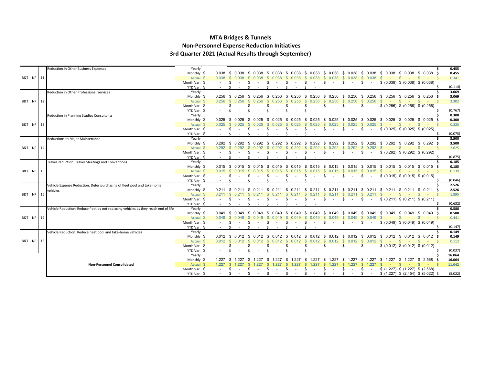## **MTA Bridges & Tunnels Non‐Personnel Expense Reduction Initiatives 3rd Quarter 2021 (Actual Results through September)**

|                      |    | Reduction in Other Business Expenses                                                | Yearly        |            |                      |                                     |                       |                |                       |                             |                                     |                              |                                              |                            |                              | 0.455                 |
|----------------------|----|-------------------------------------------------------------------------------------|---------------|------------|----------------------|-------------------------------------|-----------------------|----------------|-----------------------|-----------------------------|-------------------------------------|------------------------------|----------------------------------------------|----------------------------|------------------------------|-----------------------|
|                      |    |                                                                                     | Monthly \$    |            |                      | $0.038$ \$ 0.038 \$ 0.038 \$        |                       | 0.038 \$ 0.038 |                       |                             | \$ 0.038 \$ 0.038 \$ 0.038 \$ 0.038 |                              | \$ 0.038<br>-S                               | 0.038                      | \$ 0.038 \$                  | 0.455                 |
| B&T NP 11            |    |                                                                                     | Actual \$     | 0.038      | \$ 0.038             | 0.038                               | S<br>0.038            | 0.038          | -S<br>0.038           | \$ 0.038                    | -SS<br>0.038                        | -SS<br>0.038                 | <b>S</b><br>-S                               | $\mathbb{S}$<br>$\sim$ $-$ | <b>Contract</b>              | 0.341<br>- \$         |
|                      |    |                                                                                     | Month Var. \$ |            |                      | -SS                                 | - \$<br>$\sim$        | -SS<br>$\sim$  | -S<br>$\sim 100$      | -SS<br>$\sim$               | s.<br>$\sim$                        | -SS<br>$\sim$ $-$            | $$$ (0.038) $$$ (0.038) $$$ (0.038)          |                            |                              |                       |
|                      |    |                                                                                     | YTD Var. \$   |            |                      |                                     |                       |                |                       |                             |                                     |                              |                                              |                            |                              | (0.114)               |
|                      |    | Reduction in Other Professional Services                                            | Yearly        |            |                      |                                     |                       |                |                       |                             |                                     |                              |                                              |                            |                              | 3.069                 |
|                      |    |                                                                                     | Monthly \$    |            | $0.256$ \$ 0.256     | \$ 0.256                            | - \$                  | 0.256 \$ 0.256 |                       |                             |                                     |                              | \$ 0.256 \$ 0.256 \$ 0.256 \$ 0.256 \$ 0.256 | \$ 0.256 \$ 0.256 \$       |                              | 3.069                 |
| B&T NP 12            |    |                                                                                     | Actual \$     | 0.256      | 0.256                | 0.256                               | 0.256                 | 0.256          | 0.256                 | -SS<br>0.256                | -SS<br>0.256                        | 0.256                        |                                              | $\mathbf{s}$               |                              | 2.302<br>- S          |
|                      |    |                                                                                     | Month Var. \$ |            | \$.                  |                                     | \$                    | \$.            |                       | -S                          | -S<br>$\sim$                        | -S<br>$\sim$ $-$             | \$ (0.256) \$ (0.256) \$ (0.256)             |                            |                              |                       |
|                      |    |                                                                                     | YTD Var. \$   |            |                      |                                     |                       | Ś,             |                       |                             |                                     |                              |                                              |                            |                              | (0.767)               |
|                      |    | Reduction in Planning Studies Consultants                                           | Yearly        |            |                      |                                     |                       |                |                       |                             |                                     |                              |                                              |                            |                              | 0.300                 |
|                      |    |                                                                                     | Monthly \$    |            | $0.025$ \$ 0.025     | - \$<br>0.025                       | 0.025<br>- \$         | - \$<br>0.025  | 0.025<br>- \$         | 0.025<br>- \$               | - SS<br>0.025                       | - SS<br>0.025                | - \$<br>0.025                                | 0.025                      | \$ 0.025                     | 0.300<br>- Ś          |
| B&T NP 13            |    |                                                                                     | Actual \$     | 0.025      | 0.025                | 0.025                               | 0.025                 | 0.025          | 0.025                 | -SS<br>0.025                | - S<br>0.025                        | 0.025                        |                                              |                            |                              | 0.225<br>- \$         |
|                      |    |                                                                                     | Month Var. \$ |            |                      |                                     |                       |                |                       |                             | s.<br>$\sim$                        | \$<br>$\sim$                 | $$$ (0.025) $$$ (0.025) $$$ (0.025)          |                            |                              |                       |
|                      |    |                                                                                     | YTD Var. \$   |            |                      |                                     |                       |                |                       |                             |                                     |                              |                                              |                            |                              | (0.075)               |
|                      |    | <b>Reductions to Major Maintenance</b>                                              | Yearly        |            |                      |                                     |                       |                |                       |                             |                                     |                              |                                              |                            |                              | 3.500                 |
|                      |    |                                                                                     | Monthly \$    |            | $0.292 \quad $0.292$ | 0.292<br>- \$                       | - \$<br>0.292         | 0.292<br>- \$  | - \$                  | $0.292 \quad $0.292$        | 0.292<br>- \$                       | - \$<br>0.292                | \$ 0.292                                     |                            | $0.292$ \$ 0.292 \$          | 3.500                 |
| B&T NP 14            |    |                                                                                     | Actual \$     | 0.292      | - S<br>0.292         | 0.292                               | -S<br>0.292           | 0.292          | $\mathbb{S}$<br>0.292 | 0.292<br>-SS                | <b>S</b><br>0.292                   | <b>S</b><br>0.292            | <b>S</b><br><b>S</b>                         | $\mathbb{S}$               |                              | 2.625<br>- \$         |
|                      |    |                                                                                     | Month Var. \$ |            |                      |                                     |                       |                |                       | s.                          | \$                                  | - \$                         | $$$ (0.292) $$$ (0.292) $$$ (0.292)          |                            |                              |                       |
|                      |    |                                                                                     | YTD Var. \$   |            |                      |                                     |                       |                |                       |                             |                                     |                              |                                              |                            |                              | (0.875)               |
|                      |    | Travel Reduction: Travel Meetings and Conventions                                   | Yearly        |            |                      |                                     |                       |                |                       |                             |                                     |                              |                                              |                            |                              | 0.185                 |
|                      |    |                                                                                     | Monthly \$    |            |                      | $0.015$ \$ 0.015 \$ 0.015 \$        | $0.015$ \$            | $0.015$ \$     | $0.015$ \$            | 0.015 S                     | 0.015                               | - \$<br>0.015                | - \$<br>0.015                                | - SS                       | $0.015$ \$                   | 0.185                 |
| <b>B&amp;T</b> NP 15 |    |                                                                                     | Actual \$     |            | $0.015$ \$ 0.015 \$  |                                     | 0.015                 | 0.015          | S.                    | $0.015$ \$ 0.015 \$         | $0.015$ \$                          | 0.015                        | <b>S</b><br>-S                               | $\mathbb{S}$               |                              | 0.139<br>- S          |
|                      |    |                                                                                     | Month Var. \$ |            |                      |                                     |                       |                |                       | -SS                         | -SS<br><b>Contract Contract</b>     | - \$<br>$\sim$ 100 $\pm$     | $$$ (0.015) $$$ (0.015) $$$ (0.015)          |                            |                              |                       |
|                      |    |                                                                                     | YTD Var. \$   |            |                      |                                     |                       |                |                       |                             |                                     |                              |                                              |                            |                              | (0.046)               |
|                      |    | Vehicle Expense Reduction: Defer purchasing of fleet pool and take-home             | Yearly        |            |                      |                                     |                       |                |                       |                             |                                     |                              |                                              |                            |                              | 2.526                 |
|                      |    | vehicles                                                                            | Monthly \$    |            |                      | $0.211 \tS \t0.211 \tS \t0.211 \tS$ |                       | 0.211 \$ 0.211 | - \$                  | $0.211 \quad$ \$ 0.211 \ \$ | 0.211                               | $0.211$ \$<br>- \$           | 0.211                                        | - \$                       | $0.211$ \$                   | 2.526                 |
| B&T NP               | 16 |                                                                                     | Actual \$     |            |                      |                                     |                       |                | $\mathbb{S}$<br>0.211 | \$ 0.211 \$                 | $0.211$ \$                          | $0.211$ \$                   | - S<br><b>Contract</b>                       | $\mathbb{S}$<br>na.        | <b>Section</b>               | 1.895<br>$\mathsf{S}$ |
|                      |    |                                                                                     | Month Var. \$ |            |                      |                                     | \$                    | -SS            | \$.                   | -SS                         | -S<br><b>Service</b>                | - \$<br>$\sim 100$ m $^{-1}$ | $$$ (0.211) $$$ (0.211) $$$ (0.211)          |                            |                              |                       |
|                      |    |                                                                                     | YTD Var. \$   |            |                      |                                     |                       |                |                       |                             |                                     |                              |                                              |                            |                              | (0.632)               |
|                      |    | Vehicle Reduction: Reduce fleet by not replacing vehicles as they reach end of life | Yearly        |            |                      |                                     |                       |                |                       |                             |                                     |                              |                                              |                            |                              | 0.588                 |
|                      |    |                                                                                     | Monthly \$    | 0.049 S    | 0.049                | - \$                                | 0.049<br>- SS         | - \$<br>0.049  | - \$<br>0.049         | - \$<br>0.049               | - 56                                | - S<br>0.049                 | - SS<br>0.049                                | 0.049<br>- 56              | $0.049$ \$                   | 0.588                 |
| <b>B&amp;T</b> NP 17 |    |                                                                                     | Actual \$     | 0.049      |                      |                                     |                       | 0.049          |                       | 0.049                       | - S<br>0.049                        | <b>S</b><br>0.049            | <b>S</b><br>S S                              | $^{\circ}$ s               | - \$<br><b>Contract</b>      | 0.441                 |
|                      |    |                                                                                     | Month Var. \$ |            | -S                   |                                     |                       |                |                       |                             |                                     | \$.                          | $$$ (0.049) $$$ (0.049) $$$ (0.049)          |                            |                              |                       |
|                      |    |                                                                                     | YTD Var. \$   |            |                      | ς                                   |                       |                |                       |                             |                                     |                              |                                              |                            |                              | (0.147)               |
|                      |    | Vehicle Reduction: Reduce fleet pool and take-home vehicles                         | Yearly        |            |                      |                                     |                       |                |                       |                             |                                     |                              |                                              |                            |                              | 0.149                 |
|                      |    |                                                                                     | Monthly \$    |            | $0.012 \quad $0.012$ | 0.012<br>- SS                       | 0.012<br>- SS         | - \$<br>0.012  | - \$<br>0.012         | - \$<br>0.012               | - SS<br>0.012                       | - \$<br>0.012                | \$ 0.012<br>- SS                             |                            | $0.012 \quad $0.012 \quad $$ | 0.149                 |
| <b>B&amp;T NP 18</b> |    |                                                                                     | Actual \$     | $0.012$ \$ | $0.012$ \$           | 0.012                               | $\mathbf{s}$<br>0.012 | 0.012          | - S<br>0.012          | $0.012$ \$<br><b>S</b>      | $0.012$ \$                          | $0.012$ \$                   | <b>S</b>                                     | $ \sim$ $\sim$             | $\sim$ \$                    | 0.112                 |
|                      |    |                                                                                     | Month Var. \$ |            |                      |                                     | -S                    |                |                       |                             | \$                                  | - \$<br>$\sim$               | $$$ (0.012) $$$ (0.012) $$$ (0.012)          |                            |                              |                       |
|                      |    |                                                                                     | YTD Var. \$   |            |                      |                                     |                       |                |                       |                             |                                     |                              |                                              |                            |                              | (0.037)               |
|                      |    |                                                                                     | Yearly        |            |                      |                                     |                       |                |                       |                             |                                     |                              |                                              |                            |                              | 16.064                |
|                      |    |                                                                                     | Monthly \$    |            | 1.227 \$ 1.227       | - \$<br>1.227                       | - \$<br>1.227         | -SS            | -S                    |                             | -SS<br>1.227                        | \$.<br>1.227                 | - \$<br>1.227                                |                            | $2.568$ \$                   | 16.064                |
|                      |    | <b>Non-Personnel Consolidated</b>                                                   | Actual \$     | 1.227      | \$1.227              | <b>S</b><br>1.227                   |                       |                |                       | 1.227                       | 1.227                               | S.<br>1.227                  |                                              |                            |                              | 11.042                |
|                      |    |                                                                                     | Month Var. \$ |            | $\sim$ 100 $\pm$     |                                     |                       |                |                       |                             |                                     | \$<br>$\sim$                 | $$$ (1.227) $$$ (1.227) $$$ (2.568)          |                            |                              |                       |
|                      |    |                                                                                     | YTD Var. \$   |            | \$<br>$\sim$         | \$<br>$\sim$                        | - \$<br>$\sim$ $-$    | \$<br>$\sim$   | -\$<br>$\sim$ $-$     | \$<br>$\sim$                | \$<br>$\sim$                        | \$<br>$\sim$ 100 $\mu$       | $$$ (1.227) $$$ (2.454) $$$ (5.022) $$$      |                            |                              | (5.022)               |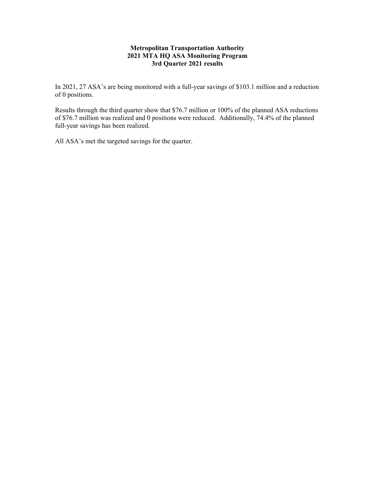#### **Metropolitan Transportation Authority 2021 MTA HQ ASA Monitoring Program 3rd Quarter 2021 results**

In 2021, 27 ASA's are being monitored with a full-year savings of \$103.1 million and a reduction of 0 positions.

Results through the third quarter show that \$76.7 million or 100% of the planned ASA reductions of \$76.7 million was realized and 0 positions were reduced. Additionally, 74.4% of the planned full-year savings has been realized.

All ASA's met the targeted savings for the quarter.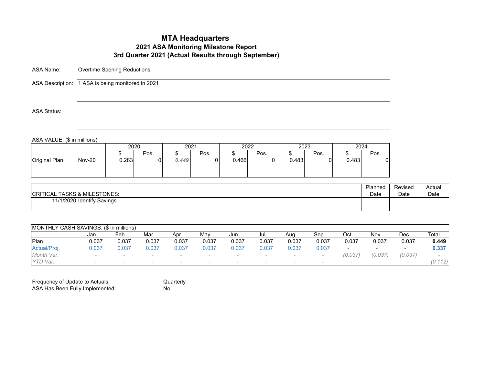ASA Name: Overtime Spening Reductions

ASA Description: 1 ASA is being monitored in 2021

ASA Status:

ASA VALUE: (\$ in millions)

| . <i>. .</i>   | .             |       |      |       |      |       |      |       |      |       |      |
|----------------|---------------|-------|------|-------|------|-------|------|-------|------|-------|------|
|                |               | 2020  |      |       | 2021 |       | 2022 | 2023  |      |       | 2024 |
|                |               |       | Pos. |       | Pos. | w     | Pos. |       | Pos. |       | Pos. |
| Original Plan: | <b>Nov-20</b> | 0.283 |      | 0.449 |      | 0.466 | U    | 0.483 |      | 0.483 |      |
|                |               |       |      |       |      |       |      |       |      |       |      |

| <b>CRITICAL TASKS &amp; MILESTONES:</b> | Planned | Revised | Actua |
|-----------------------------------------|---------|---------|-------|
|                                         | Date    | Date    | Date  |
| 11/1/2020 Identify Savings              |         |         |       |

| MONTHLY CASH SAVINGS: (\$ in millions) |       |                          |       |                          |       |       |       |        |       |         |         |         |         |
|----------------------------------------|-------|--------------------------|-------|--------------------------|-------|-------|-------|--------|-------|---------|---------|---------|---------|
|                                        | Jan   | Feb                      | Mar   | Apr                      | Mav   | Jun   | Jul   | Aug    | Sep   | Oct     | Nov     | Dec     | Total   |
| <b>IPlan</b>                           | 0.037 | 0.037                    | 0.037 | 0.037                    | 0.037 | 0.037 | 0.037 | 0.037  | 0.037 | 0.037   | 0.037   | 0.037   | 0.449   |
| Actual/Proj.                           | 037.ر | 0.037                    | 0.037 | 0.037                    | 0.037 | 0.037 | 0.037 | 0.037  | 0.037 |         |         |         | 0.337   |
| Month Var.                             |       | $\overline{\phantom{a}}$ |       |                          |       |       |       |        |       | (0.037) | (0.037) | (0.037) |         |
| YTD Var.                               |       | $\sim$                   |       | $\overline{\phantom{a}}$ |       | $-$   |       | $\sim$ |       |         |         | $\sim$  | (0.112) |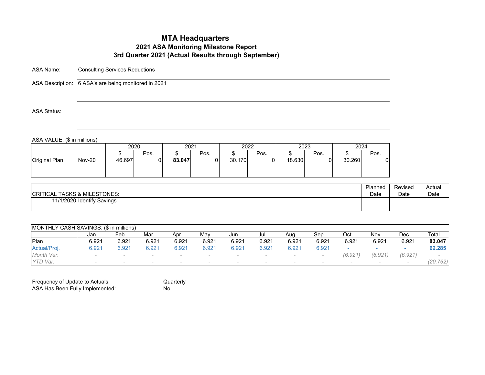ASA Name: Consulting Services Reductions

ASA Description: 6 ASA's are being monitored in 2021

ASA Status:

ASA VALUE: (\$ in millions)

|                                 |        | 2020 | 2021   |      |        | 2022 | 2023   |      |        | 2024 |
|---------------------------------|--------|------|--------|------|--------|------|--------|------|--------|------|
|                                 |        | Pos. |        | Pos. |        | Pos. |        | Pos. |        | Pos. |
| <b>Nov-20</b><br>Original Plan: | 46.697 | ΟL   | 83.047 |      | 30.170 |      | 18.630 |      | 30.260 |      |
|                                 |        |      |        |      |        |      |        |      |        |      |

| . TASKS & MILESTONES:      | Planned | Revised | Actual |
|----------------------------|---------|---------|--------|
| <b>CRITICAL</b>            | Date    | Date    | Date   |
| 11/1/2020 Identify Savings |         |         |        |

| MONTHLY CASH SAVINGS: (\$ in millions) |       |        |       |        |       |       |       |                          |       |                   |         |         |          |
|----------------------------------------|-------|--------|-------|--------|-------|-------|-------|--------------------------|-------|-------------------|---------|---------|----------|
|                                        | Jan   | Feb    | Mar   | Apr    | Mav   | Jun   | Jul   | Aug                      | Sep   | Oct               | Nov     | Dec     | Total    |
| <b>Plan</b>                            | 6.921 | 6.921  | 6.921 | 6.921  | 6.921 | 6.921 | 6.921 | 6.921                    | 6.921 | 6.92 <sup>′</sup> | 6.921   | 6.921   | 83.047   |
| Actual/Proj.                           | 6.921 | 6.921  | 6.921 | 6.921  | 6.921 | 6.921 | 6.921 | 6.921                    | 6.921 |                   |         |         | 62.285   |
| Month Var.                             |       | $\sim$ |       |        |       |       |       |                          |       | (6.921)           | (6.921) | (6.921) |          |
| YTD Var.                               |       | $\sim$ |       | $\sim$ |       |       |       | $\overline{\phantom{a}}$ |       |                   |         |         | (20.762) |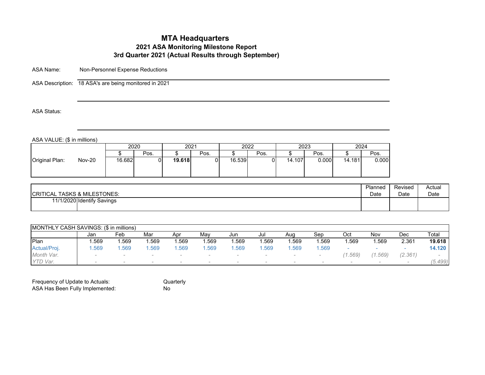ASA Name: Non-Personnel Expense Reductions

ASA Description: 18 ASA's are being monitored in 2021

ASA Status:

ASA VALUE: (\$ in millions)

| . <i>. .</i>   |               |        |      |        |      |        |      |        |       |        |       |
|----------------|---------------|--------|------|--------|------|--------|------|--------|-------|--------|-------|
|                |               |        | 2020 | 2021   |      |        | 2022 | 2023   |       | 2024   |       |
|                |               |        | Pos. |        | Pos. |        | Pos. |        | Pos.  |        | Pos.  |
| Original Plan: | <b>Nov-20</b> | 16.682 |      | 19.618 |      | 16.539 | 01   | 14.107 | 0.000 | 14.181 | 0.000 |
|                |               |        |      |        |      |        |      |        |       |        |       |

| <b>CRITICAL TASKS &amp; MILESTONES:</b> | Planned | Revised | Actua |
|-----------------------------------------|---------|---------|-------|
|                                         | Date    | Date    | Date  |
| 11/1/2020 Identify Savings              |         |         |       |

| <b>IMONTHLY CASH SAVINGS: (\$ in millions)</b> |      |        |      |                          |      |       |      |        |      |        |         |                          |         |
|------------------------------------------------|------|--------|------|--------------------------|------|-------|------|--------|------|--------|---------|--------------------------|---------|
|                                                | Jan  | Feb    | Mar  | Apr                      | Mav  | Jun   | Jul  | Aug    | Sep  | Oct    | Nov     | Dec                      | Total   |
| <b>IPlan</b>                                   | .569 | .569   | .569 | .569                     | .569 | 1.569 | .569 | .569   | .569 | .569   | .569    | 2.361                    | 19.618  |
| Actual/Proj.                                   | .569 | .569   | .569 | .569                     | .569 | .569  | .569 | .569   | .569 | $\sim$ |         |                          | 14.120  |
| Month Var.                                     |      | $\sim$ |      |                          |      |       |      | $\sim$ |      | .569)  | (1.569) | (2.361)                  |         |
| YTD Var.                                       |      | $\sim$ |      | $\overline{\phantom{a}}$ |      | $-$   |      | $\sim$ |      |        |         | $\overline{\phantom{a}}$ | (5.499) |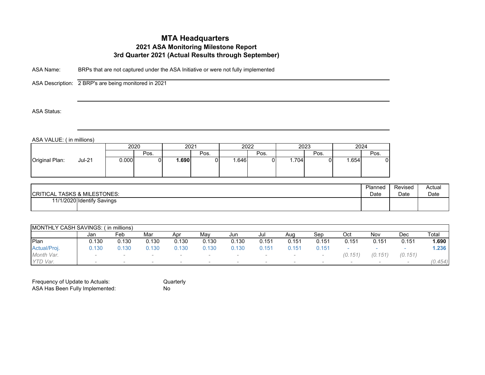ASA Name: BRPs that are not captured under the ASA Initiative or were not fully implemented

ASA Description: 2 BRP's are being monitored in 2021

ASA Status:

ASA VALUE: ( in millions)

| . <i>. .</i>   |          |       |      |       |      |      |      |       |      |      |      |
|----------------|----------|-------|------|-------|------|------|------|-------|------|------|------|
|                |          | 2020  |      | 2021  |      |      | 2022 | 2023  |      |      | 2024 |
|                |          |       | Pos. |       | Pos. |      | Pos. |       | Pos. |      | Pos. |
| Original Plan: | $Jul-21$ | J.000 |      | 1.690 |      | .646 | U    | 1.704 |      | .654 |      |
|                |          |       |      |       |      |      |      |       |      |      |      |

| <b>CRITICAL TASKS &amp; MILESTONES:</b> | Planned | Revised | Actual |
|-----------------------------------------|---------|---------|--------|
|                                         | Date    | Date    | Date   |
| 11/1/2020 Identify Savings              |         |         |        |

| MONTHLY CASH SAVINGS: (in millions) |                          |                          |       |        |       |       |       |        |       |                          |         |         |         |
|-------------------------------------|--------------------------|--------------------------|-------|--------|-------|-------|-------|--------|-------|--------------------------|---------|---------|---------|
|                                     | Jan                      | Feb                      | Mar   | Apr    | Mav   | Jun   | Jul   | Aug    | Sep   | Oct                      | Nov     | Dec     | Total   |
| Plan                                | 0.130                    | 0.130                    | 0.130 | 0.130  | 0.130 | 0.130 | 0.151 | 0.151  | 0.151 | 0.151                    | 0.151   | 0.151   | 1.690   |
| Actual/Proj.                        | 0.130                    | 0.130                    | 0.130 | 0.130  | 0.130 | 0.130 | 0.151 | 0.151  | 0.151 |                          |         |         | 1.236   |
| Month Var.                          | $\overline{\phantom{a}}$ | $\overline{\phantom{a}}$ |       |        |       |       |       |        |       | (0.151)                  | (0.151) | (0.151) |         |
| YTD Var.                            |                          | $\sim$                   |       | $\sim$ |       | $-$   |       | $\sim$ |       | $\overline{\phantom{a}}$ |         | $\sim$  | (0.454) |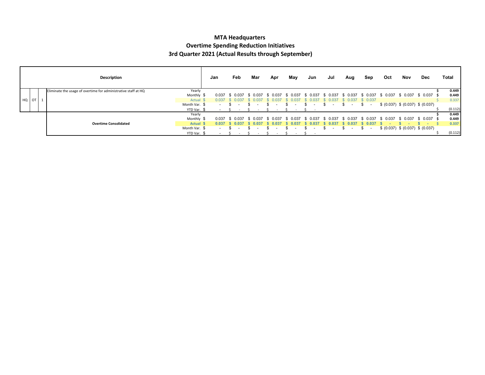## **MTA Headquarters Overtime Spending Reduction Initiatives 3rd Quarter 2021 (Actual Results through September)**

|       |  | Description                                                    |               | Jan    | Feb                      | Mar      | Apr      |        | May                      | Jun      | Jul                      | Aug               | Sep      | Oct      | Nov   | Dec                                    | Total   |
|-------|--|----------------------------------------------------------------|---------------|--------|--------------------------|----------|----------|--------|--------------------------|----------|--------------------------|-------------------|----------|----------|-------|----------------------------------------|---------|
|       |  | Eliminate the usage of overtime for administrative staff at HQ | Yearly        |        |                          |          |          |        |                          |          |                          |                   |          |          |       |                                        | 0.449   |
|       |  |                                                                | Monthly \$    |        | $0.037 \quad $0.037$     | \$ 0.037 | \$ 0.037 |        | \$ 0.037                 | \$ 0.037 | \$ 0.037                 | \$ 0.037          |          |          |       | \$ 0.037 \$ 0.037 \$ 0.037 \$ 0.037 \$ | 0.449   |
| HQ OT |  |                                                                | Actual \$     | 0.037  | \$ 0.037                 | 0.037    | \$ 0.037 |        | 0.037                    | 0.037    | \$ 0.037                 | \$ 0.037 \$ 0.037 |          |          |       |                                        | 0.337   |
|       |  |                                                                | Month Var. \$ | $\sim$ | $\overline{\phantom{a}}$ |          |          |        | $\overline{\phantom{a}}$ |          | $\overline{\phantom{a}}$ |                   | $\sim$   |          |       | $$$ (0.037) $$$ (0.037) $$$ (0.037)    |         |
|       |  |                                                                | YTD Var. \$   |        |                          |          |          | $\sim$ |                          |          |                          |                   |          |          |       |                                        | (0.112) |
|       |  |                                                                | Yearly        |        |                          |          |          |        |                          |          |                          |                   |          |          |       |                                        | 0.449   |
|       |  |                                                                | Monthly \$    |        | $0.037 \quad $0.037$     | \$ 0.037 | \$ 0.037 |        | \$ 0.037                 | \$ 0.037 | \$ 0.037                 | \$ 0.037          | \$ 0.037 | \$ 0.037 | 0.037 | \$ 0.037 \$                            | 0.449   |
|       |  | <b>Overtime Consolidated</b>                                   | Actual \$     | 0.037  | 0.037                    | 0.037    | 0.037    |        | 0.037                    | 0.037    | 0.037                    | 0.037             | 0.037    |          |       | <b>Section</b>                         | 0.337   |
|       |  |                                                                | Month Var. \$ | $\sim$ | $\sim$                   |          |          |        | $\overline{\phantom{a}}$ |          | $\sim$                   |                   | $\sim$   |          |       | \$ (0.037) \$ (0.037) \$ (0.037)       |         |
|       |  |                                                                | YTD Var. \$   |        |                          |          |          |        |                          |          |                          |                   |          |          |       |                                        | (0.112) |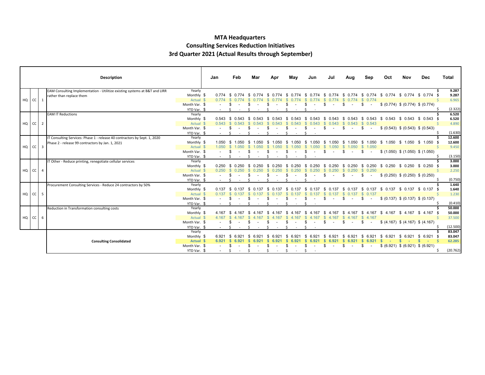#### **MTA Headquarters Consulting Services Reduction Initiatives 3rd Quarter 2021 (Actual Results through September)**

|           |               |                | <b>Description</b>                                                         |               | Jan        | Feb            | Mar           | Apr           | May   | Jun           | Jul           | Aug           | Sep                  | Oct         | Nov   | Dec                                 |   | <b>Total</b> |
|-----------|---------------|----------------|----------------------------------------------------------------------------|---------------|------------|----------------|---------------|---------------|-------|---------------|---------------|---------------|----------------------|-------------|-------|-------------------------------------|---|--------------|
|           |               |                | EAM Consulting Implementation - Utilitize existing systems at B&T and LIRR | Yearly        |            |                |               |               |       |               |               |               |                      |             |       |                                     |   | 9.287        |
|           |               |                | rather than replace them                                                   | Monthly \$    | 0.774      |                |               |               |       |               |               | -S<br>0.774   | -S                   |             |       | 0.774 \$ 0.774 \$ 0.774 \$ 0.774 \$ |   | 9.287        |
| HQ        | <sub>cc</sub> | <sup>1</sup>   |                                                                            | Actual \$     |            |                |               |               |       |               |               |               | \$ 0.774             |             |       |                                     |   | 6.965        |
|           |               |                |                                                                            | Month Var. \$ |            |                |               |               |       |               |               |               | \$.<br>$\sim$ $-$    |             |       | \$ (0.774) \$ (0.774) \$ (0.774)    |   |              |
|           |               |                |                                                                            | YTD Var. \$   |            |                |               |               |       |               |               |               |                      |             |       |                                     |   | (2.322)      |
|           |               |                | <b>EAM IT Reductions</b>                                                   | Yearly        |            |                |               |               |       |               |               |               |                      |             |       |                                     |   | 6.520        |
|           |               |                |                                                                            | Monthly \$    | $0.543$ \$ |                | - \$<br>0.543 | 0.543<br>- 35 |       |               | - 35          | 0.543<br>- 86 | 0.543<br>-S          |             |       | \$ 0.543 \$ 0.543 \$ 0.543 \$       |   | 6.520        |
| $HQ$ $CC$ |               | $\overline{2}$ |                                                                            | Actual \$     | 0.543      | -SS            |               |               |       |               | 0.543         | - \$          | $0.543$ \$ $0.543$   |             |       |                                     |   | 4.890        |
|           |               |                |                                                                            | Month Var. \$ |            |                |               |               |       |               |               |               | S.<br>$\sim$         |             |       | \$ (0.543) \$ (0.543) \$ (0.543)    |   |              |
|           |               |                |                                                                            | YTD Var. \$   |            |                |               |               |       |               |               |               |                      |             |       |                                     |   | (1.630)      |
|           |               |                | IT Consulting Services: Phase 1 - release 40 contractors by Sept. 1, 2020  | Yearly        |            |                |               |               |       |               |               |               |                      |             |       |                                     |   | 12.600       |
|           |               |                | Phase 2 - release 99 contractors by Jan. 1, 2021                           | Monthly \$    | 1.050      |                |               |               |       |               | 1.050         | -SS<br>1.050  | 1.050<br>-SS         |             |       | \$ 1.050 \$ 1.050 \$ 1.050 \$       |   | 12.600       |
| $HQ$ $CC$ |               | $\overline{3}$ |                                                                            | Actual \$     | 1.050      | 1.050          | 1.050         |               | 1.050 | .050          | 1.050         | -SS           | 1.050 \$ 1.050       |             |       |                                     |   | 9.450        |
|           |               |                |                                                                            | Month Var. \$ |            |                |               |               |       |               |               |               | \$.<br>$\sim$        |             |       | $$(1.050)$ $$(1.050)$ $$(1.050)$    |   |              |
|           |               |                |                                                                            | YTD Var. \$   |            |                |               |               |       |               |               |               |                      |             |       |                                     |   | (3.150)      |
|           |               |                | IT Other - Reduce printing, renegotiate cellular services                  | Yearly        |            |                |               |               |       |               |               |               |                      |             |       |                                     |   | 3.000        |
|           |               |                |                                                                            | Monthly \$    | $0.250$ \$ | 0.250          | 0.250         | -96           |       | 0.250<br>- SS | - \$<br>0.250 | 0.250<br>- \$ | 0.250<br>-SS         |             |       | \$ 0.250 \$ 0.250 \$ 0.250 \$       |   | 3.000        |
| HQ        | CC            | $\overline{4}$ |                                                                            | Actual \$     | 0.250      | \$ 0.250       |               |               |       |               | 0.250<br>-SS  | - S           | $0.250 \quad $0.250$ |             |       |                                     |   | 2.250        |
|           |               |                |                                                                            | Month Var. \$ |            |                |               |               |       |               |               | $\sim$        | \$<br>$\sim$         |             |       | \$ (0.250) \$ (0.250) \$ (0.250)    |   |              |
|           |               |                |                                                                            | YTD Var. \$   |            |                |               |               |       |               |               |               |                      |             |       |                                     |   | (0.750)      |
|           |               |                | Procurement Consulting Services - Reduce 24 contractors by 50%             | Yearly        |            |                |               |               |       |               |               |               |                      |             |       |                                     |   | 1.640        |
|           |               |                |                                                                            | Monthly \$    | 0.137      |                |               |               |       |               |               |               | 0 137<br>-86         |             |       | \$ 0.137 \$ 0.137 \$ 0.137 \$       |   | 1.640        |
| HQ CC     |               | 5 <sup>5</sup> |                                                                            | Actual \$     |            |                |               |               |       |               |               |               | 0.137                |             |       |                                     |   | 1.230        |
|           |               |                |                                                                            | Month Var. \$ |            |                |               |               |       |               |               | \$.           | -S<br>$\sim$ $-$     |             |       | \$ (0.137) \$ (0.137) \$ (0.137)    |   |              |
|           |               |                |                                                                            | YTD Var. \$   |            |                |               |               |       |               |               |               |                      |             |       |                                     |   | (0.410)      |
|           |               |                | Reduction in Transformation consulting costs                               | Yearly        |            |                |               |               |       |               |               |               |                      |             |       |                                     |   | 50.000       |
|           |               |                |                                                                            | Monthly \$    | 4.167      | 4 1 6 7        |               |               |       |               |               |               | S.<br>4.167          |             |       | \$4.167 \$4.167 \$4.167 \$          |   | 50.000       |
| $HQ$ $CC$ |               | 6              |                                                                            | Actual \$     | 4.167      | - \$           | 4.167         |               |       | 4.167         | $4.167$ \$    |               | 4.167 \$4.167        |             |       |                                     |   | 37.500       |
|           |               |                |                                                                            | Month Var. \$ |            |                |               |               |       |               |               |               | S.<br>$\sim$         |             |       | $(4.167)$ \$ $(4.167)$ \$ $(4.167)$ |   |              |
|           |               |                |                                                                            | YTD Var. \$   |            |                |               |               |       |               |               |               |                      |             |       |                                     |   | (12.500)     |
|           |               |                |                                                                            | Yearly        |            |                |               |               |       |               |               |               |                      |             |       |                                     |   | 83.047       |
|           |               |                |                                                                            | Monthly \$    | 6.921      | 6.921          | S.<br>6.921   | -SS           |       |               | 6.921         |               | S                    | £.<br>6.921 | 6.921 | 6.921 \$<br>-SS                     |   | 83.047       |
|           |               |                | <b>Consulting Consolidated</b>                                             | Actual \$     | 6.921      |                |               |               |       |               |               |               |                      |             |       |                                     |   | 62.285       |
|           |               |                |                                                                            | Month Var. \$ |            |                |               |               |       |               |               |               |                      |             |       | \$ (6.921) \$ (6.921) \$ (6.921)    |   |              |
|           |               |                |                                                                            | YTD Var. \$   |            | $\overline{a}$ | -             | <b>&lt;</b>   |       |               |               |               |                      |             |       |                                     | Ŝ | (20.762)     |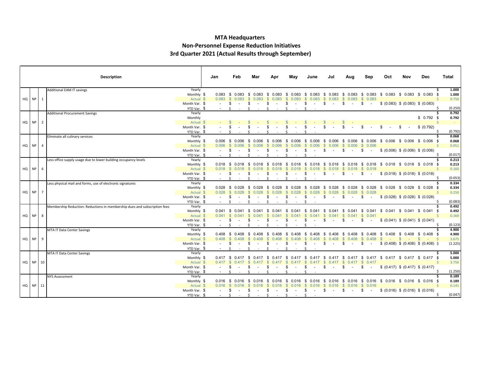## **MTA Headquarters Non‐Personnel Expense Reduction Initiatives 3rd Quarter 2021 (Actual Results through September)**

|          |  | Description                                                               |                       | Jan                  |         | Feb              |          | Mar                                 | Apr                                 |              | May             | June                                 | Jul              |                          | Aug                              | Sep                                 | Oct                                                                                                         | Nov                            | Dec                                 | Total            |
|----------|--|---------------------------------------------------------------------------|-----------------------|----------------------|---------|------------------|----------|-------------------------------------|-------------------------------------|--------------|-----------------|--------------------------------------|------------------|--------------------------|----------------------------------|-------------------------------------|-------------------------------------------------------------------------------------------------------------|--------------------------------|-------------------------------------|------------------|
|          |  | <b>Additional EAM IT savings</b>                                          | Yearly                |                      |         |                  |          |                                     |                                     |              |                 |                                      |                  |                          |                                  |                                     |                                                                                                             |                                |                                     | 1.000            |
|          |  |                                                                           | Monthly \$            | $0.083 \quad $0.083$ |         |                  | - \$     | 0.083                               | - \$<br>0.083                       | - \$         | 0.083           | $0.083 \quad $0.083$<br>- \$         |                  |                          | \$ 0.083 \$                      |                                     | $0.083$ \$ 0.083 \$ 0.083 \$ 0.083 \$                                                                       |                                |                                     | 1.000            |
| HQ NP 1  |  |                                                                           | Actual \$             | 0.083                |         | \$ 0.083         |          | 0.083                               | 0.083                               |              | 0.083           | $0.083 \quad $0.083$<br>$\mathbb{S}$ |                  |                          | $$0.083$$ \$ 0.083               |                                     |                                                                                                             |                                |                                     | 0.750            |
|          |  |                                                                           | Month Var. \$         |                      | - \$    |                  | -SS      |                                     | - \$                                | -SS          | $\sim$          | \$                                   |                  |                          | $-$ \$ $-$ \$ $-$ \$ $-$         |                                     | $$$ (0.083) $$$ (0.083) $$$ (0.083)                                                                         |                                |                                     |                  |
|          |  |                                                                           | YTD Var. \$<br>Yearly |                      |         |                  |          |                                     |                                     |              |                 |                                      |                  |                          |                                  |                                     |                                                                                                             |                                |                                     | (0.250)<br>0.792 |
|          |  | <b>Additional Procurement Savings</b>                                     | Monthly               |                      |         |                  |          |                                     |                                     |              |                 |                                      |                  |                          |                                  |                                     |                                                                                                             |                                | \$0.792\$                           | \$<br>0.792      |
| HQ NP 2  |  |                                                                           | Actual \$             |                      |         |                  |          |                                     |                                     |              |                 |                                      |                  |                          |                                  |                                     |                                                                                                             |                                |                                     | <b>Contract</b>  |
|          |  |                                                                           | Month Var. \$         |                      |         |                  |          |                                     |                                     |              |                 |                                      |                  |                          |                                  | \$                                  |                                                                                                             |                                | \$ (0.792)                          |                  |
|          |  |                                                                           | YTD Var. \$           |                      |         |                  |          |                                     |                                     |              |                 |                                      |                  |                          |                                  |                                     |                                                                                                             |                                |                                     | (0.792)          |
|          |  | Eliminate all culinary services                                           | Yearly                |                      |         |                  |          |                                     |                                     |              |                 |                                      |                  |                          |                                  |                                     |                                                                                                             |                                |                                     | 0.068            |
|          |  |                                                                           | Monthly \$            | $0.006$ \$ 0.006     |         |                  |          | 0.006                               | -S<br>0.006                         | - \$         | 0.006           | $0.006$ \$ 0.006<br>- \$             |                  |                          |                                  |                                     | \$ 0.006 \$ 0.006 \$ 0.006 \$ 0.006 \$ 0.006                                                                |                                |                                     | 0.068            |
| HQ NP 4  |  |                                                                           | Actual \$             | 0.006                |         |                  |          | 0.006                               | 0.006                               |              | 0.006           | S.<br>0.006                          | \$0.006          |                          | \$ 0.006                         | \$0.006                             |                                                                                                             |                                |                                     | 0.051            |
|          |  |                                                                           | Month Var. \$         |                      | \$      |                  |          |                                     |                                     |              |                 | S                                    | \$               |                          | \$<br><b>Contract Contract</b>   | \$                                  | $-$ \$ (0.006) \$ (0.006) \$ (0.006)                                                                        |                                |                                     |                  |
|          |  |                                                                           | YTD Var. \$           |                      |         |                  |          |                                     |                                     |              |                 |                                      |                  |                          |                                  |                                     |                                                                                                             |                                |                                     | (0.017)          |
|          |  | Less office supply usage due to lower building occupancy levels           | Yearly                |                      |         |                  |          |                                     |                                     |              |                 |                                      |                  |                          |                                  |                                     |                                                                                                             |                                |                                     | 0.213            |
|          |  |                                                                           | Monthly \$            |                      |         |                  |          |                                     |                                     |              |                 |                                      |                  |                          |                                  |                                     | 0.018 \$ 0.018 \$ 0.018 \$ 0.018 \$ 0.018 \$ 0.018 \$ 0.018 \$ 0.018 \$ 0.018 \$ 0.018 \$ 0.018 \$ 0.018 \$ |                                |                                     | 0.213            |
| HQ NP 6  |  |                                                                           | Actual \$             | 0.018                |         |                  |          | 0.018                               | 0.018                               | - \$         | 0.018           | \$ 0.018 \$ 0.018 \$ 0.018 \$ 0.018  |                  |                          |                                  |                                     |                                                                                                             |                                |                                     | 0.160            |
|          |  |                                                                           | Month Var. \$         |                      | - \$    |                  |          |                                     | S.                                  |              | <b>Contract</b> | \$<br>$\sim 100$                     | \$<br>$\sim 100$ |                          | S.<br><b>Contract Contract</b>   | \$<br>$\sim 100$                    | $$$ (0.018) $$$ (0.018) $$$ (0.018)                                                                         |                                |                                     |                  |
|          |  |                                                                           | YTD Var. \$           |                      |         |                  |          |                                     |                                     |              |                 |                                      |                  |                          |                                  |                                     |                                                                                                             |                                |                                     | (0.053)<br>S     |
|          |  | Less physical mail and forms, use of electronic signatures                | Yearly                |                      |         |                  |          |                                     |                                     |              |                 |                                      |                  |                          |                                  |                                     |                                                                                                             |                                |                                     | 0.334            |
|          |  |                                                                           | Monthly \$            | $0.028$ \$ 0.028     |         |                  |          | \$ 0.028                            | \$ 0.028                            | - \$         | 0.028           | 0.028<br>- \$                        | \$ 0.028         |                          |                                  |                                     | \$ 0.028 \$ 0.028 \$ 0.028 \$ 0.028 \$ 0.028 \$                                                             |                                |                                     | 0.334            |
| HQ NP 7  |  |                                                                           | Actual \$             |                      |         | $0.028$ \$ 0.028 | <b>S</b> | 0.028                               | 0.028<br>-S                         | $\mathbf{s}$ | 0.028           | $\mathbb{S}$                         |                  |                          | 0.028 \$ 0.028 \$ 0.028 \$ 0.028 |                                     |                                                                                                             |                                |                                     | 0.250            |
|          |  |                                                                           | Month Var. \$         |                      | \$      |                  |          |                                     | - \$                                | s.           | $\sim$          | \$<br>$\sim$                         | \$               | $\sim$                   | - \$<br><b>Contract Contract</b> | - \$<br>$\sim 100$ km s $^{-1}$     | $$$ (0.028) $$$ (0.028) $$$ (0.028)                                                                         |                                |                                     |                  |
|          |  |                                                                           | YTD Var. \$           |                      | -Ŝ      |                  |          |                                     | ς.<br>$\sim$                        |              |                 |                                      |                  |                          |                                  |                                     |                                                                                                             |                                |                                     | (0.083)<br>-Ś    |
|          |  | Membership Reduction: Reductions in membership dues and subscription fees | Yearly                |                      |         |                  |          |                                     |                                     |              |                 |                                      |                  |                          |                                  |                                     |                                                                                                             |                                |                                     | 0.492            |
|          |  |                                                                           | Monthly \$            | 0.041                |         | \$ 0.041         | - \$     | 0.041                               | - S                                 | - SS         |                 | - \$<br>0.041                        | - \$             | 0.041                    | - 56<br>0.041                    | - S<br>0.041                        | \$ 0.041 \$ 0.041 \$ 0.041 \$                                                                               |                                |                                     | 0.492            |
| HQ NP 8  |  |                                                                           | Actual \$             | 0.041                |         |                  |          |                                     |                                     |              |                 | 0.041                                |                  |                          | \$ 0.041 \$ 0.041 \$ 0.041       |                                     |                                                                                                             |                                |                                     | 0.369            |
|          |  |                                                                           | Month Var. \$         |                      | - \$    |                  |          |                                     | S                                   | -SS          | $\sim$          | \$.<br>$\sim$                        | - \$             | $- S$                    | <b>Contractor</b>                | - \$<br><b>Contract Contract</b>    |                                                                                                             |                                | $$$ (0.041) $$$ (0.041) $$$ (0.041) | (0.123)          |
|          |  |                                                                           | YTD Var. \$           |                      |         |                  |          |                                     |                                     |              |                 |                                      |                  |                          |                                  |                                     |                                                                                                             |                                |                                     | 4.900            |
|          |  | MTA IT Data Center Savings                                                | Yearly<br>Monthly \$  | $0.408$ \$ 0.408     |         |                  | - \$     | 0.408                               | - \$<br>0.408 \$                    |              | 0.408           | - \$<br>0.408                        | \$ 0.408         |                          | \$ 0.408                         |                                     | \$ 0.408 \$ 0.408                                                                                           | - \$                           | $0.408$ \$ 0.408 \$                 | 4.900            |
| HQ NP 9  |  |                                                                           | Actual \$             | $0.408$ \$ 0.408     |         |                  | -SS      | 0.408                               | 0.408                               |              | 0.408           | -SS                                  |                  |                          |                                  | 0.408 \$ 0.408 \$ 0.408 \$ 0.408 \$ | <b>College</b>                                                                                              | $\mathbb{S}$<br><b>College</b> | $\mathbb{S}$<br>$ \sim$ $\sim$      | 3.675            |
|          |  |                                                                           | Month Var. \$         |                      | \$      |                  |          |                                     | \$                                  |              |                 | \$.                                  | \$               | $\sim$ 100 $\mu$         | \$<br><b>Contract Contract</b>   | - \$<br>$\sim$                      | $$$ (0.408) $$$ (0.408) $$$ (0.408) \$                                                                      |                                |                                     | (1.225)          |
|          |  |                                                                           | YTD Var. \$           |                      | -Ś      |                  |          |                                     | $\zeta$<br>$\overline{\phantom{a}}$ |              |                 |                                      |                  |                          |                                  |                                     |                                                                                                             |                                |                                     |                  |
|          |  | MTA IT Data Center Savings                                                | Yearly                |                      |         |                  |          |                                     |                                     |              |                 |                                      |                  |                          |                                  |                                     |                                                                                                             |                                |                                     | 5.000            |
|          |  |                                                                           | Monthly \$            | 0.417                | - SS    |                  | - \$     | 0.417                               | - \$                                | - \$         | 0.417           | - \$                                 |                  |                          |                                  |                                     | 0.417 \$ 0.417 \$ 0.417 \$ 0.417 \$ 0.417 \$ 0.417 \$ 0.417 \$                                              |                                |                                     | 5.000            |
| HQ NP 10 |  |                                                                           | Actual \$             | 0.417                |         |                  |          |                                     |                                     |              |                 | $0.417$ \$ $0.417$ \$                |                  |                          | 0.417                            | 0.417<br><b>S</b>                   |                                                                                                             |                                |                                     | 3.750            |
|          |  |                                                                           | Month Var. \$         |                      | - \$    |                  |          |                                     | S                                   |              |                 | S                                    | -S               |                          | -S<br>$\sim 10^{-10}$            | -S<br>$\sim 100$                    |                                                                                                             |                                | $$$ (0.417) $$$ (0.417) $$$ (0.417) |                  |
|          |  |                                                                           | YTD Var. \$           |                      | $\zeta$ |                  |          |                                     |                                     |              |                 |                                      |                  |                          |                                  |                                     |                                                                                                             |                                |                                     | (1.250)          |
|          |  | <b>NYS Assessment</b>                                                     | Yearly                |                      |         |                  |          |                                     |                                     |              |                 |                                      |                  |                          |                                  |                                     |                                                                                                             |                                |                                     | 0.189            |
|          |  |                                                                           | Monthly \$            |                      |         |                  |          | 0.016 \$ 0.016 \$ 0.016 \$ 0.016 \$ |                                     |              |                 |                                      |                  |                          |                                  |                                     | 0.016 \$ 0.016 \$ 0.016 \$ 0.016 \$ 0.016 \$ 0.016 \$ 0.016 \$ 0.016 \$                                     |                                |                                     | 0.189            |
| HQ NP 11 |  |                                                                           | Actual \$             | 0.016                | -SS     | 0.016            |          | 0.016                               | 0.016                               |              | 0.016           | -SS                                  |                  |                          | 0.016 \$ 0.016 \$ 0.016 \$ 0.016 |                                     |                                                                                                             |                                |                                     | 0.141            |
|          |  |                                                                           | Month Var. \$         |                      | - \$    |                  |          |                                     | -S                                  |              |                 | s.                                   | S.               | <b>Contract Contract</b> | $s -$                            | - \$<br><b>Contract Contract</b>    | $$$ (0.016) $$$ (0.016) $$$ (0.016)                                                                         |                                |                                     |                  |
|          |  |                                                                           | YTD Var. \$           |                      | S.      | $\sim$           | $\zeta$  | $\sim$                              | $\zeta$<br>$\sim$                   | $\zeta$      |                 | Ŝ.                                   |                  |                          |                                  |                                     |                                                                                                             |                                |                                     | (0.047)<br>S     |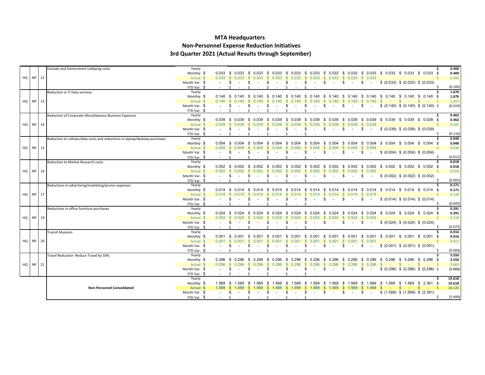#### **MTA Headquarters**

**Non‐Personnel Expense Reduction Initiatives**

**3rd Quarter 2021 (Actual Results through September)**

|                | Outside and Government Lobbying costs                                       | Yearly                       |            |                                        |                                              |                       |                                      |                               |                                |                                              |                                  |                                                                |                                  |                                                                                                             | 0.400          |
|----------------|-----------------------------------------------------------------------------|------------------------------|------------|----------------------------------------|----------------------------------------------|-----------------------|--------------------------------------|-------------------------------|--------------------------------|----------------------------------------------|----------------------------------|----------------------------------------------------------------|----------------------------------|-------------------------------------------------------------------------------------------------------------|----------------|
|                |                                                                             | Monthly \$                   | 0.033      | \$ 0.033                               | 0.033<br>-S                                  | \$ 0.033              | 0.033<br>- \$                        |                               |                                |                                              |                                  | \$ 0.033 \$ 0.033 \$ 0.033 \$ 0.033 \$ 0.033 \$ 0.033 \$ 0.033 |                                  |                                                                                                             | 0.400          |
| HQ NP 12       |                                                                             | Actual \$                    | 0.033      | \$0.033                                | 0.033                                        | -S<br>0.033           | -S                                   |                               |                                | 0.033 \$ 0.033 \$ 0.033 \$ 0.033 \$ 0.033    |                                  |                                                                |                                  |                                                                                                             | 0.300          |
|                |                                                                             | Month Var. \$                |            | \$                                     |                                              | \$                    | $\sim$                               | \$<br>$\sim 100$ km s $^{-1}$ | \$<br><b>Contract Contract</b> | - \$                                         | $-$ \$ $-$                       |                                                                |                                  | \$ (0.033) \$ (0.033) \$ (0.033)                                                                            |                |
|                |                                                                             | YTD Var. \$                  |            |                                        |                                              |                       |                                      |                               |                                |                                              |                                  |                                                                |                                  |                                                                                                             | (0.100)        |
|                | Reduction in IT Data services                                               | Yearly                       |            |                                        |                                              |                       |                                      |                               |                                |                                              |                                  |                                                                |                                  |                                                                                                             | 1.676          |
|                |                                                                             | Monthly \$                   |            |                                        | $0.140 \t S \t 0.140 \t S \t 0.140$          | - \$                  | $0.140 \text{ }$ \$ 0.140            | \$                            | $0.140 \quad $0.140$           |                                              | \$ 0.140 \$ 0.140                | - \$<br>0.140                                                  | - \$                             | $0.140 \tS 0.140 \tS$                                                                                       | 1.676          |
| $HQ$ $NP$ 13   |                                                                             | Actual \$                    |            | $0.140 \t S \t 0.140 \t S$             | 0.140                                        | -SS<br>0.140          | S.<br>0.140                          | $\mathbb{S}$                  |                                | $0.140$ \$ $0.140$ \$ $0.140$ \$             | 0.140 S                          | <b>College</b>                                                 | <b>S</b>                         | $\mathbb{S}$<br>$-5$                                                                                        | 1.257          |
|                |                                                                             | Month Var. \$                |            | \$                                     |                                              | \$                    |                                      | \$                            | \$<br><b>Contract Contract</b> | - S<br>- \$                                  | $\sim$ 100 $\pm$                 |                                                                |                                  | \$ (0.140) \$ (0.140) \$ (0.140) \$                                                                         | (0.419)        |
|                |                                                                             | YTD Var. \$                  |            | $\zeta$                                |                                              | ¢.<br>$\sim$          | ¢.                                   |                               |                                |                                              |                                  |                                                                |                                  |                                                                                                             |                |
|                | Reduction of Corporate Miscellaneous Business Expenses                      | Yearly                       |            |                                        |                                              |                       |                                      |                               |                                |                                              |                                  |                                                                |                                  |                                                                                                             | 0.462          |
|                |                                                                             | Monthly \$                   |            |                                        | $0.039$ \$ 0.039 \$ 0.039 \$                 |                       | 0.039 \$ 0.039                       |                               |                                |                                              |                                  |                                                                |                                  | \$ 0.039 \$ 0.039 \$ 0.039 \$ 0.039 \$ 0.039 \$ 0.039 \$ 0.039 \$                                           | 0.462          |
| $HQ$ $NP$ $14$ |                                                                             | Actual \$                    | 0.039      | 0.039                                  | 0.039                                        | 0.039<br>S.           | <b>S</b><br>0.039                    | \$0.039                       | \$ 0.039                       | \$ 0.039                                     | S.<br>0.039                      |                                                                |                                  |                                                                                                             | 0.347          |
|                |                                                                             | Month Var. \$                |            | - \$<br>$\sim$ $-$                     | - \$<br>$\sim 100$                           | - \$<br>$\sim 100$    | - \$<br>$\sim 100$                   | \$<br>$-5$                    | $-5$                           | $-$ \$                                       | $\sim 100$ km s $^{-1}$          |                                                                |                                  | \$ (0.039) \$ (0.039) \$ (0.039)                                                                            |                |
|                |                                                                             | YTD Var. \$                  |            |                                        |                                              |                       |                                      |                               |                                |                                              |                                  |                                                                |                                  |                                                                                                             | (0.116)        |
|                | Reduction to cellular/data costs and reductions in laptop/desktop purchases | Yearly                       |            |                                        |                                              |                       |                                      |                               |                                |                                              |                                  |                                                                |                                  |                                                                                                             | 0.048          |
|                |                                                                             | Monthly \$                   |            | $0.004$ \$ 0.004                       | \$ 0.004                                     | <b>S</b><br>0.004     | - \$                                 |                               |                                |                                              |                                  |                                                                |                                  | $0.004$ \$ 0.004 \$ 0.004 \$ 0.004 \$ 0.004 \$ 0.004 \$ 0.004 \$ 0.004 \$                                   | 0.048          |
| HQ NP 15       |                                                                             | Actual \$                    | 0.004      | <b>S</b><br>0.004                      | 0.004<br>-SS                                 | $\mathbb{S}$<br>0.004 | $\mathbf{s}$<br>0.004                | \$0.004                       |                                | $$0.004$ \$ 0.004 \$ 0.004                   |                                  |                                                                |                                  |                                                                                                             | 0.036          |
|                |                                                                             | Month Var. \$                |            | -\$                                    |                                              | \$                    | \$<br>$\sim$                         | \$<br>$\sim$ $-$              | \$<br>$\sim$                   | - \$<br><b>Contract Contract</b>             | - \$<br>$\sim 100$               |                                                                |                                  | \$ (0.004) \$ (0.004) \$ (0.004)                                                                            |                |
|                |                                                                             | YTD Var. \$                  |            |                                        |                                              | Ŝ.<br>$\sim$          |                                      | S.                            |                                |                                              |                                  |                                                                |                                  |                                                                                                             | (0.012)<br>-Ś  |
|                | Reduction to Market Research costs                                          | Yearly                       |            |                                        |                                              |                       |                                      |                               |                                |                                              |                                  |                                                                |                                  |                                                                                                             | 0.018          |
|                |                                                                             | Monthly \$                   |            |                                        |                                              |                       |                                      |                               |                                |                                              |                                  |                                                                |                                  | 0.002 \$ 0.002 \$ 0.002 \$ 0.002 \$ 0.002 \$ 0.002 \$ 0.002 \$ 0.002 \$ 0.002 \$ 0.002 \$ 0.002 \$ 0.002 \$ | 0.018          |
| HQ NP 16       |                                                                             | Actual \$                    | 0.002      | \$ 0.002                               | 0.002<br>- \$                                | - S<br>0.002          | -S                                   |                               |                                | $0.002$ \$ 0.002 \$ 0.002 \$ 0.002 \$ 0.002  |                                  |                                                                |                                  |                                                                                                             | 0.014          |
|                |                                                                             | Month Var. \$                |            | \$                                     |                                              | \$                    |                                      | \$<br>$\sim$ $-$              |                                | $\texttt{S}$ - $\texttt{S}$ - $\texttt{S}$ - |                                  |                                                                | \$ (0.002) \$ (0.002) \$ (0.002) |                                                                                                             |                |
|                |                                                                             | YTD Var. \$                  |            |                                        |                                              |                       |                                      |                               |                                |                                              |                                  |                                                                |                                  |                                                                                                             | (0.005)        |
|                | Reductions in advertising/marketing/promo expenses                          | Yearly                       |            |                                        |                                              |                       |                                      |                               |                                |                                              |                                  |                                                                |                                  |                                                                                                             | 0.171          |
|                |                                                                             | Monthly \$                   |            | $0.014$ \$ 0.014                       | 0.014<br>- \$                                | <b>S</b>              |                                      |                               |                                |                                              |                                  |                                                                |                                  | 0.014 \$ 0.014 \$ 0.014 \$ 0.014 \$ 0.014 \$ 0.014 \$ 0.014 \$ 0.014 \$ 0.014 \$                            | 0.171          |
| HQ NP 17       |                                                                             | Actual \$                    | 0.014      | <b>S</b><br>0.014                      | 0.014                                        | 0.014                 | 0.014<br>-S                          |                               |                                | \$ 0.014 \$ 0.014 \$ 0.014 \$ 0.014          |                                  |                                                                |                                  |                                                                                                             | 0.128          |
|                |                                                                             | Month Var. \$                |            | \$                                     |                                              | \$                    |                                      | \$<br>$\sim 100$ m $^{-1}$    | \$<br>$-5$                     | <b>Contract Contract</b>                     | - \$<br><b>Contract Contract</b> |                                                                |                                  | $$$ (0.014) $$$ (0.014) $$$ (0.014)                                                                         |                |
|                |                                                                             | YTD Var. \$                  |            |                                        |                                              |                       |                                      |                               |                                |                                              |                                  |                                                                |                                  |                                                                                                             | (0.043)        |
|                | Reductions in office furniture purchases                                    | Yearly                       |            |                                        |                                              |                       |                                      |                               |                                |                                              |                                  |                                                                |                                  |                                                                                                             | 0.291          |
|                |                                                                             | Monthly \$                   |            |                                        |                                              |                       |                                      |                               |                                |                                              |                                  |                                                                |                                  | 0.024 \$ 0.024 \$ 0.024 \$ 0.024 \$ 0.024 \$ 0.024 \$ 0.024 \$ 0.024 \$ 0.024 \$ 0.024 \$ 0.024 \$ 0.024 \$ | 0.291          |
| HQ NP 19       |                                                                             | Actual \$                    |            | $0.024$ \$ 0.024                       | - \$<br>0.024                                | \$0.024               | \$0.024                              |                               |                                | \$ 0.024 \$ 0.024 \$ 0.024 \$ 0.024          |                                  |                                                                |                                  |                                                                                                             | 0.218          |
|                |                                                                             | Month Var. \$                |            | - \$<br>$\sim$                         | \$                                           | \$                    | \$<br>$\sim$ $-$                     | \$<br>$\sim 100$              | \$<br>$\sim 100$               | \$                                           | - \$<br>$\sim 100$               |                                                                |                                  | \$ (0.024) \$ (0.024) \$ (0.024)                                                                            |                |
|                |                                                                             | YTD Var. \$                  |            | -Ś.<br>$\sim$                          | Ŝ.<br>$\sim$                                 | Ŝ.<br>$\sim$          |                                      | ÷.                            |                                |                                              |                                  |                                                                |                                  |                                                                                                             | (0.073)        |
|                | <b>Transit Museum</b>                                                       | Yearly                       |            |                                        |                                              |                       |                                      |                               |                                |                                              |                                  |                                                                |                                  |                                                                                                             | 0.016          |
|                |                                                                             | Monthly \$                   |            | $0.001$ \$ 0.001                       | \$ 0.001                                     | - \$                  |                                      |                               |                                |                                              |                                  |                                                                |                                  | 0.001 \$ 0.001 \$ 0.001 \$ 0.001 \$ 0.001 \$ 0.001 \$ 0.001 \$ 0.001 \$ 0.001 \$                            | 0.016          |
| HQ NP 20       |                                                                             | Actual \$                    | 0.001      | \$0.001                                | <b>S</b><br>0.001                            | -S<br>0.001           | <b>S</b><br>0.001                    |                               |                                | \$ 0.001 \$ 0.001 \$ 0.001 \$ 0.001          |                                  |                                                                |                                  |                                                                                                             | 0.012          |
|                |                                                                             | Month Var. \$                |            | \$                                     | \$                                           | \$                    | \$.<br>$\sim$                        | \$<br>$\sim$ $-$              |                                | $S - S - S -$                                |                                  |                                                                |                                  | \$ (0.001) \$ (0.001) \$ (0.001)                                                                            |                |
|                |                                                                             | YTD Var. \$                  |            |                                        |                                              |                       |                                      |                               |                                |                                              |                                  |                                                                |                                  |                                                                                                             | (0.004)<br>S,  |
|                | Travel Reduction: Reduce Travel by 50%                                      | Yearly                       |            |                                        |                                              |                       |                                      |                               |                                |                                              |                                  |                                                                |                                  |                                                                                                             | 3.550          |
|                |                                                                             | Monthly \$                   | 0.296      | \$ 0.296                               | 0.296<br>- \$                                | - \$<br>0.296         | 0.296<br>- \$                        | \$                            | $0.296$ \$ 0.296               | \$ 0.296                                     | 0.296<br>- \$                    | \$0.296                                                        | - \$                             | $0.296$ \$ 0.296 \$                                                                                         | 3.550          |
| HQ NP 21       |                                                                             | Actual \$                    |            | $0.296$ \$ 0.296                       | \$ 0.296                                     | $\mathbf{s}$<br>0.296 | \$0.296                              | \$0.296                       |                                | $$0.296$ \$ 0.296 \$ 0.296 \$                |                                  | $-5$                                                           | <b>Contact Contact</b>           | $\mathbb{S}$<br>$- - 5$                                                                                     | 2.663          |
|                |                                                                             | Month Var. \$                |            | - \$<br>$\sim$                         | \$<br>$\sim$                                 | \$                    | \$<br>$\sim$                         | \$<br>$\sim$ $-$              | - \$                           |                                              |                                  |                                                                |                                  | $-$ \$ $-$ \$ $-$ \$ (0.296) \$ (0.296) \$ (0.296) \$                                                       | (0.888)        |
|                |                                                                             | YTD Var. \$                  |            | $\zeta$<br>$\sim$                      | $\zeta$<br>$\sim$                            | $\zeta$<br>$\sim$     | ¢.                                   |                               |                                |                                              |                                  |                                                                |                                  |                                                                                                             |                |
|                |                                                                             |                              |            |                                        |                                              |                       |                                      |                               |                                |                                              |                                  |                                                                |                                  |                                                                                                             | 19.618         |
|                |                                                                             |                              |            |                                        |                                              |                       |                                      |                               |                                |                                              |                                  |                                                                |                                  |                                                                                                             |                |
|                |                                                                             | Yearly                       |            |                                        |                                              |                       |                                      |                               |                                |                                              |                                  |                                                                |                                  |                                                                                                             |                |
|                |                                                                             | Monthly \$                   |            |                                        | 1.569 \$ 1.569 \$ 1.569 \$ 1.569 \$          |                       | 1.569                                | \$                            |                                |                                              |                                  |                                                                |                                  | 1.569 \$ 1.569 \$ 1.569 \$ 1.569 \$ 1.569 \$ 1.569 \$ 2.361 \$                                              | 19.618         |
|                | <b>Non-Personnel Consolidated</b>                                           | Actual \$                    | 1.569      | \$ 1.569                               | \$ 1.569                                     | 1.569                 | 1.569<br>-SI                         | 1.569<br>-S                   |                                | \$ 1.569 \$ 1.569                            | \$1.569                          | $\mathbf{s}$<br>$-5$                                           | <b>Contract</b>                  | -S<br><b>Contract</b>                                                                                       | 14.120<br>- \$ |
|                |                                                                             | Month Var. \$<br>YTD Var. \$ | $\sim 100$ | - \$<br>$-$ \$<br>S.<br>$\sim 10^{-1}$ | <b>Contract Contract</b><br>S.<br>$\sim$ $-$ | - \$<br>Ŝ.<br>$\sim$  | \$<br>$\sim 100$ km s $^{-1}$<br>-Ś. | \$<br><b>Contract</b>         |                                | $\texttt{S}$ - $\texttt{S}$ - $\texttt{S}$ - |                                  |                                                                |                                  | $$(1.569)$ $$(1.569)$ $$(2.361)$                                                                            | (5.499)<br>.S  |